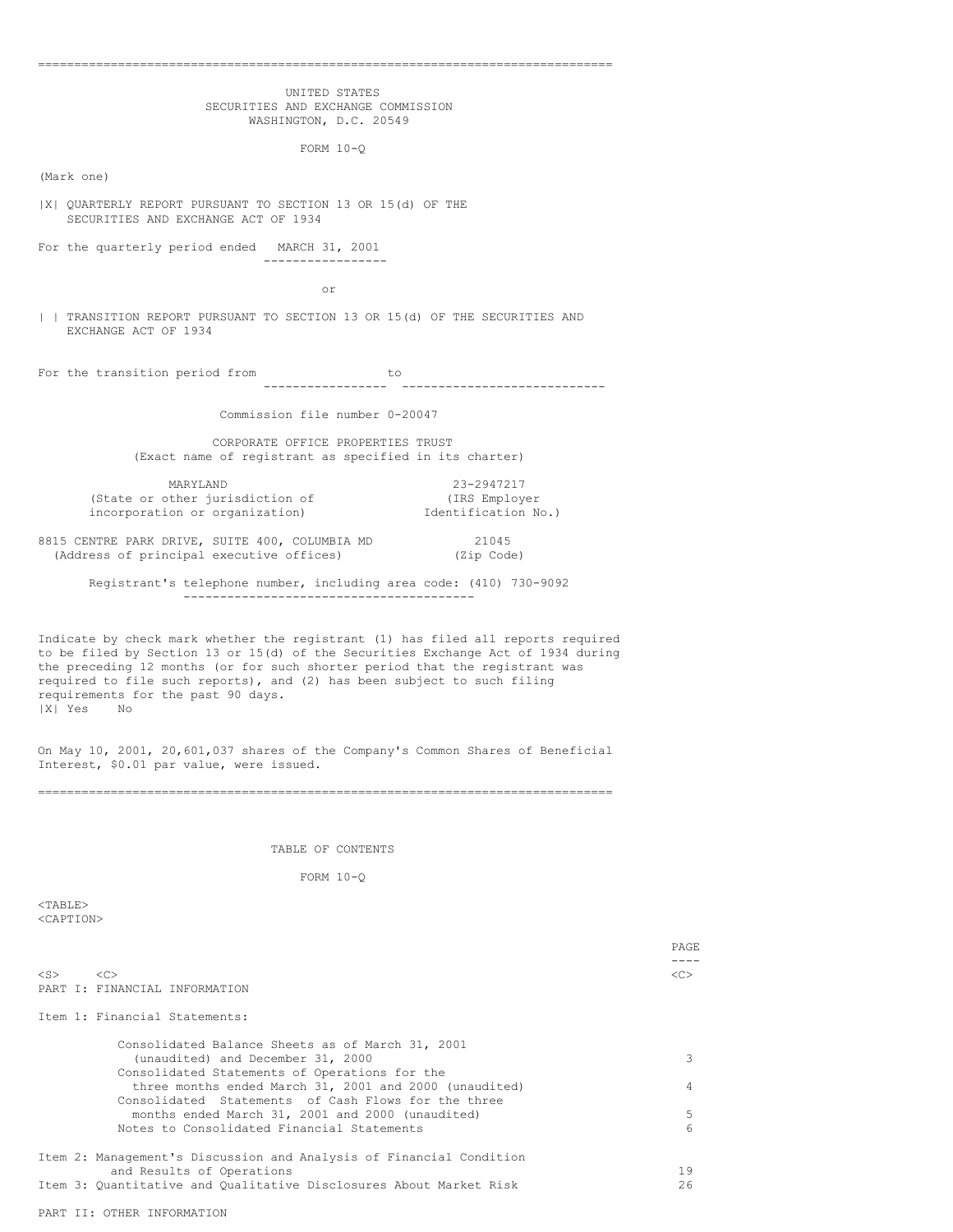| UNITED STATES                                                                                                                                                                                                                                                                                                                                                                      |      |
|------------------------------------------------------------------------------------------------------------------------------------------------------------------------------------------------------------------------------------------------------------------------------------------------------------------------------------------------------------------------------------|------|
| SECURITIES AND EXCHANGE COMMISSION                                                                                                                                                                                                                                                                                                                                                 |      |
| WASHINGTON, D.C. 20549                                                                                                                                                                                                                                                                                                                                                             |      |
| FORM $10-Q$                                                                                                                                                                                                                                                                                                                                                                        |      |
| (Mark one)                                                                                                                                                                                                                                                                                                                                                                         |      |
| X  QUARTERLY REPORT PURSUANT TO SECTION 13 OR 15(d) OF THE<br>SECURITIES AND EXCHANGE ACT OF 1934                                                                                                                                                                                                                                                                                  |      |
| For the quarterly period ended MARCH 31, 2001<br>__________________                                                                                                                                                                                                                                                                                                                |      |
| or                                                                                                                                                                                                                                                                                                                                                                                 |      |
| TRANSITION REPORT PURSUANT TO SECTION 13 OR 15(d) OF THE SECURITIES AND<br>EXCHANGE ACT OF 1934                                                                                                                                                                                                                                                                                    |      |
| For the transition period from<br><b>Example 1</b> to                                                                                                                                                                                                                                                                                                                              |      |
| Commission file number 0-20047                                                                                                                                                                                                                                                                                                                                                     |      |
| CORPORATE OFFICE PROPERTIES TRUST<br>(Exact name of registrant as specified in its charter)                                                                                                                                                                                                                                                                                        |      |
| 23-2947217<br>MARYLAND                                                                                                                                                                                                                                                                                                                                                             |      |
| (State or other jurisdiction of<br>(IRS Employer<br>incorporation or organization)<br>Identification No.)                                                                                                                                                                                                                                                                          |      |
| 8815 CENTRE PARK DRIVE, SUITE 400, COLUMBIA MD<br>(Address of principal executive offices)<br>21045<br>(Zip Code)                                                                                                                                                                                                                                                                  |      |
| Registrant's telephone number, including area code: (410) 730-9092                                                                                                                                                                                                                                                                                                                 |      |
|                                                                                                                                                                                                                                                                                                                                                                                    |      |
| Indicate by check mark whether the registrant (1) has filed all reports required<br>to be filed by Section 13 or 15(d) of the Securities Exchange Act of 1934 during<br>the preceding 12 months (or for such shorter period that the registrant was<br>required to file such reports), and (2) has been subject to such filing<br>requirements for the past 90 days.<br> X  Yes No |      |
| On May 10, 2001, 20,601,037 shares of the Company's Common Shares of Beneficial<br>Interest, \$0.01 par value, were issued.                                                                                                                                                                                                                                                        |      |
|                                                                                                                                                                                                                                                                                                                                                                                    |      |
| TABLE OF CONTENTS                                                                                                                                                                                                                                                                                                                                                                  |      |
| FORM $10-Q$                                                                                                                                                                                                                                                                                                                                                                        |      |
| $<$ TABLE $>$                                                                                                                                                                                                                                                                                                                                                                      |      |
| <caption></caption>                                                                                                                                                                                                                                                                                                                                                                |      |
|                                                                                                                                                                                                                                                                                                                                                                                    | PAGE |
| <<<br>$<$ S $>$<br>PART I: FINANCIAL INFORMATION                                                                                                                                                                                                                                                                                                                                   | <<>  |
| Item 1: Financial Statements:                                                                                                                                                                                                                                                                                                                                                      |      |
|                                                                                                                                                                                                                                                                                                                                                                                    |      |
| Consolidated Balance Sheets as of March 31, 2001<br>(unaudited) and December 31, 2000                                                                                                                                                                                                                                                                                              |      |
| Consolidated Statements of Operations for the<br>three months ended March 31, 2001 and 2000 (unaudited)<br>Consolidated Statements of Cash Flows for the three                                                                                                                                                                                                                     |      |

| three months ended march 31, 2001 and 2000 (unaudited)              |     |
|---------------------------------------------------------------------|-----|
| Consolidated Statements of Cash Flows for the three                 |     |
| months ended March 31, 2001 and 2000 (unaudited)                    | .5. |
| Notes to Consolidated Financial Statements                          | 6   |
|                                                                     |     |
| Item 2: Management's Discussion and Analysis of Financial Condition |     |
| and Results of Operations                                           | 19  |
| Item 3: Quantitative and Qualitative Disclosures About Market Risk  | 26  |
|                                                                     |     |

PAGE  $-c>-$ 

PART II: OTHER INFORMATION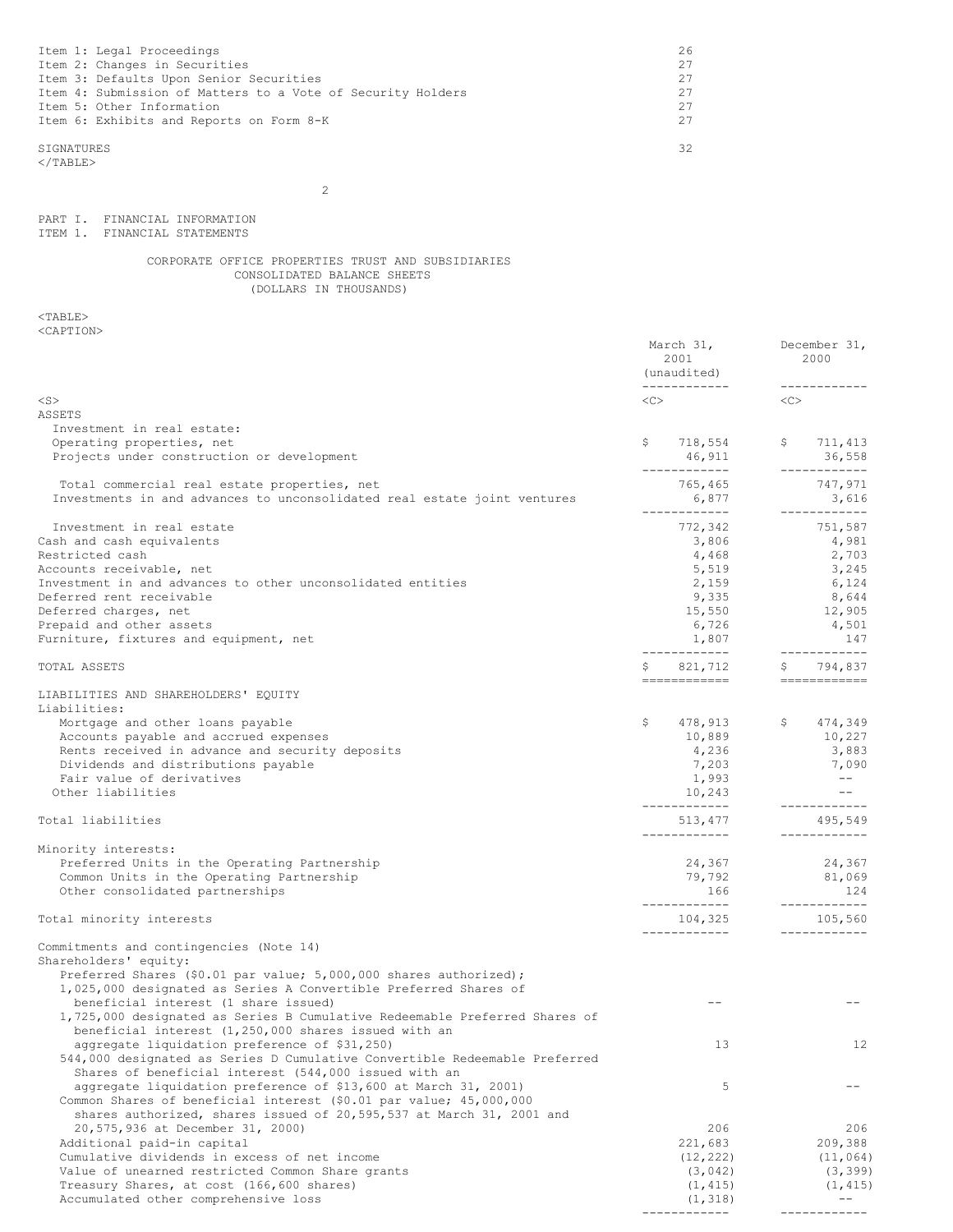| 26 |
|----|
|    |
| 27 |
|    |
| 27 |
|    |
|    |
|    |
| ヌク |
|    |

 $<$ /TABLE>

2

PART I. FINANCIAL INFORMATION ITEM 1. FINANCIAL STATEMENTS

## CORPORATE OFFICE PROPERTIES TRUST AND SUBSIDIARIES CONSOLIDATED BALANCE SHEETS (DOLLARS IN THOUSANDS)

|                                                                                                                                                                                                               | March 31,<br>2001<br>(unaudited)<br>____________ | December 31,<br>2000<br>------------                                                                                                                                                                                                                                                                                                                                                                                                                                                                                                                                                                                                                                                                                                                  |
|---------------------------------------------------------------------------------------------------------------------------------------------------------------------------------------------------------------|--------------------------------------------------|-------------------------------------------------------------------------------------------------------------------------------------------------------------------------------------------------------------------------------------------------------------------------------------------------------------------------------------------------------------------------------------------------------------------------------------------------------------------------------------------------------------------------------------------------------------------------------------------------------------------------------------------------------------------------------------------------------------------------------------------------------|
| $<$ S $>$                                                                                                                                                                                                     | <<>                                              | $<<$ $<$ $<$ $>$                                                                                                                                                                                                                                                                                                                                                                                                                                                                                                                                                                                                                                                                                                                                      |
| ASSETS                                                                                                                                                                                                        |                                                  |                                                                                                                                                                                                                                                                                                                                                                                                                                                                                                                                                                                                                                                                                                                                                       |
| Investment in real estate:                                                                                                                                                                                    |                                                  |                                                                                                                                                                                                                                                                                                                                                                                                                                                                                                                                                                                                                                                                                                                                                       |
| Operating properties, net<br>Projects under construction or development                                                                                                                                       | \$<br>718,554<br>46,911<br>------------          | \$711, 413<br>36,558<br>------------                                                                                                                                                                                                                                                                                                                                                                                                                                                                                                                                                                                                                                                                                                                  |
| Total commercial real estate properties, net                                                                                                                                                                  | 765,465                                          | 747,971                                                                                                                                                                                                                                                                                                                                                                                                                                                                                                                                                                                                                                                                                                                                               |
| Investments in and advances to unconsolidated real estate joint ventures                                                                                                                                      | 6,877                                            | 3,616<br>-------------                                                                                                                                                                                                                                                                                                                                                                                                                                                                                                                                                                                                                                                                                                                                |
| Investment in real estate                                                                                                                                                                                     | 772,342                                          | 751,587                                                                                                                                                                                                                                                                                                                                                                                                                                                                                                                                                                                                                                                                                                                                               |
| Cash and cash equivalents                                                                                                                                                                                     | 3,806                                            | 4,981                                                                                                                                                                                                                                                                                                                                                                                                                                                                                                                                                                                                                                                                                                                                                 |
| Restricted cash                                                                                                                                                                                               | 4,468                                            | 2,703                                                                                                                                                                                                                                                                                                                                                                                                                                                                                                                                                                                                                                                                                                                                                 |
| Accounts receivable, net                                                                                                                                                                                      | 5,519                                            | 3,245                                                                                                                                                                                                                                                                                                                                                                                                                                                                                                                                                                                                                                                                                                                                                 |
| Investment in and advances to other unconsolidated entities                                                                                                                                                   | 2,159                                            | 6,124                                                                                                                                                                                                                                                                                                                                                                                                                                                                                                                                                                                                                                                                                                                                                 |
| Deferred rent receivable                                                                                                                                                                                      | 9,335                                            | 8,644                                                                                                                                                                                                                                                                                                                                                                                                                                                                                                                                                                                                                                                                                                                                                 |
| Deferred charges, net                                                                                                                                                                                         | 15,550                                           | 12,905                                                                                                                                                                                                                                                                                                                                                                                                                                                                                                                                                                                                                                                                                                                                                |
| Prepaid and other assets                                                                                                                                                                                      | 6,726                                            | 4,501                                                                                                                                                                                                                                                                                                                                                                                                                                                                                                                                                                                                                                                                                                                                                 |
| Furniture, fixtures and equipment, net                                                                                                                                                                        | 1,807<br>------------                            | 147<br>------------                                                                                                                                                                                                                                                                                                                                                                                                                                                                                                                                                                                                                                                                                                                                   |
| TOTAL ASSETS                                                                                                                                                                                                  | S.<br>821,712<br>============                    | \$794,837<br>$\qquad \qquad \Rightarrow \qquad \qquad \Rightarrow \qquad \qquad \Rightarrow \qquad \qquad \Rightarrow \qquad \qquad \Rightarrow \qquad \qquad \Rightarrow \qquad \qquad \Rightarrow \qquad \qquad \Rightarrow \qquad \qquad \Rightarrow \qquad \qquad \Rightarrow \qquad \qquad \Rightarrow \qquad \qquad \Rightarrow \qquad \qquad \Rightarrow \qquad \qquad \Rightarrow \qquad \qquad \Rightarrow \qquad \qquad \Rightarrow \qquad \qquad \Rightarrow \qquad \qquad \Rightarrow \qquad \qquad \Rightarrow \qquad \qquad \Rightarrow \qquad \qquad \Rightarrow \qquad \qquad \Rightarrow \qquad \qquad \Rightarrow \qquad \qquad \Rightarrow \qquad \qquad \Rightarrow \qquad \qquad \Rightarrow \qquad \qquad \Rightarrow \qquad \$ |
| LIABILITIES AND SHAREHOLDERS' EQUITY                                                                                                                                                                          |                                                  |                                                                                                                                                                                                                                                                                                                                                                                                                                                                                                                                                                                                                                                                                                                                                       |
| Liabilities:                                                                                                                                                                                                  |                                                  |                                                                                                                                                                                                                                                                                                                                                                                                                                                                                                                                                                                                                                                                                                                                                       |
| Mortgage and other loans payable                                                                                                                                                                              | \$<br>478,913                                    | \$474,349                                                                                                                                                                                                                                                                                                                                                                                                                                                                                                                                                                                                                                                                                                                                             |
| Accounts payable and accrued expenses                                                                                                                                                                         | 10,889                                           | 10,227                                                                                                                                                                                                                                                                                                                                                                                                                                                                                                                                                                                                                                                                                                                                                |
| Rents received in advance and security deposits                                                                                                                                                               | 4,236                                            | 3,883                                                                                                                                                                                                                                                                                                                                                                                                                                                                                                                                                                                                                                                                                                                                                 |
| Dividends and distributions payable                                                                                                                                                                           | 7,203                                            | 7,090                                                                                                                                                                                                                                                                                                                                                                                                                                                                                                                                                                                                                                                                                                                                                 |
| Fair value of derivatives                                                                                                                                                                                     | 1,993                                            | $---$                                                                                                                                                                                                                                                                                                                                                                                                                                                                                                                                                                                                                                                                                                                                                 |
| Other liabilities                                                                                                                                                                                             | 10,243                                           | $- -$                                                                                                                                                                                                                                                                                                                                                                                                                                                                                                                                                                                                                                                                                                                                                 |
| Total liabilities                                                                                                                                                                                             | ------------<br>513,477                          | ------------<br>495,549                                                                                                                                                                                                                                                                                                                                                                                                                                                                                                                                                                                                                                                                                                                               |
|                                                                                                                                                                                                               | ____________                                     | ------------                                                                                                                                                                                                                                                                                                                                                                                                                                                                                                                                                                                                                                                                                                                                          |
| Minority interests:<br>Preferred Units in the Operating Partnership                                                                                                                                           | 24,367                                           | 24,367                                                                                                                                                                                                                                                                                                                                                                                                                                                                                                                                                                                                                                                                                                                                                |
| Common Units in the Operating Partnership                                                                                                                                                                     | 79,792                                           | 81,069                                                                                                                                                                                                                                                                                                                                                                                                                                                                                                                                                                                                                                                                                                                                                |
| Other consolidated partnerships                                                                                                                                                                               | 166                                              | 124                                                                                                                                                                                                                                                                                                                                                                                                                                                                                                                                                                                                                                                                                                                                                   |
|                                                                                                                                                                                                               | ------------                                     | ------------                                                                                                                                                                                                                                                                                                                                                                                                                                                                                                                                                                                                                                                                                                                                          |
| Total minority interests                                                                                                                                                                                      | 104,325                                          | 105,560<br>____________                                                                                                                                                                                                                                                                                                                                                                                                                                                                                                                                                                                                                                                                                                                               |
| Commitments and contingencies (Note 14)                                                                                                                                                                       |                                                  |                                                                                                                                                                                                                                                                                                                                                                                                                                                                                                                                                                                                                                                                                                                                                       |
| Shareholders' equity:<br>Preferred Shares (\$0.01 par value; 5,000,000 shares authorized);<br>1,025,000 designated as Series A Convertible Preferred Shares of<br>beneficial interest (1 share issued)        |                                                  |                                                                                                                                                                                                                                                                                                                                                                                                                                                                                                                                                                                                                                                                                                                                                       |
| 1,725,000 designated as Series B Cumulative Redeemable Preferred Shares of<br>beneficial interest (1,250,000 shares issued with an                                                                            |                                                  |                                                                                                                                                                                                                                                                                                                                                                                                                                                                                                                                                                                                                                                                                                                                                       |
| aggregate liquidation preference of \$31,250)<br>544,000 designated as Series D Cumulative Convertible Redeemable Preferred<br>Shares of beneficial interest (544,000 issued with an                          | 13                                               | 12                                                                                                                                                                                                                                                                                                                                                                                                                                                                                                                                                                                                                                                                                                                                                    |
| aggregate liquidation preference of \$13,600 at March 31, 2001)<br>Common Shares of beneficial interest (\$0.01 par value; 45,000,000<br>shares authorized, shares issued of 20,595,537 at March 31, 2001 and | 5                                                |                                                                                                                                                                                                                                                                                                                                                                                                                                                                                                                                                                                                                                                                                                                                                       |
| 20,575,936 at December 31, 2000)                                                                                                                                                                              | 206                                              | 206                                                                                                                                                                                                                                                                                                                                                                                                                                                                                                                                                                                                                                                                                                                                                   |
| Additional paid-in capital                                                                                                                                                                                    | 221,683                                          | 209,388                                                                                                                                                                                                                                                                                                                                                                                                                                                                                                                                                                                                                                                                                                                                               |
| Cumulative dividends in excess of net income                                                                                                                                                                  | (12, 222)                                        | (11, 064)                                                                                                                                                                                                                                                                                                                                                                                                                                                                                                                                                                                                                                                                                                                                             |
| Value of unearned restricted Common Share grants                                                                                                                                                              | (3, 042)                                         | (3, 399)                                                                                                                                                                                                                                                                                                                                                                                                                                                                                                                                                                                                                                                                                                                                              |
| Treasury Shares, at cost (166,600 shares)<br>Accumulated other comprehensive loss                                                                                                                             | (1, 415)<br>(1, 318)                             | (1, 415)                                                                                                                                                                                                                                                                                                                                                                                                                                                                                                                                                                                                                                                                                                                                              |
|                                                                                                                                                                                                               |                                                  |                                                                                                                                                                                                                                                                                                                                                                                                                                                                                                                                                                                                                                                                                                                                                       |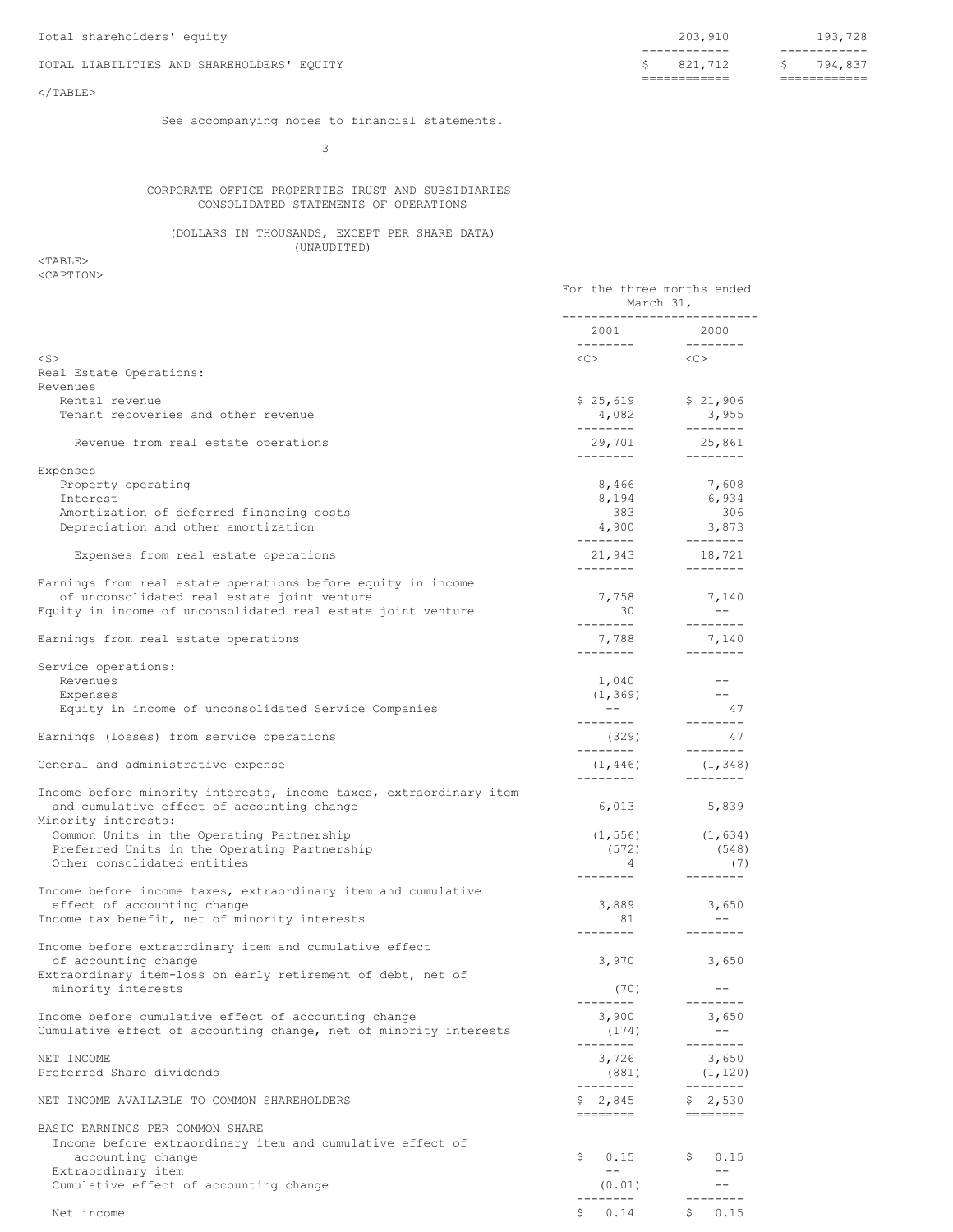## TOTAL LIABILITIES AND SHAREHOLDERS' EQUITY

# ------------ ------------ ============ ============

## $<$ /TABLE>

See accompanying notes to financial statements.

3

## CORPORATE OFFICE PROPERTIES TRUST AND SUBSIDIARIES CONSOLIDATED STATEMENTS OF OPERATIONS

(DOLLARS IN THOUSANDS, EXCEPT PER SHARE DATA) (UNAUDITED)

| ---------------------------<br>2001 2000<br>---------<br>__________<br>$\langle C \rangle$ $\langle C \rangle$<br>$<$ S $>$<br>Real Estate Operations:<br>Revenues<br>\$25,619<br>\$21,906<br>Rental revenue<br>Tenant recoveries and other revenue<br>4,082<br>3,955<br>_________<br>---------<br>29,701<br>25,861<br>Revenue from real estate operations<br>---------<br>_________<br>Expenses<br>8,466<br>Property operating<br>7,608<br>6,934<br>Interest<br>8,194<br>383<br>306<br>Amortization of deferred financing costs<br>3,873<br>4,900<br>Depreciation and other amortization<br>---------<br>_________<br>18,721<br>21,943<br>Expenses from real estate operations<br>_________<br>---------<br>Earnings from real estate operations before equity in income<br>7,758<br>of unconsolidated real estate joint venture<br>7,140<br>$- - -$<br>Equity in income of unconsolidated real estate joint venture<br>30<br>---------<br>---------<br>7,788<br>7,140<br>Earnings from real estate operations<br>---------<br>_________<br>Service operations:<br>Revenues<br>1,040<br>$- -$<br>(1, 369)<br>$- - -$<br>Expenses<br>$\sim$ $ \sim$<br>Equity in income of unconsolidated Service Companies<br>- 47<br>---------<br>$- - - - - - - -$<br>(329)<br>47<br>Earnings (losses) from service operations<br>--------<br>_________<br>General and administrative expense<br>(1, 446)<br>(1, 348)<br>_________<br>Income before minority interests, income taxes, extraordinary item<br>and cumulative effect of accounting change<br>6,013<br>5,839<br>Minority interests:<br>Common Units in the Operating Partnership<br>(1, 556)<br>(1, 634)<br>Preferred Units in the Operating Partnership<br>(572)<br>(548)<br>Other consolidated entities<br>$\overline{4}$<br>(7)<br>---------<br>--------<br>Income before income taxes, extraordinary item and cumulative<br>3,889<br>effect of accounting change<br>3,650<br>$- -$<br>Income tax benefit, net of minority interests<br>81<br>---------<br>$- - - - - - - -$<br>Income before extraordinary item and cumulative effect<br>3,970<br>of accounting change<br>3,650<br>Extraordinary item-loss on early retirement of debt, net of<br>minority interests<br>(70)<br>$- \, -$<br>--------<br>--------<br>3,900<br>Income before cumulative effect of accounting change<br>3,650<br>Cumulative effect of accounting change, net of minority interests<br>$--$<br>(174)<br>--------<br>- - - - - - - -<br>3,726<br>NET INCOME<br>3,650<br>Preferred Share dividends<br>(881)<br>(1, 120)<br>--------<br>--------<br>\$2,530<br>NET INCOME AVAILABLE TO COMMON SHAREHOLDERS<br>\$2,845<br>========<br>$\begin{tabular}{ll} \multicolumn{2}{c}{\multicolumn{2}{c}{\multicolumn{2}{c}{\multicolumn{2}{c}{\multicolumn{2}{c}{\multicolumn{2}{c}{\multicolumn{2}{c}{\multicolumn{2}{c}{\multicolumn{2}{c}{\multicolumn{2}{c}{\multicolumn{2}{c}{\textbf{1}}}}}}}} \multicolumn{2}{c}{\multicolumn{2}{c}{\textbf{2}}\end{tabular}$<br>BASIC EARNINGS PER COMMON SHARE<br>Income before extraordinary item and cumulative effect of<br>S.<br>0.15<br>accounting change<br>0.15<br>$- -$<br>Extraordinary item<br>$- -$<br>Cumulative effect of accounting change<br>(0.01)<br>$\qquad \qquad -$<br>------<br>-----<br>0.15<br>\$<br>0.14<br>Net income | For the three months ended<br>March 31, |  |
|-------------------------------------------------------------------------------------------------------------------------------------------------------------------------------------------------------------------------------------------------------------------------------------------------------------------------------------------------------------------------------------------------------------------------------------------------------------------------------------------------------------------------------------------------------------------------------------------------------------------------------------------------------------------------------------------------------------------------------------------------------------------------------------------------------------------------------------------------------------------------------------------------------------------------------------------------------------------------------------------------------------------------------------------------------------------------------------------------------------------------------------------------------------------------------------------------------------------------------------------------------------------------------------------------------------------------------------------------------------------------------------------------------------------------------------------------------------------------------------------------------------------------------------------------------------------------------------------------------------------------------------------------------------------------------------------------------------------------------------------------------------------------------------------------------------------------------------------------------------------------------------------------------------------------------------------------------------------------------------------------------------------------------------------------------------------------------------------------------------------------------------------------------------------------------------------------------------------------------------------------------------------------------------------------------------------------------------------------------------------------------------------------------------------------------------------------------------------------------------------------------------------------------------------------------------------------------------------------------------------------------------------------------------------------------------------------------------------------------------------------------------------------------------------------------------------------------------------------------------------------------------------------------------------------------------------------------------------------------------------------------------------------------------------------------------------------------------------------------------------------------------------------------------------------------------------------------------------------------------------------------------------------------------------------------------|-----------------------------------------|--|
|                                                                                                                                                                                                                                                                                                                                                                                                                                                                                                                                                                                                                                                                                                                                                                                                                                                                                                                                                                                                                                                                                                                                                                                                                                                                                                                                                                                                                                                                                                                                                                                                                                                                                                                                                                                                                                                                                                                                                                                                                                                                                                                                                                                                                                                                                                                                                                                                                                                                                                                                                                                                                                                                                                                                                                                                                                                                                                                                                                                                                                                                                                                                                                                                                                                                                                             |                                         |  |
|                                                                                                                                                                                                                                                                                                                                                                                                                                                                                                                                                                                                                                                                                                                                                                                                                                                                                                                                                                                                                                                                                                                                                                                                                                                                                                                                                                                                                                                                                                                                                                                                                                                                                                                                                                                                                                                                                                                                                                                                                                                                                                                                                                                                                                                                                                                                                                                                                                                                                                                                                                                                                                                                                                                                                                                                                                                                                                                                                                                                                                                                                                                                                                                                                                                                                                             |                                         |  |
|                                                                                                                                                                                                                                                                                                                                                                                                                                                                                                                                                                                                                                                                                                                                                                                                                                                                                                                                                                                                                                                                                                                                                                                                                                                                                                                                                                                                                                                                                                                                                                                                                                                                                                                                                                                                                                                                                                                                                                                                                                                                                                                                                                                                                                                                                                                                                                                                                                                                                                                                                                                                                                                                                                                                                                                                                                                                                                                                                                                                                                                                                                                                                                                                                                                                                                             |                                         |  |
|                                                                                                                                                                                                                                                                                                                                                                                                                                                                                                                                                                                                                                                                                                                                                                                                                                                                                                                                                                                                                                                                                                                                                                                                                                                                                                                                                                                                                                                                                                                                                                                                                                                                                                                                                                                                                                                                                                                                                                                                                                                                                                                                                                                                                                                                                                                                                                                                                                                                                                                                                                                                                                                                                                                                                                                                                                                                                                                                                                                                                                                                                                                                                                                                                                                                                                             |                                         |  |
|                                                                                                                                                                                                                                                                                                                                                                                                                                                                                                                                                                                                                                                                                                                                                                                                                                                                                                                                                                                                                                                                                                                                                                                                                                                                                                                                                                                                                                                                                                                                                                                                                                                                                                                                                                                                                                                                                                                                                                                                                                                                                                                                                                                                                                                                                                                                                                                                                                                                                                                                                                                                                                                                                                                                                                                                                                                                                                                                                                                                                                                                                                                                                                                                                                                                                                             |                                         |  |
|                                                                                                                                                                                                                                                                                                                                                                                                                                                                                                                                                                                                                                                                                                                                                                                                                                                                                                                                                                                                                                                                                                                                                                                                                                                                                                                                                                                                                                                                                                                                                                                                                                                                                                                                                                                                                                                                                                                                                                                                                                                                                                                                                                                                                                                                                                                                                                                                                                                                                                                                                                                                                                                                                                                                                                                                                                                                                                                                                                                                                                                                                                                                                                                                                                                                                                             |                                         |  |
|                                                                                                                                                                                                                                                                                                                                                                                                                                                                                                                                                                                                                                                                                                                                                                                                                                                                                                                                                                                                                                                                                                                                                                                                                                                                                                                                                                                                                                                                                                                                                                                                                                                                                                                                                                                                                                                                                                                                                                                                                                                                                                                                                                                                                                                                                                                                                                                                                                                                                                                                                                                                                                                                                                                                                                                                                                                                                                                                                                                                                                                                                                                                                                                                                                                                                                             |                                         |  |
|                                                                                                                                                                                                                                                                                                                                                                                                                                                                                                                                                                                                                                                                                                                                                                                                                                                                                                                                                                                                                                                                                                                                                                                                                                                                                                                                                                                                                                                                                                                                                                                                                                                                                                                                                                                                                                                                                                                                                                                                                                                                                                                                                                                                                                                                                                                                                                                                                                                                                                                                                                                                                                                                                                                                                                                                                                                                                                                                                                                                                                                                                                                                                                                                                                                                                                             |                                         |  |
|                                                                                                                                                                                                                                                                                                                                                                                                                                                                                                                                                                                                                                                                                                                                                                                                                                                                                                                                                                                                                                                                                                                                                                                                                                                                                                                                                                                                                                                                                                                                                                                                                                                                                                                                                                                                                                                                                                                                                                                                                                                                                                                                                                                                                                                                                                                                                                                                                                                                                                                                                                                                                                                                                                                                                                                                                                                                                                                                                                                                                                                                                                                                                                                                                                                                                                             |                                         |  |
|                                                                                                                                                                                                                                                                                                                                                                                                                                                                                                                                                                                                                                                                                                                                                                                                                                                                                                                                                                                                                                                                                                                                                                                                                                                                                                                                                                                                                                                                                                                                                                                                                                                                                                                                                                                                                                                                                                                                                                                                                                                                                                                                                                                                                                                                                                                                                                                                                                                                                                                                                                                                                                                                                                                                                                                                                                                                                                                                                                                                                                                                                                                                                                                                                                                                                                             |                                         |  |
|                                                                                                                                                                                                                                                                                                                                                                                                                                                                                                                                                                                                                                                                                                                                                                                                                                                                                                                                                                                                                                                                                                                                                                                                                                                                                                                                                                                                                                                                                                                                                                                                                                                                                                                                                                                                                                                                                                                                                                                                                                                                                                                                                                                                                                                                                                                                                                                                                                                                                                                                                                                                                                                                                                                                                                                                                                                                                                                                                                                                                                                                                                                                                                                                                                                                                                             |                                         |  |
|                                                                                                                                                                                                                                                                                                                                                                                                                                                                                                                                                                                                                                                                                                                                                                                                                                                                                                                                                                                                                                                                                                                                                                                                                                                                                                                                                                                                                                                                                                                                                                                                                                                                                                                                                                                                                                                                                                                                                                                                                                                                                                                                                                                                                                                                                                                                                                                                                                                                                                                                                                                                                                                                                                                                                                                                                                                                                                                                                                                                                                                                                                                                                                                                                                                                                                             |                                         |  |
|                                                                                                                                                                                                                                                                                                                                                                                                                                                                                                                                                                                                                                                                                                                                                                                                                                                                                                                                                                                                                                                                                                                                                                                                                                                                                                                                                                                                                                                                                                                                                                                                                                                                                                                                                                                                                                                                                                                                                                                                                                                                                                                                                                                                                                                                                                                                                                                                                                                                                                                                                                                                                                                                                                                                                                                                                                                                                                                                                                                                                                                                                                                                                                                                                                                                                                             |                                         |  |
|                                                                                                                                                                                                                                                                                                                                                                                                                                                                                                                                                                                                                                                                                                                                                                                                                                                                                                                                                                                                                                                                                                                                                                                                                                                                                                                                                                                                                                                                                                                                                                                                                                                                                                                                                                                                                                                                                                                                                                                                                                                                                                                                                                                                                                                                                                                                                                                                                                                                                                                                                                                                                                                                                                                                                                                                                                                                                                                                                                                                                                                                                                                                                                                                                                                                                                             |                                         |  |
|                                                                                                                                                                                                                                                                                                                                                                                                                                                                                                                                                                                                                                                                                                                                                                                                                                                                                                                                                                                                                                                                                                                                                                                                                                                                                                                                                                                                                                                                                                                                                                                                                                                                                                                                                                                                                                                                                                                                                                                                                                                                                                                                                                                                                                                                                                                                                                                                                                                                                                                                                                                                                                                                                                                                                                                                                                                                                                                                                                                                                                                                                                                                                                                                                                                                                                             |                                         |  |
|                                                                                                                                                                                                                                                                                                                                                                                                                                                                                                                                                                                                                                                                                                                                                                                                                                                                                                                                                                                                                                                                                                                                                                                                                                                                                                                                                                                                                                                                                                                                                                                                                                                                                                                                                                                                                                                                                                                                                                                                                                                                                                                                                                                                                                                                                                                                                                                                                                                                                                                                                                                                                                                                                                                                                                                                                                                                                                                                                                                                                                                                                                                                                                                                                                                                                                             |                                         |  |
|                                                                                                                                                                                                                                                                                                                                                                                                                                                                                                                                                                                                                                                                                                                                                                                                                                                                                                                                                                                                                                                                                                                                                                                                                                                                                                                                                                                                                                                                                                                                                                                                                                                                                                                                                                                                                                                                                                                                                                                                                                                                                                                                                                                                                                                                                                                                                                                                                                                                                                                                                                                                                                                                                                                                                                                                                                                                                                                                                                                                                                                                                                                                                                                                                                                                                                             |                                         |  |
|                                                                                                                                                                                                                                                                                                                                                                                                                                                                                                                                                                                                                                                                                                                                                                                                                                                                                                                                                                                                                                                                                                                                                                                                                                                                                                                                                                                                                                                                                                                                                                                                                                                                                                                                                                                                                                                                                                                                                                                                                                                                                                                                                                                                                                                                                                                                                                                                                                                                                                                                                                                                                                                                                                                                                                                                                                                                                                                                                                                                                                                                                                                                                                                                                                                                                                             |                                         |  |
|                                                                                                                                                                                                                                                                                                                                                                                                                                                                                                                                                                                                                                                                                                                                                                                                                                                                                                                                                                                                                                                                                                                                                                                                                                                                                                                                                                                                                                                                                                                                                                                                                                                                                                                                                                                                                                                                                                                                                                                                                                                                                                                                                                                                                                                                                                                                                                                                                                                                                                                                                                                                                                                                                                                                                                                                                                                                                                                                                                                                                                                                                                                                                                                                                                                                                                             |                                         |  |
|                                                                                                                                                                                                                                                                                                                                                                                                                                                                                                                                                                                                                                                                                                                                                                                                                                                                                                                                                                                                                                                                                                                                                                                                                                                                                                                                                                                                                                                                                                                                                                                                                                                                                                                                                                                                                                                                                                                                                                                                                                                                                                                                                                                                                                                                                                                                                                                                                                                                                                                                                                                                                                                                                                                                                                                                                                                                                                                                                                                                                                                                                                                                                                                                                                                                                                             |                                         |  |
|                                                                                                                                                                                                                                                                                                                                                                                                                                                                                                                                                                                                                                                                                                                                                                                                                                                                                                                                                                                                                                                                                                                                                                                                                                                                                                                                                                                                                                                                                                                                                                                                                                                                                                                                                                                                                                                                                                                                                                                                                                                                                                                                                                                                                                                                                                                                                                                                                                                                                                                                                                                                                                                                                                                                                                                                                                                                                                                                                                                                                                                                                                                                                                                                                                                                                                             |                                         |  |
|                                                                                                                                                                                                                                                                                                                                                                                                                                                                                                                                                                                                                                                                                                                                                                                                                                                                                                                                                                                                                                                                                                                                                                                                                                                                                                                                                                                                                                                                                                                                                                                                                                                                                                                                                                                                                                                                                                                                                                                                                                                                                                                                                                                                                                                                                                                                                                                                                                                                                                                                                                                                                                                                                                                                                                                                                                                                                                                                                                                                                                                                                                                                                                                                                                                                                                             |                                         |  |
|                                                                                                                                                                                                                                                                                                                                                                                                                                                                                                                                                                                                                                                                                                                                                                                                                                                                                                                                                                                                                                                                                                                                                                                                                                                                                                                                                                                                                                                                                                                                                                                                                                                                                                                                                                                                                                                                                                                                                                                                                                                                                                                                                                                                                                                                                                                                                                                                                                                                                                                                                                                                                                                                                                                                                                                                                                                                                                                                                                                                                                                                                                                                                                                                                                                                                                             |                                         |  |
|                                                                                                                                                                                                                                                                                                                                                                                                                                                                                                                                                                                                                                                                                                                                                                                                                                                                                                                                                                                                                                                                                                                                                                                                                                                                                                                                                                                                                                                                                                                                                                                                                                                                                                                                                                                                                                                                                                                                                                                                                                                                                                                                                                                                                                                                                                                                                                                                                                                                                                                                                                                                                                                                                                                                                                                                                                                                                                                                                                                                                                                                                                                                                                                                                                                                                                             |                                         |  |
|                                                                                                                                                                                                                                                                                                                                                                                                                                                                                                                                                                                                                                                                                                                                                                                                                                                                                                                                                                                                                                                                                                                                                                                                                                                                                                                                                                                                                                                                                                                                                                                                                                                                                                                                                                                                                                                                                                                                                                                                                                                                                                                                                                                                                                                                                                                                                                                                                                                                                                                                                                                                                                                                                                                                                                                                                                                                                                                                                                                                                                                                                                                                                                                                                                                                                                             |                                         |  |
|                                                                                                                                                                                                                                                                                                                                                                                                                                                                                                                                                                                                                                                                                                                                                                                                                                                                                                                                                                                                                                                                                                                                                                                                                                                                                                                                                                                                                                                                                                                                                                                                                                                                                                                                                                                                                                                                                                                                                                                                                                                                                                                                                                                                                                                                                                                                                                                                                                                                                                                                                                                                                                                                                                                                                                                                                                                                                                                                                                                                                                                                                                                                                                                                                                                                                                             |                                         |  |
|                                                                                                                                                                                                                                                                                                                                                                                                                                                                                                                                                                                                                                                                                                                                                                                                                                                                                                                                                                                                                                                                                                                                                                                                                                                                                                                                                                                                                                                                                                                                                                                                                                                                                                                                                                                                                                                                                                                                                                                                                                                                                                                                                                                                                                                                                                                                                                                                                                                                                                                                                                                                                                                                                                                                                                                                                                                                                                                                                                                                                                                                                                                                                                                                                                                                                                             |                                         |  |
|                                                                                                                                                                                                                                                                                                                                                                                                                                                                                                                                                                                                                                                                                                                                                                                                                                                                                                                                                                                                                                                                                                                                                                                                                                                                                                                                                                                                                                                                                                                                                                                                                                                                                                                                                                                                                                                                                                                                                                                                                                                                                                                                                                                                                                                                                                                                                                                                                                                                                                                                                                                                                                                                                                                                                                                                                                                                                                                                                                                                                                                                                                                                                                                                                                                                                                             |                                         |  |
|                                                                                                                                                                                                                                                                                                                                                                                                                                                                                                                                                                                                                                                                                                                                                                                                                                                                                                                                                                                                                                                                                                                                                                                                                                                                                                                                                                                                                                                                                                                                                                                                                                                                                                                                                                                                                                                                                                                                                                                                                                                                                                                                                                                                                                                                                                                                                                                                                                                                                                                                                                                                                                                                                                                                                                                                                                                                                                                                                                                                                                                                                                                                                                                                                                                                                                             |                                         |  |
|                                                                                                                                                                                                                                                                                                                                                                                                                                                                                                                                                                                                                                                                                                                                                                                                                                                                                                                                                                                                                                                                                                                                                                                                                                                                                                                                                                                                                                                                                                                                                                                                                                                                                                                                                                                                                                                                                                                                                                                                                                                                                                                                                                                                                                                                                                                                                                                                                                                                                                                                                                                                                                                                                                                                                                                                                                                                                                                                                                                                                                                                                                                                                                                                                                                                                                             |                                         |  |
|                                                                                                                                                                                                                                                                                                                                                                                                                                                                                                                                                                                                                                                                                                                                                                                                                                                                                                                                                                                                                                                                                                                                                                                                                                                                                                                                                                                                                                                                                                                                                                                                                                                                                                                                                                                                                                                                                                                                                                                                                                                                                                                                                                                                                                                                                                                                                                                                                                                                                                                                                                                                                                                                                                                                                                                                                                                                                                                                                                                                                                                                                                                                                                                                                                                                                                             |                                         |  |
|                                                                                                                                                                                                                                                                                                                                                                                                                                                                                                                                                                                                                                                                                                                                                                                                                                                                                                                                                                                                                                                                                                                                                                                                                                                                                                                                                                                                                                                                                                                                                                                                                                                                                                                                                                                                                                                                                                                                                                                                                                                                                                                                                                                                                                                                                                                                                                                                                                                                                                                                                                                                                                                                                                                                                                                                                                                                                                                                                                                                                                                                                                                                                                                                                                                                                                             |                                         |  |
|                                                                                                                                                                                                                                                                                                                                                                                                                                                                                                                                                                                                                                                                                                                                                                                                                                                                                                                                                                                                                                                                                                                                                                                                                                                                                                                                                                                                                                                                                                                                                                                                                                                                                                                                                                                                                                                                                                                                                                                                                                                                                                                                                                                                                                                                                                                                                                                                                                                                                                                                                                                                                                                                                                                                                                                                                                                                                                                                                                                                                                                                                                                                                                                                                                                                                                             |                                         |  |
|                                                                                                                                                                                                                                                                                                                                                                                                                                                                                                                                                                                                                                                                                                                                                                                                                                                                                                                                                                                                                                                                                                                                                                                                                                                                                                                                                                                                                                                                                                                                                                                                                                                                                                                                                                                                                                                                                                                                                                                                                                                                                                                                                                                                                                                                                                                                                                                                                                                                                                                                                                                                                                                                                                                                                                                                                                                                                                                                                                                                                                                                                                                                                                                                                                                                                                             |                                         |  |
|                                                                                                                                                                                                                                                                                                                                                                                                                                                                                                                                                                                                                                                                                                                                                                                                                                                                                                                                                                                                                                                                                                                                                                                                                                                                                                                                                                                                                                                                                                                                                                                                                                                                                                                                                                                                                                                                                                                                                                                                                                                                                                                                                                                                                                                                                                                                                                                                                                                                                                                                                                                                                                                                                                                                                                                                                                                                                                                                                                                                                                                                                                                                                                                                                                                                                                             |                                         |  |
|                                                                                                                                                                                                                                                                                                                                                                                                                                                                                                                                                                                                                                                                                                                                                                                                                                                                                                                                                                                                                                                                                                                                                                                                                                                                                                                                                                                                                                                                                                                                                                                                                                                                                                                                                                                                                                                                                                                                                                                                                                                                                                                                                                                                                                                                                                                                                                                                                                                                                                                                                                                                                                                                                                                                                                                                                                                                                                                                                                                                                                                                                                                                                                                                                                                                                                             |                                         |  |
|                                                                                                                                                                                                                                                                                                                                                                                                                                                                                                                                                                                                                                                                                                                                                                                                                                                                                                                                                                                                                                                                                                                                                                                                                                                                                                                                                                                                                                                                                                                                                                                                                                                                                                                                                                                                                                                                                                                                                                                                                                                                                                                                                                                                                                                                                                                                                                                                                                                                                                                                                                                                                                                                                                                                                                                                                                                                                                                                                                                                                                                                                                                                                                                                                                                                                                             |                                         |  |
|                                                                                                                                                                                                                                                                                                                                                                                                                                                                                                                                                                                                                                                                                                                                                                                                                                                                                                                                                                                                                                                                                                                                                                                                                                                                                                                                                                                                                                                                                                                                                                                                                                                                                                                                                                                                                                                                                                                                                                                                                                                                                                                                                                                                                                                                                                                                                                                                                                                                                                                                                                                                                                                                                                                                                                                                                                                                                                                                                                                                                                                                                                                                                                                                                                                                                                             |                                         |  |
|                                                                                                                                                                                                                                                                                                                                                                                                                                                                                                                                                                                                                                                                                                                                                                                                                                                                                                                                                                                                                                                                                                                                                                                                                                                                                                                                                                                                                                                                                                                                                                                                                                                                                                                                                                                                                                                                                                                                                                                                                                                                                                                                                                                                                                                                                                                                                                                                                                                                                                                                                                                                                                                                                                                                                                                                                                                                                                                                                                                                                                                                                                                                                                                                                                                                                                             |                                         |  |
|                                                                                                                                                                                                                                                                                                                                                                                                                                                                                                                                                                                                                                                                                                                                                                                                                                                                                                                                                                                                                                                                                                                                                                                                                                                                                                                                                                                                                                                                                                                                                                                                                                                                                                                                                                                                                                                                                                                                                                                                                                                                                                                                                                                                                                                                                                                                                                                                                                                                                                                                                                                                                                                                                                                                                                                                                                                                                                                                                                                                                                                                                                                                                                                                                                                                                                             |                                         |  |
|                                                                                                                                                                                                                                                                                                                                                                                                                                                                                                                                                                                                                                                                                                                                                                                                                                                                                                                                                                                                                                                                                                                                                                                                                                                                                                                                                                                                                                                                                                                                                                                                                                                                                                                                                                                                                                                                                                                                                                                                                                                                                                                                                                                                                                                                                                                                                                                                                                                                                                                                                                                                                                                                                                                                                                                                                                                                                                                                                                                                                                                                                                                                                                                                                                                                                                             |                                         |  |
|                                                                                                                                                                                                                                                                                                                                                                                                                                                                                                                                                                                                                                                                                                                                                                                                                                                                                                                                                                                                                                                                                                                                                                                                                                                                                                                                                                                                                                                                                                                                                                                                                                                                                                                                                                                                                                                                                                                                                                                                                                                                                                                                                                                                                                                                                                                                                                                                                                                                                                                                                                                                                                                                                                                                                                                                                                                                                                                                                                                                                                                                                                                                                                                                                                                                                                             |                                         |  |
|                                                                                                                                                                                                                                                                                                                                                                                                                                                                                                                                                                                                                                                                                                                                                                                                                                                                                                                                                                                                                                                                                                                                                                                                                                                                                                                                                                                                                                                                                                                                                                                                                                                                                                                                                                                                                                                                                                                                                                                                                                                                                                                                                                                                                                                                                                                                                                                                                                                                                                                                                                                                                                                                                                                                                                                                                                                                                                                                                                                                                                                                                                                                                                                                                                                                                                             |                                         |  |
|                                                                                                                                                                                                                                                                                                                                                                                                                                                                                                                                                                                                                                                                                                                                                                                                                                                                                                                                                                                                                                                                                                                                                                                                                                                                                                                                                                                                                                                                                                                                                                                                                                                                                                                                                                                                                                                                                                                                                                                                                                                                                                                                                                                                                                                                                                                                                                                                                                                                                                                                                                                                                                                                                                                                                                                                                                                                                                                                                                                                                                                                                                                                                                                                                                                                                                             |                                         |  |
|                                                                                                                                                                                                                                                                                                                                                                                                                                                                                                                                                                                                                                                                                                                                                                                                                                                                                                                                                                                                                                                                                                                                                                                                                                                                                                                                                                                                                                                                                                                                                                                                                                                                                                                                                                                                                                                                                                                                                                                                                                                                                                                                                                                                                                                                                                                                                                                                                                                                                                                                                                                                                                                                                                                                                                                                                                                                                                                                                                                                                                                                                                                                                                                                                                                                                                             |                                         |  |
|                                                                                                                                                                                                                                                                                                                                                                                                                                                                                                                                                                                                                                                                                                                                                                                                                                                                                                                                                                                                                                                                                                                                                                                                                                                                                                                                                                                                                                                                                                                                                                                                                                                                                                                                                                                                                                                                                                                                                                                                                                                                                                                                                                                                                                                                                                                                                                                                                                                                                                                                                                                                                                                                                                                                                                                                                                                                                                                                                                                                                                                                                                                                                                                                                                                                                                             |                                         |  |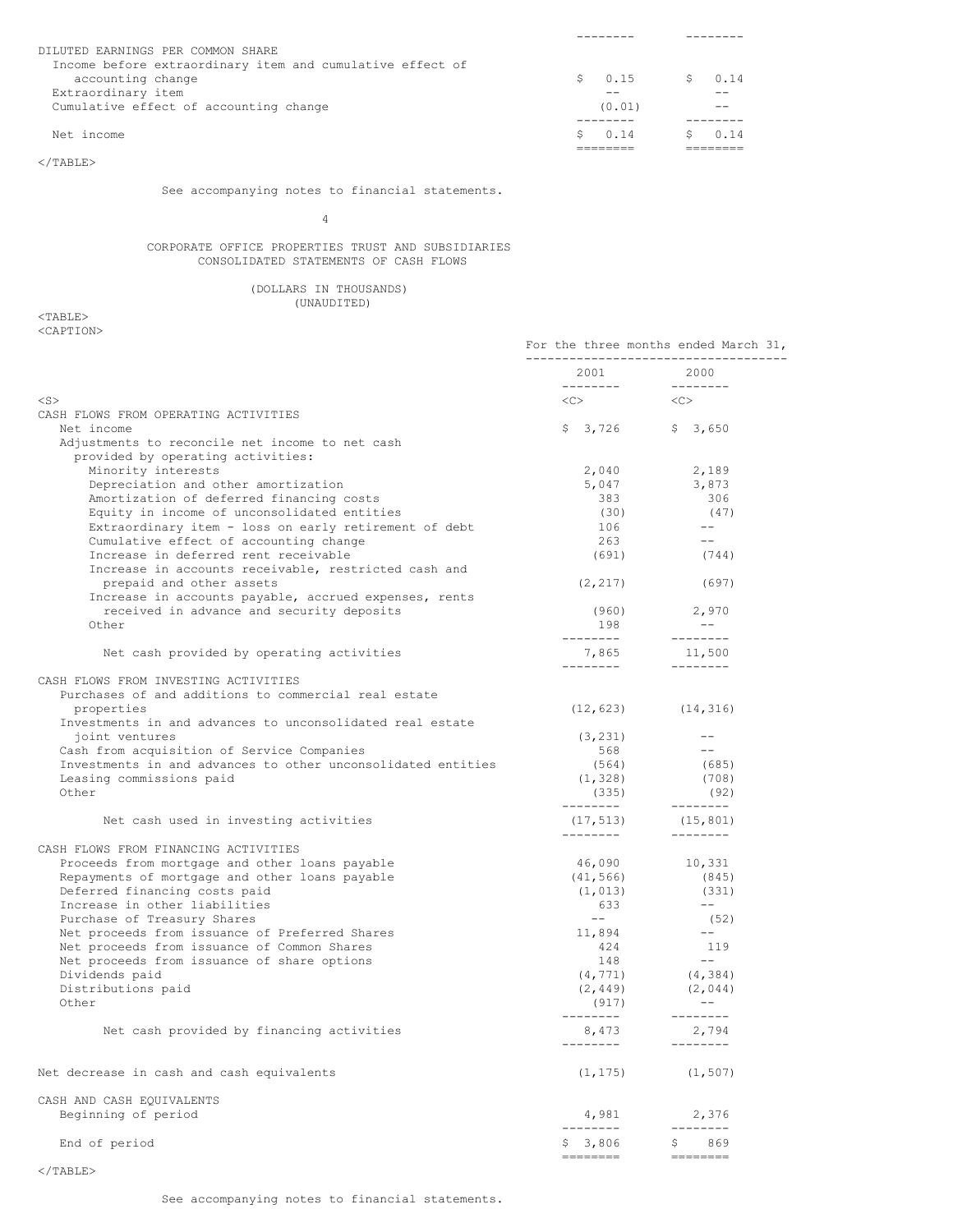| DILUTED EARNINGS PER COMMON SHARE                         |             |      |
|-----------------------------------------------------------|-------------|------|
| Income before extraordinary item and cumulative effect of |             |      |
| accounting change                                         | 0.15        | 0.14 |
| Extraordinary item                                        |             |      |
| Cumulative effect of accounting change                    | (0.01)      |      |
|                                                           |             |      |
| Net income                                                | $S \t 0.14$ | 0.14 |
|                                                           |             |      |

 $<$ /TABLE>

See accompanying notes to financial statements.

4

## CORPORATE OFFICE PROPERTIES TRUST AND SUBSIDIARIES CONSOLIDATED STATEMENTS OF CASH FLOWS

## (DOLLARS IN THOUSANDS) (UNAUDITED)

|                                                                                 | For the three months ended March 31,<br>------------------------------------ |                                |  |
|---------------------------------------------------------------------------------|------------------------------------------------------------------------------|--------------------------------|--|
|                                                                                 | 2001                                                                         | 2000                           |  |
| $<$ S $>$                                                                       | $\langle C \rangle$                                                          | $<<$ $<$ $>$                   |  |
| CASH FLOWS FROM OPERATING ACTIVITIES                                            |                                                                              |                                |  |
| Net income                                                                      | $$3,726$ $$3,650$                                                            |                                |  |
| Adjustments to reconcile net income to net cash                                 |                                                                              |                                |  |
| provided by operating activities:                                               |                                                                              |                                |  |
| Minority interests                                                              | 2,040                                                                        | 2,189                          |  |
| Depreciation and other amortization<br>Amortization of deferred financing costs | 5,047<br>383                                                                 | 3,873<br>306                   |  |
| Equity in income of unconsolidated entities                                     | (30)                                                                         | (47)                           |  |
| Extraordinary item - loss on early retirement of debt                           | 106                                                                          | $---$                          |  |
| Cumulative effect of accounting change                                          | 263                                                                          | $---$                          |  |
| Increase in deferred rent receivable                                            | (691)                                                                        | (744)                          |  |
| Increase in accounts receivable, restricted cash and                            |                                                                              |                                |  |
| prepaid and other assets                                                        | (2, 217)                                                                     | (697)                          |  |
| Increase in accounts payable, accrued expenses, rents                           |                                                                              |                                |  |
| received in advance and security deposits                                       | (960)                                                                        | 2,970                          |  |
| Other                                                                           | 198                                                                          | $- -$                          |  |
|                                                                                 | ---------                                                                    | $- - - - - - - -$              |  |
| Net cash provided by operating activities                                       | 7,865<br>---------                                                           | 11,500<br>$- - - - - - - -$    |  |
| CASH FLOWS FROM INVESTING ACTIVITIES                                            |                                                                              |                                |  |
| Purchases of and additions to commercial real estate                            |                                                                              |                                |  |
| properties                                                                      |                                                                              | $(12, 623)$ $(14, 316)$        |  |
| Investments in and advances to unconsolidated real estate                       |                                                                              |                                |  |
| joint ventures                                                                  | (3, 231)                                                                     | $--$                           |  |
| Cash from acquisition of Service Companies                                      | 568                                                                          | $---$                          |  |
| Investments in and advances to other unconsolidated entities                    | (564)                                                                        | (685)                          |  |
| Leasing commissions paid                                                        | (1, 328)                                                                     | (708)                          |  |
| Other                                                                           | (335)                                                                        | (92)                           |  |
|                                                                                 | ---------                                                                    | $- - - - - - - -$              |  |
| Net cash used in investing activities                                           | (17, 513)<br>________                                                        | (15, 801)<br>$- - - - - - - -$ |  |
| CASH FLOWS FROM FINANCING ACTIVITIES                                            |                                                                              |                                |  |
| Proceeds from mortgage and other loans payable                                  | 46,090                                                                       | 10,331                         |  |
| Repayments of mortgage and other loans payable                                  | (41, 566)                                                                    | (845)                          |  |
| Deferred financing costs paid                                                   | (1, 013)                                                                     | (331)                          |  |
| Increase in other liabilities                                                   | 633                                                                          | $--$                           |  |
| Purchase of Treasury Shares                                                     | $  \,$                                                                       | (52)                           |  |
| Net proceeds from issuance of Preferred Shares                                  | 11,894                                                                       | $--$                           |  |
| Net proceeds from issuance of Common Shares                                     | 424                                                                          | 119                            |  |
| Net proceeds from issuance of share options                                     | 148                                                                          | $--$                           |  |
| Dividends paid                                                                  | (4, 771)                                                                     | (4, 384)                       |  |
| Distributions paid                                                              | (2, 449)                                                                     | (2, 044)                       |  |
| Other                                                                           | (917)                                                                        | $- -$                          |  |
|                                                                                 | ---------                                                                    | $- - - - - - - -$              |  |
| Net cash provided by financing activities                                       | 8,473<br>--------                                                            | 2,794<br>$- - - - - - - -$     |  |
|                                                                                 |                                                                              |                                |  |
| Net decrease in cash and cash equivalents                                       | (1, 175)                                                                     | (1, 507)                       |  |
| CASH AND CASH EQUIVALENTS                                                       |                                                                              |                                |  |
| Beginning of period                                                             | 4,981                                                                        | 2,376                          |  |
|                                                                                 | --------                                                                     | --------                       |  |
| End of period                                                                   | \$ 3,806                                                                     | 869<br>S                       |  |
|                                                                                 | --------                                                                     | $=$ ========                   |  |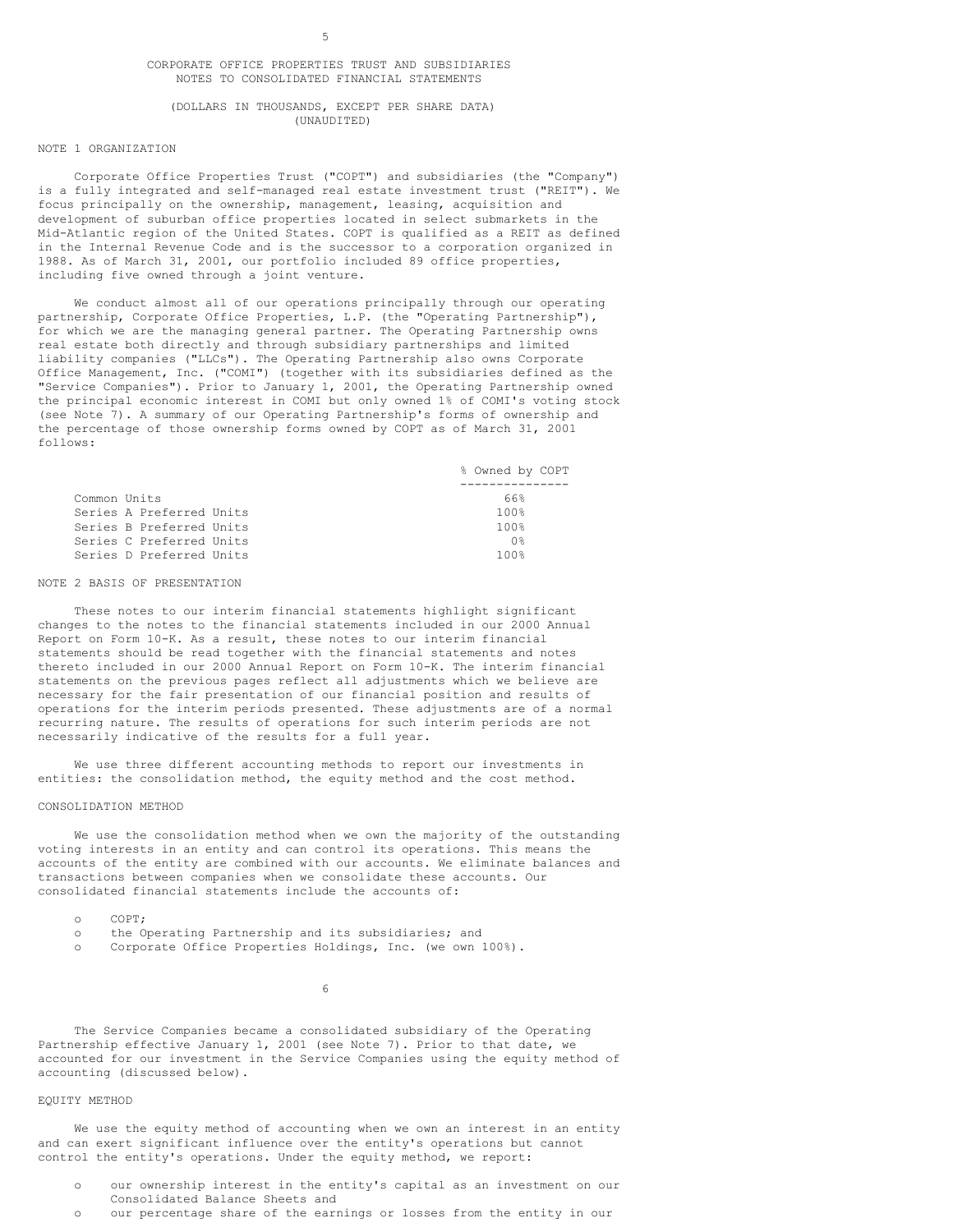#### CORPORATE OFFICE PROPERTIES TRUST AND SUBSIDIARIES NOTES TO CONSOLIDATED FINANCIAL STATEMENTS

#### (DOLLARS IN THOUSANDS, EXCEPT PER SHARE DATA) (UNAUDITED)

## NOTE 1 ORGANIZATION

Corporate Office Properties Trust ("COPT") and subsidiaries (the "Company") is a fully integrated and self-managed real estate investment trust ("REIT"). We focus principally on the ownership, management, leasing, acquisition and development of suburban office properties located in select submarkets in the Mid-Atlantic region of the United States. COPT is qualified as a REIT as defined in the Internal Revenue Code and is the successor to a corporation organized in 1988. As of March 31, 2001, our portfolio included 89 office properties, including five owned through a joint venture.

We conduct almost all of our operations principally through our operating partnership, Corporate Office Properties, L.P. (the "Operating Partnership"), for which we are the managing general partner. The Operating Partnership owns real estate both directly and through subsidiary partnerships and limited liability companies ("LLCs"). The Operating Partnership also owns Corporate Office Management, Inc. ("COMI") (together with its subsidiaries defined as the "Service Companies"). Prior to January 1, 2001, the Operating Partnership owned the principal economic interest in COMI but only owned 1% of COMI's voting stock (see Note 7). A summary of our Operating Partnership's forms of ownership and the percentage of those ownership forms owned by COPT as of March 31, 2001 follows:

|              |                          | % Owned by COPT |
|--------------|--------------------------|-----------------|
|              |                          |                 |
| Common Units |                          | 66%             |
|              | Series A Preferred Units | 100%            |
|              | Series B Preferred Units | 100%            |
|              | Series C Preferred Units | ∩°ຂ             |
|              | Series D Preferred Units | 100%            |

#### NOTE 2 BASIS OF PRESENTATION

These notes to our interim financial statements highlight significant changes to the notes to the financial statements included in our 2000 Annual Report on Form 10-K. As a result, these notes to our interim financial statements should be read together with the financial statements and notes thereto included in our 2000 Annual Report on Form 10-K. The interim financial statements on the previous pages reflect all adjustments which we believe are necessary for the fair presentation of our financial position and results of operations for the interim periods presented. These adjustments are of a normal recurring nature. The results of operations for such interim periods are not necessarily indicative of the results for a full year.

We use three different accounting methods to report our investments in entities: the consolidation method, the equity method and the cost method.

#### CONSOLIDATION METHOD

We use the consolidation method when we own the majority of the outstanding voting interests in an entity and can control its operations. This means the accounts of the entity are combined with our accounts. We eliminate balances and transactions between companies when we consolidate these accounts. Our consolidated financial statements include the accounts of:

- o COPT;
- o the Operating Partnership and its subsidiaries; and
- o Corporate Office Properties Holdings, Inc. (we own 100%).

6

The Service Companies became a consolidated subsidiary of the Operating Partnership effective January 1, 2001 (see Note 7). Prior to that date, we accounted for our investment in the Service Companies using the equity method of accounting (discussed below).

## EQUITY METHOD

We use the equity method of accounting when we own an interest in an entity and can exert significant influence over the entity's operations but cannot control the entity's operations. Under the equity method, we report:

- o our ownership interest in the entity's capital as an investment on our Consolidated Balance Sheets and
- o our percentage share of the earnings or losses from the entity in our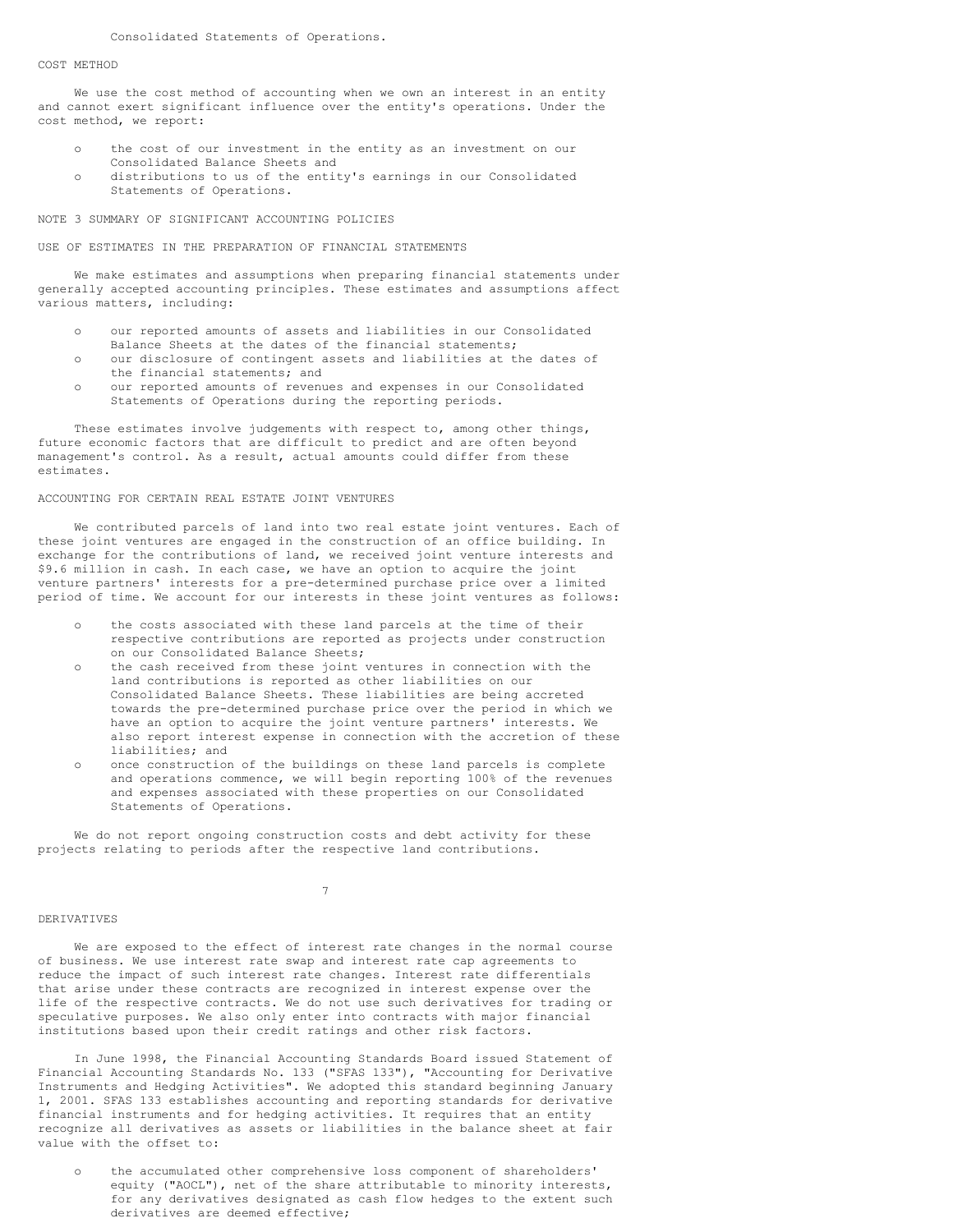#### Consolidated Statements of Operations.

#### COST METHOD

We use the cost method of accounting when we own an interest in an entity and cannot exert significant influence over the entity's operations. Under the cost method, we report:

- o the cost of our investment in the entity as an investment on our Consolidated Balance Sheets and
- o distributions to us of the entity's earnings in our Consolidated Statements of Operations.

#### NOTE 3 SUMMARY OF SIGNIFICANT ACCOUNTING POLICIES

## USE OF ESTIMATES IN THE PREPARATION OF FINANCIAL STATEMENTS

We make estimates and assumptions when preparing financial statements under generally accepted accounting principles. These estimates and assumptions affect various matters, including:

- o our reported amounts of assets and liabilities in our Consolidated
- Balance Sheets at the dates of the financial statements;
- o our disclosure of contingent assets and liabilities at the dates of the financial statements; and
- o our reported amounts of revenues and expenses in our Consolidated Statements of Operations during the reporting periods.

These estimates involve judgements with respect to, among other things, future economic factors that are difficult to predict and are often beyond management's control. As a result, actual amounts could differ from these estimates.

#### ACCOUNTING FOR CERTAIN REAL ESTATE JOINT VENTURES

We contributed parcels of land into two real estate joint ventures. Each of these joint ventures are engaged in the construction of an office building. In exchange for the contributions of land, we received joint venture interests and \$9.6 million in cash. In each case, we have an option to acquire the joint venture partners' interests for a pre-determined purchase price over a limited period of time. We account for our interests in these joint ventures as follows:

- o the costs associated with these land parcels at the time of their respective contributions are reported as projects under construction on our Consolidated Balance Sheets;
- o the cash received from these joint ventures in connection with the land contributions is reported as other liabilities on our Consolidated Balance Sheets. These liabilities are being accreted towards the pre-determined purchase price over the period in which we have an option to acquire the joint venture partners' interests. We also report interest expense in connection with the accretion of these liabilities; and
- o once construction of the buildings on these land parcels is complete and operations commence, we will begin reporting 100% of the revenues and expenses associated with these properties on our Consolidated Statements of Operations.

We do not report ongoing construction costs and debt activity for these projects relating to periods after the respective land contributions.

7

#### DERIVATIVES

We are exposed to the effect of interest rate changes in the normal course of business. We use interest rate swap and interest rate cap agreements to reduce the impact of such interest rate changes. Interest rate differentials that arise under these contracts are recognized in interest expense over the life of the respective contracts. We do not use such derivatives for trading or speculative purposes. We also only enter into contracts with major financial institutions based upon their credit ratings and other risk factors.

In June 1998, the Financial Accounting Standards Board issued Statement of Financial Accounting Standards No. 133 ("SFAS 133"), "Accounting for Derivative Instruments and Hedging Activities". We adopted this standard beginning January 1, 2001. SFAS 133 establishes accounting and reporting standards for derivative financial instruments and for hedging activities. It requires that an entity recognize all derivatives as assets or liabilities in the balance sheet at fair value with the offset to:

the accumulated other comprehensive loss component of shareholders' equity ("AOCL"), net of the share attributable to minority interests, for any derivatives designated as cash flow hedges to the extent such derivatives are deemed effective;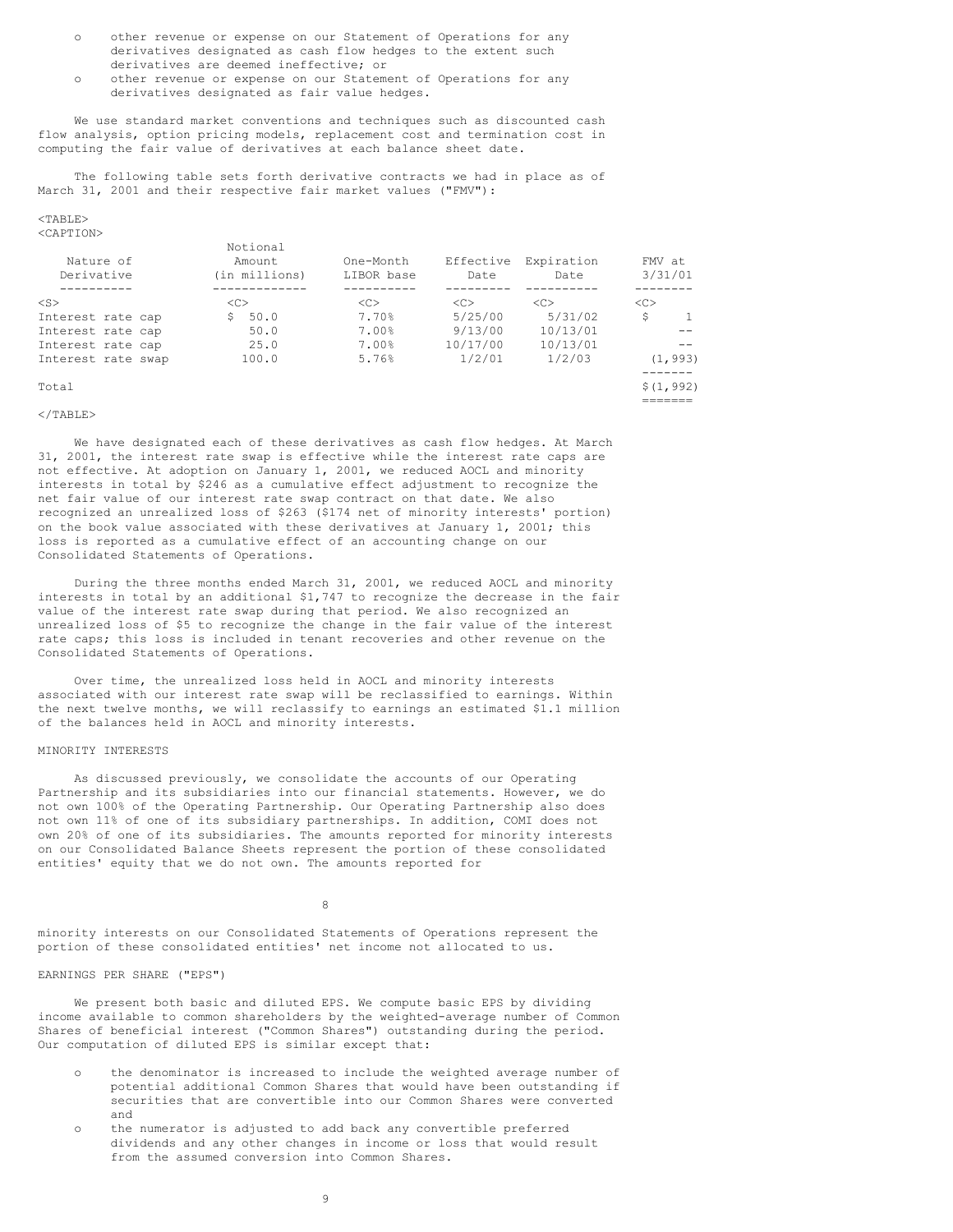- o other revenue or expense on our Statement of Operations for any derivatives designated as cash flow hedges to the extent such derivatives are deemed ineffective; or
- o other revenue or expense on our Statement of Operations for any derivatives designated as fair value hedges.

We use standard market conventions and techniques such as discounted cash flow analysis, option pricing models, replacement cost and termination cost in computing the fair value of derivatives at each balance sheet date.

The following table sets forth derivative contracts we had in place as of March 31, 2001 and their respective fair market values ("FMV"):

#### $<$ TABLE> <CAPTION>

| Nature of<br>Derivative | Notional<br>Amount<br>(in millions) | One-Month<br>LIBOR base | Effective<br>Date | Expiration<br>Date | FMV at<br>3/31/01 |  |
|-------------------------|-------------------------------------|-------------------------|-------------------|--------------------|-------------------|--|
|                         |                                     |                         |                   |                    |                   |  |
| $<$ S $>$               | <<                                  | <<                      | <<                | < <sub></sub>      | <<                |  |
| Interest rate cap       | 50.0<br>S.                          | 7.70%                   | 5/25/00           | 5/31/02            | \$                |  |
| Interest rate cap       | 50.0                                | 7.00%                   | 9/13/00           | 10/13/01           |                   |  |
| Interest rate cap       | 25.0                                | 7.00%                   | 10/17/00          | 10/13/01           |                   |  |
| Interest rate swap      | 100.0                               | 5.76%                   | 1/2/01            | 1/2/03             | (1, 993)          |  |
| Total                   |                                     |                         |                   |                    | \$(1, 992)        |  |

=======

## $<$ /TABLE>

We have designated each of these derivatives as cash flow hedges. At March 31, 2001, the interest rate swap is effective while the interest rate caps are not effective. At adoption on January 1, 2001, we reduced AOCL and minority interests in total by \$246 as a cumulative effect adjustment to recognize the net fair value of our interest rate swap contract on that date. We also recognized an unrealized loss of \$263 (\$174 net of minority interests' portion) on the book value associated with these derivatives at January 1, 2001; this loss is reported as a cumulative effect of an accounting change on our Consolidated Statements of Operations.

During the three months ended March 31, 2001, we reduced AOCL and minority interests in total by an additional \$1,747 to recognize the decrease in the fair value of the interest rate swap during that period. We also recognized an unrealized loss of \$5 to recognize the change in the fair value of the interest rate caps; this loss is included in tenant recoveries and other revenue on the Consolidated Statements of Operations.

Over time, the unrealized loss held in AOCL and minority interests associated with our interest rate swap will be reclassified to earnings. Within the next twelve months, we will reclassify to earnings an estimated \$1.1 million of the balances held in AOCL and minority interests.

## MINORITY INTERESTS

As discussed previously, we consolidate the accounts of our Operating Partnership and its subsidiaries into our financial statements. However, we do not own 100% of the Operating Partnership. Our Operating Partnership also does not own 11% of one of its subsidiary partnerships. In addition, COMI does not own 20% of one of its subsidiaries. The amounts reported for minority interests on our Consolidated Balance Sheets represent the portion of these consolidated entities' equity that we do not own. The amounts reported for

8

minority interests on our Consolidated Statements of Operations represent the portion of these consolidated entities' net income not allocated to us.

## EARNINGS PER SHARE ("EPS")

We present both basic and diluted EPS. We compute basic EPS by dividing income available to common shareholders by the weighted-average number of Common Shares of beneficial interest ("Common Shares") outstanding during the period. Our computation of diluted EPS is similar except that:

- the denominator is increased to include the weighted average number of potential additional Common Shares that would have been outstanding if securities that are convertible into our Common Shares were converted and
- the numerator is adjusted to add back any convertible preferred dividends and any other changes in income or loss that would result from the assumed conversion into Common Shares.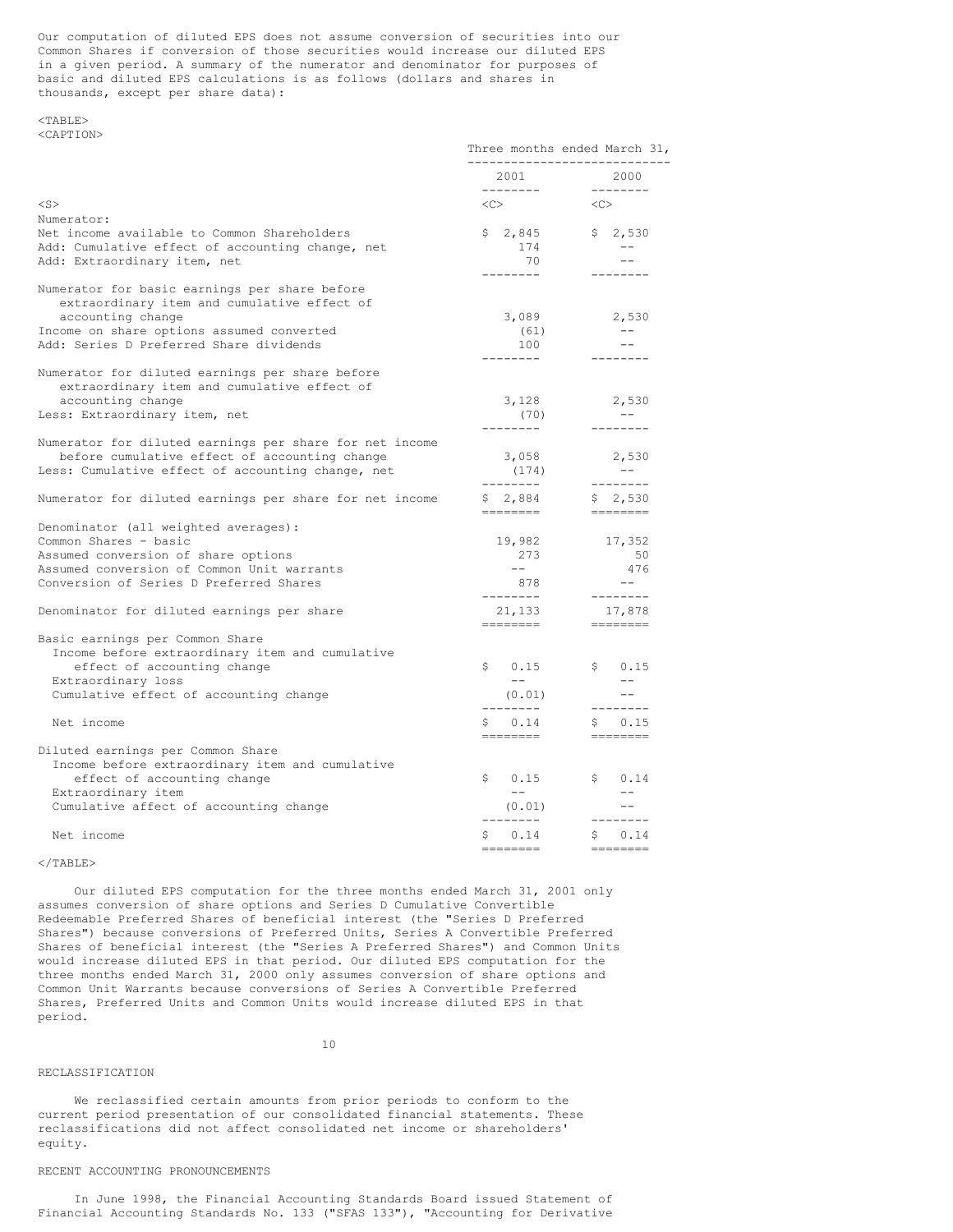Our computation of diluted EPS does not assume conversion of securities into our Common Shares if conversion of those securities would increase our diluted EPS in a given period. A summary of the numerator and denominator for purposes of basic and diluted EPS calculations is as follows (dollars and shares in thousands, except per share data):

## $<$ TABLE> <CAPTION>

|                                                                                                                                                                                                           | Three months ended March 31,<br>----------------------------- |                                                                                                                                                                                                                                                                                                                                                                                                                                                                                                                                         |
|-----------------------------------------------------------------------------------------------------------------------------------------------------------------------------------------------------------|---------------------------------------------------------------|-----------------------------------------------------------------------------------------------------------------------------------------------------------------------------------------------------------------------------------------------------------------------------------------------------------------------------------------------------------------------------------------------------------------------------------------------------------------------------------------------------------------------------------------|
|                                                                                                                                                                                                           | 2001                                                          | 2000                                                                                                                                                                                                                                                                                                                                                                                                                                                                                                                                    |
| $<$ S $>$                                                                                                                                                                                                 | $<<$ $>$                                                      | < <c></c>                                                                                                                                                                                                                                                                                                                                                                                                                                                                                                                               |
| Numerator:<br>Net income available to Common Shareholders<br>Add: Cumulative effect of accounting change, net<br>Add: Extraordinary item, net                                                             | \$2,845<br>174<br>70<br>--------                              | \$2,530<br>$- -$<br>$- -$<br>--------                                                                                                                                                                                                                                                                                                                                                                                                                                                                                                   |
| Numerator for basic earnings per share before<br>extraordinary item and cumulative effect of<br>accounting change<br>Income on share options assumed converted<br>Add: Series D Preferred Share dividends | 3,089<br>(61)<br>100<br>--------                              | 2,530<br>$\qquad \qquad -$<br>--------                                                                                                                                                                                                                                                                                                                                                                                                                                                                                                  |
| Numerator for diluted earnings per share before<br>extraordinary item and cumulative effect of<br>accounting change<br>Less: Extraordinary item, net                                                      | 3,128<br>(70)<br>---------                                    | 2,530<br>$- -$<br>--------                                                                                                                                                                                                                                                                                                                                                                                                                                                                                                              |
| Numerator for diluted earnings per share for net income<br>before cumulative effect of accounting change<br>Less: Cumulative effect of accounting change, net                                             | 3,058<br>(174)<br>--------                                    | 2,530<br>$- - -$<br>$- - - - - - - -$                                                                                                                                                                                                                                                                                                                                                                                                                                                                                                   |
| Numerator for diluted earnings per share for net income                                                                                                                                                   | \$2,884<br>--------                                           | \$2,530<br>$\begin{array}{cccccccccc} \multicolumn{2}{c}{} & \multicolumn{2}{c}{} & \multicolumn{2}{c}{} & \multicolumn{2}{c}{} & \multicolumn{2}{c}{} & \multicolumn{2}{c}{} & \multicolumn{2}{c}{} & \multicolumn{2}{c}{} & \multicolumn{2}{c}{} & \multicolumn{2}{c}{} & \multicolumn{2}{c}{} & \multicolumn{2}{c}{} & \multicolumn{2}{c}{} & \multicolumn{2}{c}{} & \multicolumn{2}{c}{} & \multicolumn{2}{c}{} & \multicolumn{2}{c}{} & \multicolumn{2}{c}{} & \multicolumn{2}{c}{} & \mult$                                       |
| Denominator (all weighted averages):<br>Common Shares - basic<br>Assumed conversion of share options<br>Assumed conversion of Common Unit warrants<br>Conversion of Series D Preferred Shares             | 19,982<br>273<br>$   \,$<br>878<br>---------                  | 17,352<br>50<br>476<br>$  \,$                                                                                                                                                                                                                                                                                                                                                                                                                                                                                                           |
| Denominator for diluted earnings per share                                                                                                                                                                | 21,133                                                        | $- - - - - - - -$<br>17,878                                                                                                                                                                                                                                                                                                                                                                                                                                                                                                             |
| Basic earnings per Common Share<br>Income before extraordinary item and cumulative<br>effect of accounting change<br>Extraordinary loss<br>Cumulative effect of accounting change                         | ========<br>\$0.15<br>$  \,$<br>(0.01)<br>---------           | $\begin{array}{cccccccccc} \multicolumn{2}{c}{} & \multicolumn{2}{c}{} & \multicolumn{2}{c}{} & \multicolumn{2}{c}{} & \multicolumn{2}{c}{} & \multicolumn{2}{c}{} & \multicolumn{2}{c}{} & \multicolumn{2}{c}{} & \multicolumn{2}{c}{} & \multicolumn{2}{c}{} & \multicolumn{2}{c}{} & \multicolumn{2}{c}{} & \multicolumn{2}{c}{} & \multicolumn{2}{c}{} & \multicolumn{2}{c}{} & \multicolumn{2}{c}{} & \multicolumn{2}{c}{} & \multicolumn{2}{c}{} & \multicolumn{2}{c}{} & \mult$<br>\$0.15<br>$- -$<br>$- -$<br>$- - - - - - - -$ |
| Net income                                                                                                                                                                                                | \$0.14<br>________                                            | \$0.15<br>========                                                                                                                                                                                                                                                                                                                                                                                                                                                                                                                      |
| Diluted earnings per Common Share<br>Income before extraordinary item and cumulative<br>effect of accounting change<br>Extraordinary item<br>Cumulative affect of accounting change                       | \$0.15<br>$-  -$<br>(0.01)<br>---------                       | \$0.14<br>$\frac{1}{2}$<br>$- -$<br>$- - - - - - - -$                                                                                                                                                                                                                                                                                                                                                                                                                                                                                   |
| Net income                                                                                                                                                                                                | \$0.14<br>========                                            | \$0.14<br>========                                                                                                                                                                                                                                                                                                                                                                                                                                                                                                                      |

## $<$ /TABLE>

Our diluted EPS computation for the three months ended March 31, 2001 only assumes conversion of share options and Series D Cumulative Convertible Redeemable Preferred Shares of beneficial interest (the "Series D Preferred Shares") because conversions of Preferred Units, Series A Convertible Preferred Shares of beneficial interest (the "Series A Preferred Shares") and Common Units would increase diluted EPS in that period. Our diluted EPS computation for the three months ended March 31, 2000 only assumes conversion of share options and Common Unit Warrants because conversions of Series A Convertible Preferred Shares, Preferred Units and Common Units would increase diluted EPS in that period.

10

#### RECLASSIFICATION

We reclassified certain amounts from prior periods to conform to the current period presentation of our consolidated financial statements. These reclassifications did not affect consolidated net income or shareholders' equity.

## RECENT ACCOUNTING PRONOUNCEMENTS

In June 1998, the Financial Accounting Standards Board issued Statement of Financial Accounting Standards No. 133 ("SFAS 133"), "Accounting for Derivative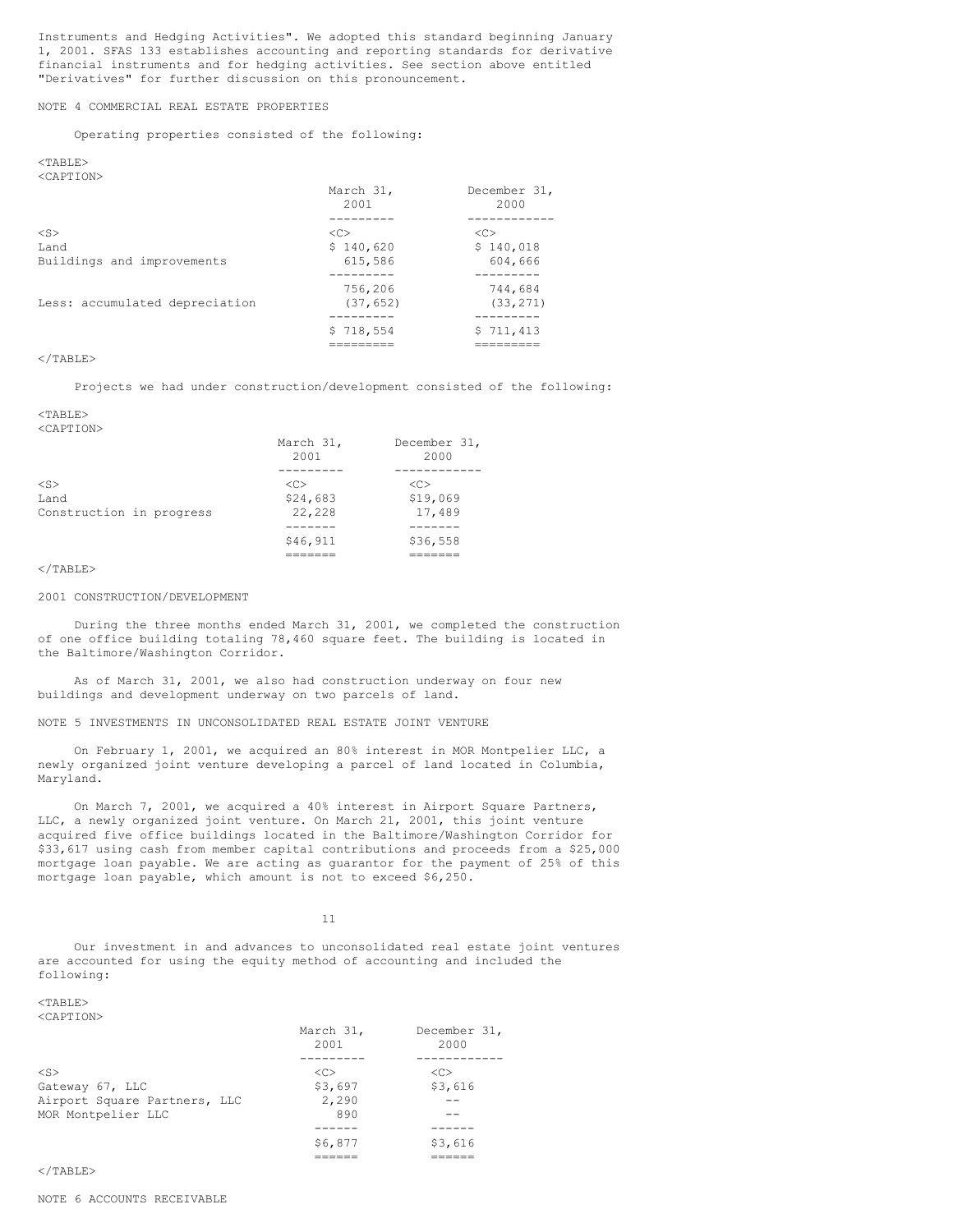Instruments and Hedging Activities". We adopted this standard beginning January 1, 2001. SFAS 133 establishes accounting and reporting standards for derivative financial instruments and for hedging activities. See section above entitled "Derivatives" for further discussion on this pronouncement.

NOTE 4 COMMERCIAL REAL ESTATE PROPERTIES

Operating properties consisted of the following:

#### <TABLE> <CAPTION>

|                                | March 31,<br>2001 | December 31,<br>2000 |
|--------------------------------|-------------------|----------------------|
| $<$ S $>$                      | <<                | < <sub></sub>        |
| Land                           | \$140,620         | \$140,018            |
| Buildings and improvements     | 615,586           | 604,666              |
|                                |                   |                      |
|                                | 756,206           | 744,684              |
| Less: accumulated depreciation | (37, 652)         | (33, 271)            |
|                                |                   |                      |
|                                | \$718,554         | \$711,413            |
|                                | ========          |                      |

## $\langle$ /TABLE>

Projects we had under construction/development consisted of the following:

#### <TABLE> <CAPTION>

|                                               | March 31,<br>2001                     | December 31,<br>2000            |
|-----------------------------------------------|---------------------------------------|---------------------------------|
| $<$ S $>$<br>Land<br>Construction in progress | < <sub><br/>\$24,683<br/>22,228</sub> | <c><br/>\$19,069<br/>17,489</c> |
|                                               | \$46,911                              | \$36,558                        |

#### $\langle$ /TABLE>

## 2001 CONSTRUCTION/DEVELOPMENT

During the three months ended March 31, 2001, we completed the construction of one office building totaling 78,460 square feet. The building is located in the Baltimore/Washington Corridor.

As of March 31, 2001, we also had construction underway on four new buildings and development underway on two parcels of land.

NOTE 5 INVESTMENTS IN UNCONSOLIDATED REAL ESTATE JOINT VENTURE

On February 1, 2001, we acquired an 80% interest in MOR Montpelier LLC, a newly organized joint venture developing a parcel of land located in Columbia, Maryland.

On March 7, 2001, we acquired a 40% interest in Airport Square Partners, LLC, a newly organized joint venture. On March 21, 2001, this joint venture acquired five office buildings located in the Baltimore/Washington Corridor for \$33,617 using cash from member capital contributions and proceeds from a \$25,000 mortgage loan payable. We are acting as guarantor for the payment of 25% of this mortgage loan payable, which amount is not to exceed \$6,250.

11

Our investment in and advances to unconsolidated real estate joint ventures are accounted for using the equity method of accounting and included the following:

====== ======

<TABLE> <CAPTION>

|                              | March 31,<br>2001 | December 31,<br>2000 |
|------------------------------|-------------------|----------------------|
|                              |                   |                      |
| $<$ S $>$                    | <<                | < <sub></sub>        |
| Gateway 67, LLC              | \$3,697           | \$3,616              |
| Airport Square Partners, LLC | 2,290             |                      |
| MOR Montpelier LLC           | 890               |                      |
|                              |                   |                      |
|                              | \$6,877           | \$3,616              |

 $\langle$ /TABLE>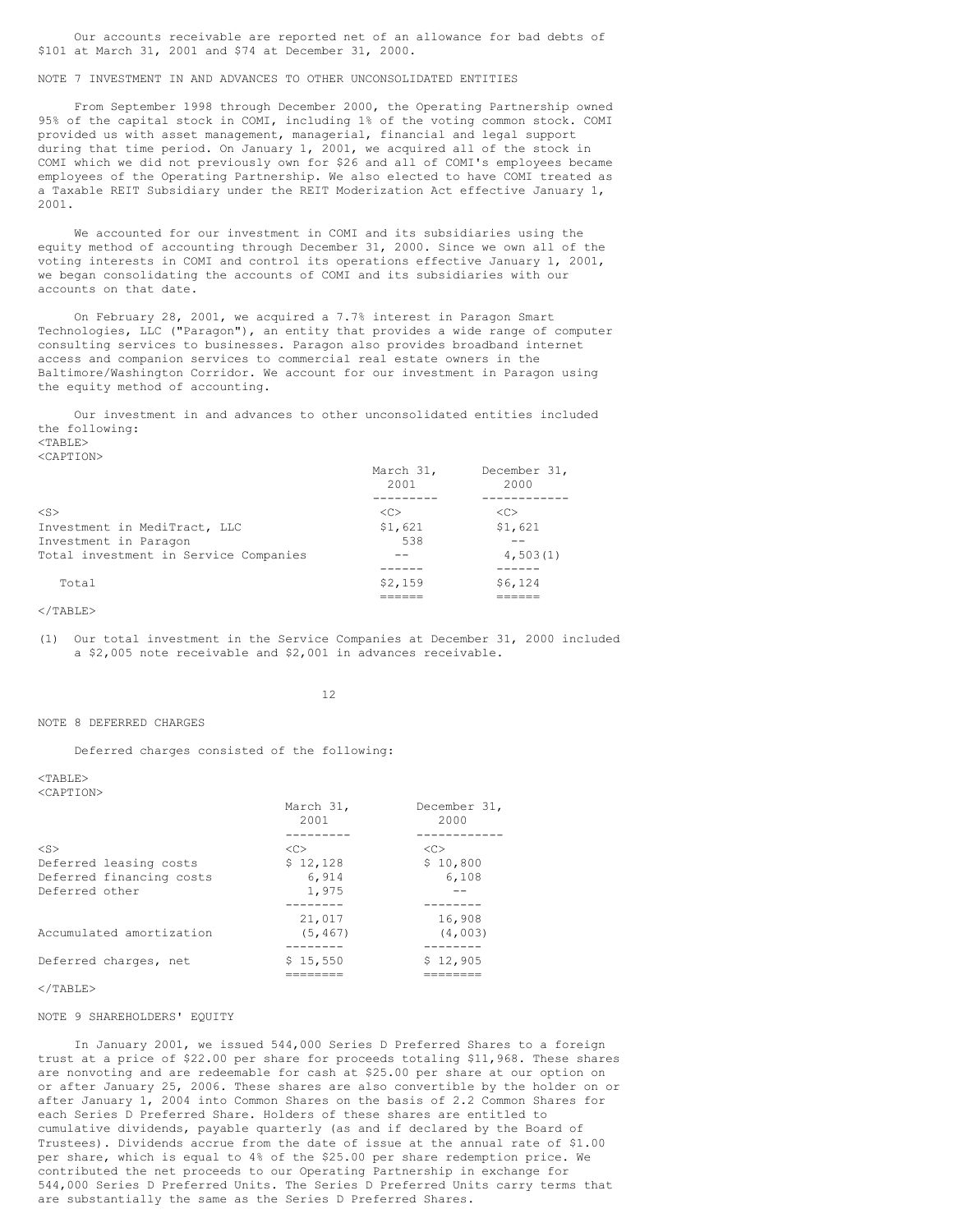Our accounts receivable are reported net of an allowance for bad debts of \$101 at March 31, 2001 and \$74 at December 31, 2000.

## NOTE 7 INVESTMENT IN AND ADVANCES TO OTHER UNCONSOLIDATED ENTITIES

From September 1998 through December 2000, the Operating Partnership owned 95% of the capital stock in COMI, including 1% of the voting common stock. COMI provided us with asset management, managerial, financial and legal support during that time period. On January 1, 2001, we acquired all of the stock in COMI which we did not previously own for \$26 and all of COMI's employees became employees of the Operating Partnership. We also elected to have COMI treated as a Taxable REIT Subsidiary under the REIT Moderization Act effective January 1, 2001.

We accounted for our investment in COMI and its subsidiaries using the equity method of accounting through December 31, 2000. Since we own all of the voting interests in COMI and control its operations effective January 1, 2001, we began consolidating the accounts of COMI and its subsidiaries with our accounts on that date.

On February 28, 2001, we acquired a 7.7% interest in Paragon Smart Technologies, LLC ("Paragon"), an entity that provides a wide range of computer consulting services to businesses. Paragon also provides broadband internet access and companion services to commercial real estate owners in the Baltimore/Washington Corridor. We account for our investment in Paragon using the equity method of accounting.

Our investment in and advances to other unconsolidated entities included the following:  $<$ TABLE $>$ 

<CAPTION>

|                                       | March 31,<br>2001   | December 31,<br>2000 |
|---------------------------------------|---------------------|----------------------|
|                                       |                     |                      |
| $<$ S $>$                             | $\langle C \rangle$ | $\langle C \rangle$  |
| Investment in MediTract, LLC          | \$1,621             | \$1,621              |
| Investment in Paragon                 | 538                 |                      |
| Total investment in Service Companies |                     | 4,503(1)             |
|                                       |                     |                      |
| Total                                 | \$2,159             | \$6,124              |
|                                       |                     |                      |

 $<$ /TABLE>

(1) Our total investment in the Service Companies at December 31, 2000 included a \$2,005 note receivable and \$2,001 in advances receivable.

12

#### NOTE 8 DEFERRED CHARGES

Deferred charges consisted of the following:

 $<$ TABLE>

| $<$ CAPTION $>$          |                   |                      |
|--------------------------|-------------------|----------------------|
|                          | March 31,<br>2001 | December 31,<br>2000 |
|                          |                   |                      |
| $<$ S $>$                | < <sub></sub>     | <<                   |
| Deferred leasing costs   | \$12,128          | \$10,800             |
| Deferred financing costs | 6,914             | 6,108                |
| Deferred other           | 1,975             |                      |
|                          |                   |                      |
|                          | 21,017            | 16,908               |
| Accumulated amortization | (5, 467)          | (4,003)              |
|                          | -------           | _____                |
| Deferred charges, net    | \$15.550          | \$12,905             |
|                          |                   |                      |

#### $\langle$ /TABLE>

## NOTE 9 SHAREHOLDERS' EQUITY

In January 2001, we issued 544,000 Series D Preferred Shares to a foreign trust at a price of \$22.00 per share for proceeds totaling \$11,968. These shares are nonvoting and are redeemable for cash at \$25.00 per share at our option on or after January 25, 2006. These shares are also convertible by the holder on or after January 1, 2004 into Common Shares on the basis of 2.2 Common Shares for each Series D Preferred Share. Holders of these shares are entitled to cumulative dividends, payable quarterly (as and if declared by the Board of Trustees). Dividends accrue from the date of issue at the annual rate of \$1.00 per share, which is equal to 4% of the \$25.00 per share redemption price. We contributed the net proceeds to our Operating Partnership in exchange for 544,000 Series D Preferred Units. The Series D Preferred Units carry terms that are substantially the same as the Series D Preferred Shares.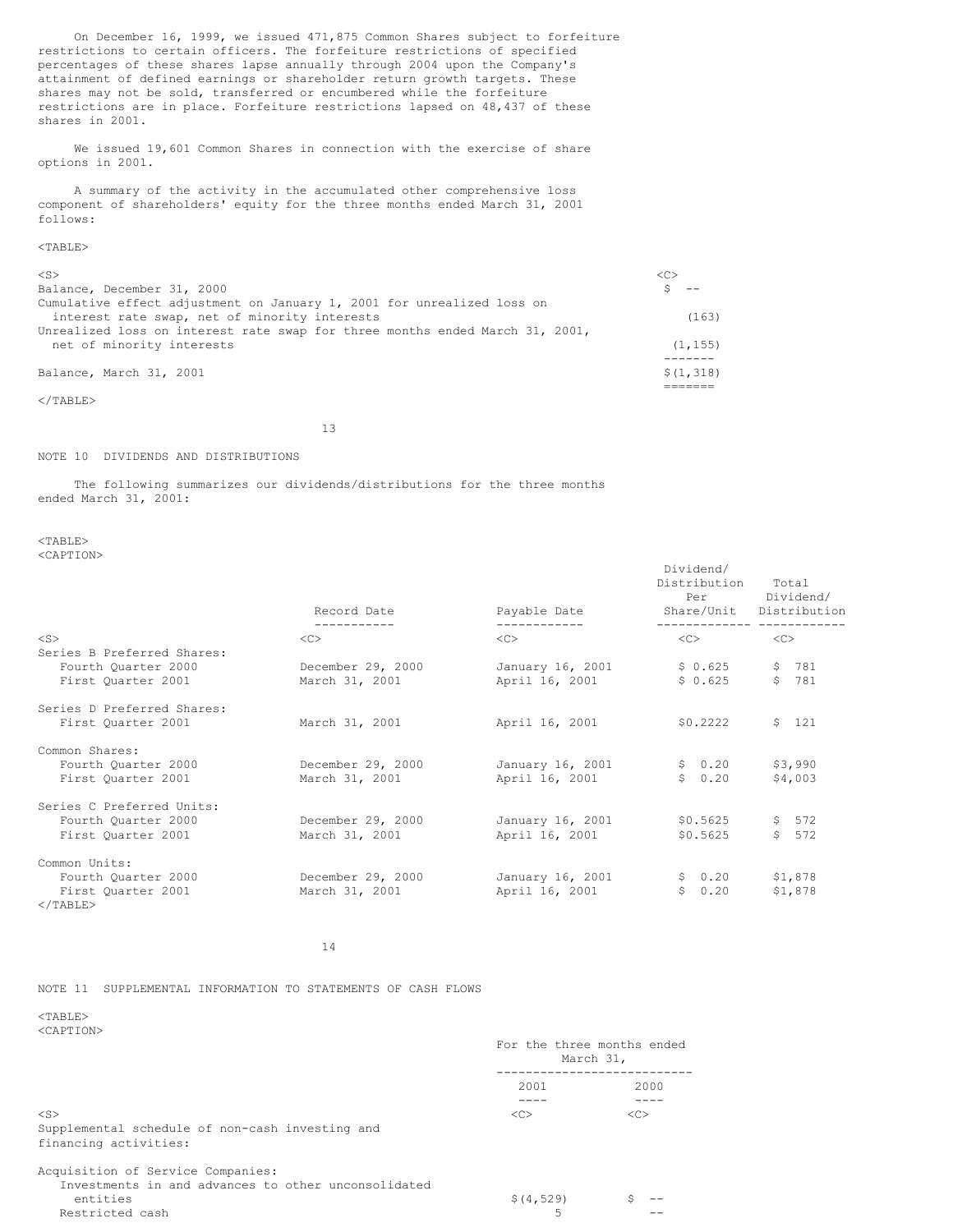On December 16, 1999, we issued 471,875 Common Shares subject to forfeiture restrictions to certain officers. The forfeiture restrictions of specified percentages of these shares lapse annually through 2004 upon the Company's attainment of defined earnings or shareholder return growth targets. These shares may not be sold, transferred or encumbered while the forfeiture restrictions are in place. Forfeiture restrictions lapsed on 48,437 of these shares in 2001.

We issued 19,601 Common Shares in connection with the exercise of share options in 2001.

A summary of the activity in the accumulated other comprehensive loss component of shareholders' equity for the three months ended March 31, 2001 follows:

## <TABLE>

| Balance, March 31, 2001                                                      | \$(1,318) |
|------------------------------------------------------------------------------|-----------|
|                                                                              |           |
| net of minority interests                                                    | (1, 155)  |
| Unrealized loss on interest rate swap for three months ended March 31, 2001, |           |
| interest rate swap, net of minority interests                                | (163)     |
| Cumulative effect adjustment on January 1, 2001 for unrealized loss on       |           |
| Balance, December 31, 2000                                                   |           |
| $<$ S>                                                                       |           |
|                                                                              |           |

 $<$ /TABLE $>$ 

13

#### NOTE 10 DIVIDENDS AND DISTRIBUTIONS

The following summarizes our dividends/distributions for the three months ended March 31, 2001:

 $<$ TABLE $>$ <CAPTION>

| $50111 + 10187$                                  | Record Date              | Payable Date       | Dividend/<br>Distribution<br>Per<br>Share/Unit | Total<br>Dividend/<br>Distribution |
|--------------------------------------------------|--------------------------|--------------------|------------------------------------------------|------------------------------------|
| $<$ S $>$                                        | -----------<br>$<<$ $>>$ | ------------<br><< | ______________ ________<br>$<<$ $>>$           | <<                                 |
| Series B Preferred Shares:                       |                          |                    |                                                |                                    |
| Fourth Ouarter 2000                              | December 29, 2000        | January 16, 2001   | \$0.625                                        | \$ 781                             |
| First Quarter 2001                               | March 31, 2001           | April 16, 2001     | \$0.625                                        | \$781                              |
| Series D Preferred Shares:<br>First Ouarter 2001 | March 31, 2001           | April 16, 2001     | \$0.2222                                       | \$121                              |
| Common Shares:                                   |                          |                    |                                                |                                    |
| Fourth Quarter 2000                              | December 29, 2000        | January 16, 2001   | \$0.20                                         | \$3,990                            |
| First Quarter 2001                               | March 31, 2001           | April 16, 2001     | \$0.20                                         | \$4,003                            |
| Series C Preferred Units:                        |                          |                    |                                                |                                    |
| Fourth Quarter 2000                              | December 29, 2000        | January 16, 2001   | \$0.5625                                       | \$572                              |
| First Ouarter 2001                               | March 31, 2001           | April 16, 2001     | \$0.5625                                       | \$572                              |
| Common Units:                                    |                          |                    |                                                |                                    |
| Fourth Quarter 2000                              | December 29, 2000        | January 16, 2001   | \$0.20                                         | \$1,878                            |
| First Quarter 2001                               | March 31, 2001           | April 16, 2001     | \$0.20                                         | \$1,878                            |
| $<$ /TABLE>                                      |                          |                    |                                                |                                    |

14

## NOTE 11 SUPPLEMENTAL INFORMATION TO STATEMENTS OF CASH FLOWS

<TABLE>  $\sqrt{C}$   $\sqrt{C}$   $\sqrt{C}$ 

| NUAL 1 |  |  |
|--------|--|--|
|        |  |  |

|                                                                                                                         | For the three months ended<br>March 31, |               |
|-------------------------------------------------------------------------------------------------------------------------|-----------------------------------------|---------------|
|                                                                                                                         | 2001                                    | 2000          |
| $<$ S><br>Supplemental schedule of non-cash investing and<br>financing activities:                                      | <<                                      | < <sub></sub> |
| Acquisition of Service Companies:<br>Investments in and advances to other unconsolidated<br>entities<br>Restricted cash | \$ (4, 529)<br>5                        |               |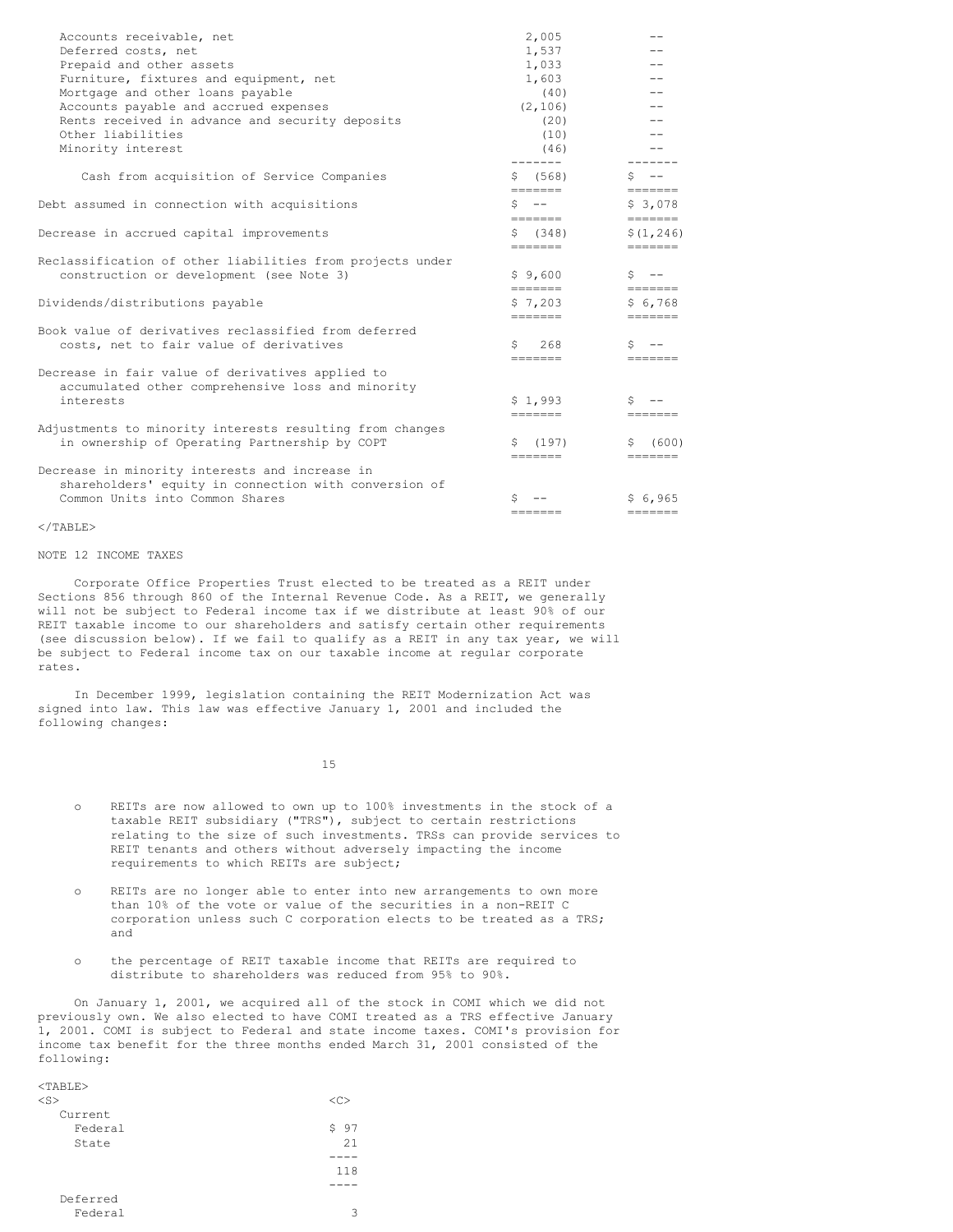| Accounts receivable, net                                  | 2,005                       |                                                                                                                                                                                                                                                                                                                                                                                                                                                                                            |
|-----------------------------------------------------------|-----------------------------|--------------------------------------------------------------------------------------------------------------------------------------------------------------------------------------------------------------------------------------------------------------------------------------------------------------------------------------------------------------------------------------------------------------------------------------------------------------------------------------------|
| Deferred costs, net                                       | 1,537                       |                                                                                                                                                                                                                                                                                                                                                                                                                                                                                            |
| Prepaid and other assets                                  | 1,033                       |                                                                                                                                                                                                                                                                                                                                                                                                                                                                                            |
| Furniture, fixtures and equipment, net                    | 1,603                       |                                                                                                                                                                                                                                                                                                                                                                                                                                                                                            |
| Mortgage and other loans payable                          | (40)                        |                                                                                                                                                                                                                                                                                                                                                                                                                                                                                            |
| Accounts payable and accrued expenses                     | (2, 106)                    |                                                                                                                                                                                                                                                                                                                                                                                                                                                                                            |
| Rents received in advance and security deposits           | (20)                        |                                                                                                                                                                                                                                                                                                                                                                                                                                                                                            |
| Other liabilities                                         | (10)                        |                                                                                                                                                                                                                                                                                                                                                                                                                                                                                            |
| Minority interest                                         | (46)                        |                                                                                                                                                                                                                                                                                                                                                                                                                                                                                            |
| Cash from acquisition of Service Companies                | \$ (568)                    | $S$ $-$                                                                                                                                                                                                                                                                                                                                                                                                                                                                                    |
|                                                           | =======                     | $\qquad \qquad \blacksquare \blacksquare \blacksquare \blacksquare \blacksquare \blacksquare \blacksquare \blacksquare$                                                                                                                                                                                                                                                                                                                                                                    |
| Debt assumed in connection with acquisitions              | $S$ --<br>=======           | \$3,078<br>$=$ ======                                                                                                                                                                                                                                                                                                                                                                                                                                                                      |
| Decrease in accrued capital improvements                  | \$ (348)                    | \$(1, 246)                                                                                                                                                                                                                                                                                                                                                                                                                                                                                 |
|                                                           | --------                    |                                                                                                                                                                                                                                                                                                                                                                                                                                                                                            |
| Reclassification of other liabilities from projects under |                             |                                                                                                                                                                                                                                                                                                                                                                                                                                                                                            |
| construction or development (see Note 3)                  | \$9,600<br>=======          | $S$ $-$<br>$\begin{tabular}{ll} \multicolumn{2}{c}{\textbf{m}} & \multicolumn{2}{c}{\textbf{m}} & \multicolumn{2}{c}{\textbf{m}} & \multicolumn{2}{c}{\textbf{m}} & \multicolumn{2}{c}{\textbf{m}} & \multicolumn{2}{c}{\textbf{m}} & \multicolumn{2}{c}{\textbf{m}} & \multicolumn{2}{c}{\textbf{m}} & \multicolumn{2}{c}{\textbf{m}} & \multicolumn{2}{c}{\textbf{m}} & \multicolumn{2}{c}{\textbf{m}} & \multicolumn{2}{c}{\textbf{m}} & \multicolumn{2}{c}{\textbf{m}} & \multicolumn$ |
| Dividends/distributions payable                           | \$7,203                     | \$6,768                                                                                                                                                                                                                                                                                                                                                                                                                                                                                    |
|                                                           | --------                    |                                                                                                                                                                                                                                                                                                                                                                                                                                                                                            |
| Book value of derivatives reclassified from deferred      |                             |                                                                                                                                                                                                                                                                                                                                                                                                                                                                                            |
| costs, net to fair value of derivatives                   | 268<br>S.                   | S                                                                                                                                                                                                                                                                                                                                                                                                                                                                                          |
|                                                           | $=$ $=$ $=$ $=$ $=$ $=$     | $=$ $=$ $=$ $=$ $=$ $=$                                                                                                                                                                                                                                                                                                                                                                                                                                                                    |
| Decrease in fair value of derivatives applied to          |                             |                                                                                                                                                                                                                                                                                                                                                                                                                                                                                            |
| accumulated other comprehensive loss and minority         |                             |                                                                                                                                                                                                                                                                                                                                                                                                                                                                                            |
| interests                                                 | \$1.993<br>--------         | S.<br>———————                                                                                                                                                                                                                                                                                                                                                                                                                                                                              |
| Adjustments to minority interests resulting from changes  |                             |                                                                                                                                                                                                                                                                                                                                                                                                                                                                                            |
| in ownership of Operating Partnership by COPT             | \$(197)                     | (600)<br>S.                                                                                                                                                                                                                                                                                                                                                                                                                                                                                |
|                                                           | =======                     | $=$ $=$ $=$ $=$ $=$ $=$                                                                                                                                                                                                                                                                                                                                                                                                                                                                    |
| Decrease in minority interests and increase in            |                             |                                                                                                                                                                                                                                                                                                                                                                                                                                                                                            |
| shareholders' equity in connection with conversion of     |                             |                                                                                                                                                                                                                                                                                                                                                                                                                                                                                            |
| Common Units into Common Shares                           |                             | \$6,965                                                                                                                                                                                                                                                                                                                                                                                                                                                                                    |
|                                                           | $=$ $=$ $=$ $=$ $=$ $=$ $=$ |                                                                                                                                                                                                                                                                                                                                                                                                                                                                                            |

#### $\langle$ /TABLE>

 $\tan \theta$ 

## NOTE 12 INCOME TAXES

Corporate Office Properties Trust elected to be treated as a REIT under Sections 856 through 860 of the Internal Revenue Code. As a REIT, we generally will not be subject to Federal income tax if we distribute at least 90% of our REIT taxable income to our shareholders and satisfy certain other requirements (see discussion below). If we fail to qualify as a REIT in any tax year, we will be subject to Federal income tax on our taxable income at regular corporate rates.

In December 1999, legislation containing the REIT Modernization Act was signed into law. This law was effective January 1, 2001 and included the following changes:

15

- o REITs are now allowed to own up to 100% investments in the stock of a taxable REIT subsidiary ("TRS"), subject to certain restrictions relating to the size of such investments. TRSs can provide services to REIT tenants and others without adversely impacting the income requirements to which REITs are subject;
- o REITs are no longer able to enter into new arrangements to own more than 10% of the vote or value of the securities in a non-REIT C corporation unless such C corporation elects to be treated as a TRS; and
- o the percentage of REIT taxable income that REITs are required to distribute to shareholders was reduced from 95% to 90%.

On January 1, 2001, we acquired all of the stock in COMI which we did not previously own. We also elected to have COMI treated as a TRS effective January 1, 2001. COMI is subject to Federal and state income taxes. COMI's provision for income tax benefit for the three months ended March 31, 2001 consisted of the following:

| <ТЯВТР>   |      |
|-----------|------|
| $<$ S $>$ | <<>  |
| Current   |      |
| Federal   | \$97 |
| State     | 21   |
|           |      |
|           | 118  |
|           |      |
| Deferred  |      |
| Federal   | 3    |
|           |      |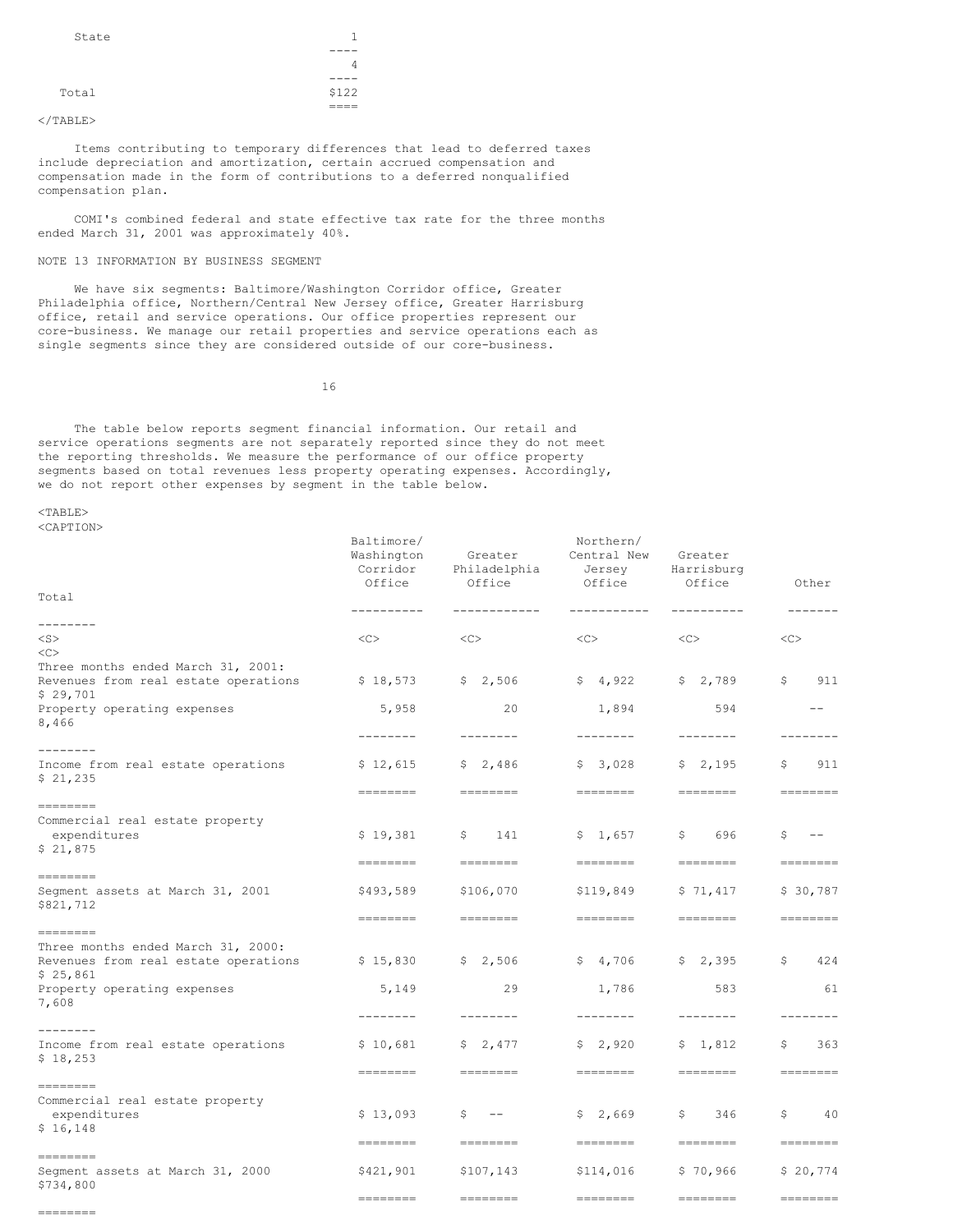| State |       |
|-------|-------|
|       |       |
|       | 4     |
|       |       |
| Total | \$122 |
|       |       |

 $\langle$ /TABLE>

Items contributing to temporary differences that lead to deferred taxes include depreciation and amortization, certain accrued compensation and compensation made in the form of contributions to a deferred nonqualified compensation plan.

COMI's combined federal and state effective tax rate for the three months ended March 31, 2001 was approximately 40%.

## NOTE 13 INFORMATION BY BUSINESS SEGMENT

We have six segments: Baltimore/Washington Corridor office, Greater Philadelphia office, Northern/Central New Jersey office, Greater Harrisburg office, retail and service operations. Our office properties represent our core-business. We manage our retail properties and service operations each as single segments since they are considered outside of our core-business.

16

The table below reports segment financial information. Our retail and service operations segments are not separately reported since they do not meet the reporting thresholds. We measure the performance of our office property segments based on total revenues less property operating expenses. Accordingly, we do not report other expenses by segment in the table below.

<TABLE>

<CAPTION>

| NUZIL LEUIV<br>Total                                                                   | Baltimore/<br>Washington<br>Corridor<br>Office                                                                                                                                                                                                                                                                                                                                                                                                                                                                                                                                                                                                                                                                                                       | Greater<br>Philadelphia<br>Office                                                                                                                                                                                                                                                                                                                                                                                                                                                                                                                                                                                                                                                                                                        | Northern/<br>Central New<br>Jersey<br>Office                                                                                                                                                                                                                                                                                                                                                                                                                                                                                                                                                                                                                                                                                                        | Greater<br>Harrisburg<br>Office                                                                                                                                                                                                                                                                                                                                                                                                                                                                                                                                                                                                                                                                                                                     | Other                                                                                                                                                                                                                                                                                                                                                                                                                                                                                                                                                                                                                                                                                                                                                 |
|----------------------------------------------------------------------------------------|------------------------------------------------------------------------------------------------------------------------------------------------------------------------------------------------------------------------------------------------------------------------------------------------------------------------------------------------------------------------------------------------------------------------------------------------------------------------------------------------------------------------------------------------------------------------------------------------------------------------------------------------------------------------------------------------------------------------------------------------------|------------------------------------------------------------------------------------------------------------------------------------------------------------------------------------------------------------------------------------------------------------------------------------------------------------------------------------------------------------------------------------------------------------------------------------------------------------------------------------------------------------------------------------------------------------------------------------------------------------------------------------------------------------------------------------------------------------------------------------------|-----------------------------------------------------------------------------------------------------------------------------------------------------------------------------------------------------------------------------------------------------------------------------------------------------------------------------------------------------------------------------------------------------------------------------------------------------------------------------------------------------------------------------------------------------------------------------------------------------------------------------------------------------------------------------------------------------------------------------------------------------|-----------------------------------------------------------------------------------------------------------------------------------------------------------------------------------------------------------------------------------------------------------------------------------------------------------------------------------------------------------------------------------------------------------------------------------------------------------------------------------------------------------------------------------------------------------------------------------------------------------------------------------------------------------------------------------------------------------------------------------------------------|-------------------------------------------------------------------------------------------------------------------------------------------------------------------------------------------------------------------------------------------------------------------------------------------------------------------------------------------------------------------------------------------------------------------------------------------------------------------------------------------------------------------------------------------------------------------------------------------------------------------------------------------------------------------------------------------------------------------------------------------------------|
|                                                                                        | -------                                                                                                                                                                                                                                                                                                                                                                                                                                                                                                                                                                                                                                                                                                                                              | ------------                                                                                                                                                                                                                                                                                                                                                                                                                                                                                                                                                                                                                                                                                                                             | ---------                                                                                                                                                                                                                                                                                                                                                                                                                                                                                                                                                                                                                                                                                                                                           | ----------                                                                                                                                                                                                                                                                                                                                                                                                                                                                                                                                                                                                                                                                                                                                          | -------                                                                                                                                                                                                                                                                                                                                                                                                                                                                                                                                                                                                                                                                                                                                               |
| --------<br>$<$ S $>$<br>$<\infty$                                                     | <<                                                                                                                                                                                                                                                                                                                                                                                                                                                                                                                                                                                                                                                                                                                                                   | $<\infty$                                                                                                                                                                                                                                                                                                                                                                                                                                                                                                                                                                                                                                                                                                                                | <<                                                                                                                                                                                                                                                                                                                                                                                                                                                                                                                                                                                                                                                                                                                                                  | $<\infty$                                                                                                                                                                                                                                                                                                                                                                                                                                                                                                                                                                                                                                                                                                                                           | $<\infty$                                                                                                                                                                                                                                                                                                                                                                                                                                                                                                                                                                                                                                                                                                                                             |
| Three months ended March 31, 2001:<br>Revenues from real estate operations<br>\$29,701 | \$18,573                                                                                                                                                                                                                                                                                                                                                                                                                                                                                                                                                                                                                                                                                                                                             | \$2,506                                                                                                                                                                                                                                                                                                                                                                                                                                                                                                                                                                                                                                                                                                                                  | \$4,922                                                                                                                                                                                                                                                                                                                                                                                                                                                                                                                                                                                                                                                                                                                                             | \$2,789                                                                                                                                                                                                                                                                                                                                                                                                                                                                                                                                                                                                                                                                                                                                             | \$<br>911                                                                                                                                                                                                                                                                                                                                                                                                                                                                                                                                                                                                                                                                                                                                             |
| Property operating expenses<br>8,466                                                   | 5,958                                                                                                                                                                                                                                                                                                                                                                                                                                                                                                                                                                                                                                                                                                                                                | 20                                                                                                                                                                                                                                                                                                                                                                                                                                                                                                                                                                                                                                                                                                                                       | 1,894                                                                                                                                                                                                                                                                                                                                                                                                                                                                                                                                                                                                                                                                                                                                               | 594                                                                                                                                                                                                                                                                                                                                                                                                                                                                                                                                                                                                                                                                                                                                                 | $- -$                                                                                                                                                                                                                                                                                                                                                                                                                                                                                                                                                                                                                                                                                                                                                 |
| --------                                                                               | $- - - - - - - -$                                                                                                                                                                                                                                                                                                                                                                                                                                                                                                                                                                                                                                                                                                                                    | $- - - - - - - -$                                                                                                                                                                                                                                                                                                                                                                                                                                                                                                                                                                                                                                                                                                                        | --------                                                                                                                                                                                                                                                                                                                                                                                                                                                                                                                                                                                                                                                                                                                                            | --------                                                                                                                                                                                                                                                                                                                                                                                                                                                                                                                                                                                                                                                                                                                                            | --------                                                                                                                                                                                                                                                                                                                                                                                                                                                                                                                                                                                                                                                                                                                                              |
| Income from real estate operations<br>\$21,235                                         | \$12,615                                                                                                                                                                                                                                                                                                                                                                                                                                                                                                                                                                                                                                                                                                                                             | \$2,486                                                                                                                                                                                                                                                                                                                                                                                                                                                                                                                                                                                                                                                                                                                                  | \$3,028                                                                                                                                                                                                                                                                                                                                                                                                                                                                                                                                                                                                                                                                                                                                             | \$2,195                                                                                                                                                                                                                                                                                                                                                                                                                                                                                                                                                                                                                                                                                                                                             | 911<br>\$                                                                                                                                                                                                                                                                                                                                                                                                                                                                                                                                                                                                                                                                                                                                             |
|                                                                                        | $\qquad \qquad \blacksquare = \blacksquare = \blacksquare = \blacksquare = \blacksquare$                                                                                                                                                                                                                                                                                                                                                                                                                                                                                                                                                                                                                                                             | $\qquad \qquad \blacksquare = \blacksquare = \blacksquare = \blacksquare = \blacksquare$                                                                                                                                                                                                                                                                                                                                                                                                                                                                                                                                                                                                                                                 | $\qquad \qquad \blacksquare = \blacksquare = \blacksquare = \blacksquare = \blacksquare$                                                                                                                                                                                                                                                                                                                                                                                                                                                                                                                                                                                                                                                            | $\qquad \qquad \blacksquare = \blacksquare = \blacksquare = \blacksquare = \blacksquare$                                                                                                                                                                                                                                                                                                                                                                                                                                                                                                                                                                                                                                                            | $\qquad \qquad \blacksquare = \blacksquare = \blacksquare = \blacksquare = \blacksquare$                                                                                                                                                                                                                                                                                                                                                                                                                                                                                                                                                                                                                                                              |
| ========<br>Commercial real estate property<br>expenditures                            | \$19,381                                                                                                                                                                                                                                                                                                                                                                                                                                                                                                                                                                                                                                                                                                                                             | Ş.<br>141                                                                                                                                                                                                                                                                                                                                                                                                                                                                                                                                                                                                                                                                                                                                | \$1,657                                                                                                                                                                                                                                                                                                                                                                                                                                                                                                                                                                                                                                                                                                                                             | \$<br>696                                                                                                                                                                                                                                                                                                                                                                                                                                                                                                                                                                                                                                                                                                                                           | \$<br>$--$                                                                                                                                                                                                                                                                                                                                                                                                                                                                                                                                                                                                                                                                                                                                            |
| \$21,875                                                                               | $\qquad \qquad \Rightarrow \qquad \qquad \Rightarrow \qquad \qquad \Rightarrow \qquad \qquad \Rightarrow \qquad \qquad \Rightarrow \qquad \qquad \Rightarrow \qquad \qquad \Rightarrow \qquad \qquad \Rightarrow \qquad \qquad \Rightarrow \qquad \qquad \Rightarrow \qquad \qquad \Rightarrow \qquad \qquad \Rightarrow \qquad \qquad \Rightarrow \qquad \qquad \Rightarrow \qquad \qquad \Rightarrow \qquad \qquad \Rightarrow \qquad \qquad \Rightarrow \qquad \qquad \Rightarrow \qquad \qquad \Rightarrow \qquad \qquad \Rightarrow \qquad \qquad \Rightarrow \qquad \qquad \Rightarrow \qquad \qquad \Rightarrow \qquad \qquad \Rightarrow \qquad \qquad \Rightarrow \qquad \qquad \Rightarrow \qquad \qquad \Rightarrow \qquad \$             | $\qquad \qquad \Rightarrow \qquad \qquad \Rightarrow \qquad \qquad \Rightarrow \qquad \qquad \Rightarrow \qquad \qquad \Rightarrow \qquad \qquad \Rightarrow \qquad \qquad \Rightarrow \qquad \qquad \Rightarrow \qquad \qquad \Rightarrow \qquad \qquad \Rightarrow \qquad \qquad \Rightarrow \qquad \qquad \Rightarrow \qquad \qquad \Rightarrow \qquad \qquad \Rightarrow \qquad \qquad \Rightarrow \qquad \qquad \Rightarrow \qquad \qquad \Rightarrow \qquad \qquad \Rightarrow \qquad \qquad \Rightarrow \qquad \qquad \Rightarrow \qquad \qquad \Rightarrow \qquad \qquad \Rightarrow \qquad \qquad \Rightarrow \qquad \qquad \Rightarrow \qquad \qquad \Rightarrow \qquad \qquad \Rightarrow \qquad \qquad \Rightarrow \qquad \$ |                                                                                                                                                                                                                                                                                                                                                                                                                                                                                                                                                                                                                                                                                                                                                     | $\qquad \qquad \Rightarrow \qquad \qquad \Rightarrow \qquad \qquad \Rightarrow \qquad \qquad \Rightarrow \qquad \qquad \Rightarrow \qquad \qquad \Rightarrow \qquad \qquad \Rightarrow \qquad \qquad \Rightarrow \qquad \qquad \Rightarrow \qquad \qquad \Rightarrow \qquad \qquad \Rightarrow \qquad \qquad \Rightarrow \qquad \qquad \Rightarrow \qquad \qquad \Rightarrow \qquad \qquad \Rightarrow \qquad \qquad \Rightarrow \qquad \qquad \Rightarrow \qquad \qquad \Rightarrow \qquad \qquad \Rightarrow \qquad \qquad \Rightarrow \qquad \qquad \Rightarrow \qquad \qquad \Rightarrow \qquad \qquad \Rightarrow \qquad \qquad \Rightarrow \qquad \qquad \Rightarrow \qquad \qquad \Rightarrow \qquad \qquad \Rightarrow \qquad \$            | $\qquad \qquad \Rightarrow \qquad \qquad \Rightarrow \qquad \qquad \Rightarrow \qquad \qquad \Rightarrow \qquad \qquad \Rightarrow \qquad \qquad \Rightarrow \qquad \qquad \Rightarrow \qquad \qquad \Rightarrow \qquad \qquad \Rightarrow \qquad \qquad \Rightarrow \qquad \qquad \Rightarrow \qquad \qquad \Rightarrow \qquad \qquad \Rightarrow \qquad \qquad \Rightarrow \qquad \qquad \Rightarrow \qquad \qquad \Rightarrow \qquad \qquad \Rightarrow \qquad \qquad \Rightarrow \qquad \qquad \Rightarrow \qquad \qquad \Rightarrow \qquad \qquad \Rightarrow \qquad \qquad \Rightarrow \qquad \qquad \Rightarrow \qquad \qquad \Rightarrow \qquad \qquad \Rightarrow \qquad \qquad \Rightarrow \qquad \qquad \Rightarrow \qquad \$              |
| --------                                                                               |                                                                                                                                                                                                                                                                                                                                                                                                                                                                                                                                                                                                                                                                                                                                                      |                                                                                                                                                                                                                                                                                                                                                                                                                                                                                                                                                                                                                                                                                                                                          |                                                                                                                                                                                                                                                                                                                                                                                                                                                                                                                                                                                                                                                                                                                                                     |                                                                                                                                                                                                                                                                                                                                                                                                                                                                                                                                                                                                                                                                                                                                                     |                                                                                                                                                                                                                                                                                                                                                                                                                                                                                                                                                                                                                                                                                                                                                       |
| Segment assets at March 31, 2001<br>\$821,712                                          | \$493,589                                                                                                                                                                                                                                                                                                                                                                                                                                                                                                                                                                                                                                                                                                                                            | \$106,070                                                                                                                                                                                                                                                                                                                                                                                                                                                                                                                                                                                                                                                                                                                                | \$119,849                                                                                                                                                                                                                                                                                                                                                                                                                                                                                                                                                                                                                                                                                                                                           | \$71,417                                                                                                                                                                                                                                                                                                                                                                                                                                                                                                                                                                                                                                                                                                                                            | \$30,787                                                                                                                                                                                                                                                                                                                                                                                                                                                                                                                                                                                                                                                                                                                                              |
| --------                                                                               |                                                                                                                                                                                                                                                                                                                                                                                                                                                                                                                                                                                                                                                                                                                                                      | ---------                                                                                                                                                                                                                                                                                                                                                                                                                                                                                                                                                                                                                                                                                                                                | $=$ ========                                                                                                                                                                                                                                                                                                                                                                                                                                                                                                                                                                                                                                                                                                                                        | ---------                                                                                                                                                                                                                                                                                                                                                                                                                                                                                                                                                                                                                                                                                                                                           | $\qquad \qquad \Rightarrow \qquad \qquad \Rightarrow \qquad \qquad \Rightarrow \qquad \qquad \Rightarrow \qquad \qquad \Rightarrow \qquad \qquad \Rightarrow \qquad \qquad \Rightarrow \qquad \qquad \Rightarrow \qquad \qquad \Rightarrow \qquad \qquad \Rightarrow \qquad \qquad \Rightarrow \qquad \qquad \Rightarrow \qquad \qquad \Rightarrow \qquad \qquad \Rightarrow \qquad \qquad \Rightarrow \qquad \qquad \Rightarrow \qquad \qquad \Rightarrow \qquad \qquad \Rightarrow \qquad \qquad \Rightarrow \qquad \qquad \Rightarrow \qquad \qquad \Rightarrow \qquad \qquad \Rightarrow \qquad \qquad \Rightarrow \qquad \qquad \Rightarrow \qquad \qquad \Rightarrow \qquad \qquad \Rightarrow \qquad \qquad \Rightarrow \qquad \$              |
| Three months ended March 31, 2000:<br>Revenues from real estate operations<br>\$25,861 | \$15,830                                                                                                                                                                                                                                                                                                                                                                                                                                                                                                                                                                                                                                                                                                                                             | \$2,506                                                                                                                                                                                                                                                                                                                                                                                                                                                                                                                                                                                                                                                                                                                                  | \$4,706                                                                                                                                                                                                                                                                                                                                                                                                                                                                                                                                                                                                                                                                                                                                             | \$2,395                                                                                                                                                                                                                                                                                                                                                                                                                                                                                                                                                                                                                                                                                                                                             | 424<br>\$                                                                                                                                                                                                                                                                                                                                                                                                                                                                                                                                                                                                                                                                                                                                             |
| Property operating expenses<br>7,608                                                   | 5,149<br>--------                                                                                                                                                                                                                                                                                                                                                                                                                                                                                                                                                                                                                                                                                                                                    | 29<br>---------                                                                                                                                                                                                                                                                                                                                                                                                                                                                                                                                                                                                                                                                                                                          | 1,786<br>--------                                                                                                                                                                                                                                                                                                                                                                                                                                                                                                                                                                                                                                                                                                                                   | 583                                                                                                                                                                                                                                                                                                                                                                                                                                                                                                                                                                                                                                                                                                                                                 | 61<br>--------                                                                                                                                                                                                                                                                                                                                                                                                                                                                                                                                                                                                                                                                                                                                        |
| --------                                                                               |                                                                                                                                                                                                                                                                                                                                                                                                                                                                                                                                                                                                                                                                                                                                                      |                                                                                                                                                                                                                                                                                                                                                                                                                                                                                                                                                                                                                                                                                                                                          |                                                                                                                                                                                                                                                                                                                                                                                                                                                                                                                                                                                                                                                                                                                                                     |                                                                                                                                                                                                                                                                                                                                                                                                                                                                                                                                                                                                                                                                                                                                                     |                                                                                                                                                                                                                                                                                                                                                                                                                                                                                                                                                                                                                                                                                                                                                       |
| Income from real estate operations<br>\$18,253                                         | \$10,681<br>$\qquad \qquad \Rightarrow \qquad \qquad \Rightarrow \qquad \qquad \Rightarrow \qquad \qquad \Rightarrow \qquad \qquad \Rightarrow \qquad \qquad \Rightarrow \qquad \qquad \Rightarrow \qquad \qquad \Rightarrow \qquad \qquad \Rightarrow \qquad \qquad \Rightarrow \qquad \qquad \Rightarrow \qquad \qquad \Rightarrow \qquad \qquad \Rightarrow \qquad \qquad \Rightarrow \qquad \qquad \Rightarrow \qquad \qquad \Rightarrow \qquad \qquad \Rightarrow \qquad \qquad \Rightarrow \qquad \qquad \Rightarrow \qquad \qquad \Rightarrow \qquad \qquad \Rightarrow \qquad \qquad \Rightarrow \qquad \qquad \Rightarrow \qquad \qquad \Rightarrow \qquad \qquad \Rightarrow \qquad \qquad \Rightarrow \qquad \qquad \Rightarrow \qquad \$ | \$2,477                                                                                                                                                                                                                                                                                                                                                                                                                                                                                                                                                                                                                                                                                                                                  | \$2,920<br>$\qquad \qquad \Rightarrow \qquad \qquad \Rightarrow \qquad \qquad \Rightarrow \qquad \qquad \Rightarrow \qquad \qquad \Rightarrow \qquad \qquad \Rightarrow \qquad \qquad \Rightarrow \qquad \qquad \Rightarrow \qquad \qquad \Rightarrow \qquad \qquad \Rightarrow \qquad \qquad \Rightarrow \qquad \qquad \Rightarrow \qquad \qquad \Rightarrow \qquad \qquad \Rightarrow \qquad \qquad \Rightarrow \qquad \qquad \Rightarrow \qquad \qquad \Rightarrow \qquad \qquad \Rightarrow \qquad \qquad \Rightarrow \qquad \qquad \Rightarrow \qquad \qquad \Rightarrow \qquad \qquad \Rightarrow \qquad \qquad \Rightarrow \qquad \qquad \Rightarrow \qquad \qquad \Rightarrow \qquad \qquad \Rightarrow \qquad \qquad \Rightarrow \qquad \$ | \$1,812<br>$\qquad \qquad \Rightarrow \qquad \qquad \Rightarrow \qquad \qquad \Rightarrow \qquad \qquad \Rightarrow \qquad \qquad \Rightarrow \qquad \qquad \Rightarrow \qquad \qquad \Rightarrow \qquad \qquad \Rightarrow \qquad \qquad \Rightarrow \qquad \qquad \Rightarrow \qquad \qquad \Rightarrow \qquad \qquad \Rightarrow \qquad \qquad \Rightarrow \qquad \qquad \Rightarrow \qquad \qquad \Rightarrow \qquad \qquad \Rightarrow \qquad \qquad \Rightarrow \qquad \qquad \Rightarrow \qquad \qquad \Rightarrow \qquad \qquad \Rightarrow \qquad \qquad \Rightarrow \qquad \qquad \Rightarrow \qquad \qquad \Rightarrow \qquad \qquad \Rightarrow \qquad \qquad \Rightarrow \qquad \qquad \Rightarrow \qquad \qquad \Rightarrow \qquad \$ | 363<br>\$<br>$\qquad \qquad \Rightarrow \qquad \qquad \Rightarrow \qquad \qquad \Rightarrow \qquad \qquad \Rightarrow \qquad \qquad \Rightarrow \qquad \qquad \Rightarrow \qquad \qquad \Rightarrow \qquad \qquad \Rightarrow \qquad \qquad \Rightarrow \qquad \qquad \Rightarrow \qquad \qquad \Rightarrow \qquad \qquad \Rightarrow \qquad \qquad \Rightarrow \qquad \qquad \Rightarrow \qquad \qquad \Rightarrow \qquad \qquad \Rightarrow \qquad \qquad \Rightarrow \qquad \qquad \Rightarrow \qquad \qquad \Rightarrow \qquad \qquad \Rightarrow \qquad \qquad \Rightarrow \qquad \qquad \Rightarrow \qquad \qquad \Rightarrow \qquad \qquad \Rightarrow \qquad \qquad \Rightarrow \qquad \qquad \Rightarrow \qquad \qquad \Rightarrow \qquad \$ |
| ========                                                                               |                                                                                                                                                                                                                                                                                                                                                                                                                                                                                                                                                                                                                                                                                                                                                      |                                                                                                                                                                                                                                                                                                                                                                                                                                                                                                                                                                                                                                                                                                                                          |                                                                                                                                                                                                                                                                                                                                                                                                                                                                                                                                                                                                                                                                                                                                                     |                                                                                                                                                                                                                                                                                                                                                                                                                                                                                                                                                                                                                                                                                                                                                     |                                                                                                                                                                                                                                                                                                                                                                                                                                                                                                                                                                                                                                                                                                                                                       |
| Commercial real estate property<br>expenditures<br>\$16,148                            | \$13,093                                                                                                                                                                                                                                                                                                                                                                                                                                                                                                                                                                                                                                                                                                                                             | \$<br>$\qquad -$                                                                                                                                                                                                                                                                                                                                                                                                                                                                                                                                                                                                                                                                                                                         | \$2,669                                                                                                                                                                                                                                                                                                                                                                                                                                                                                                                                                                                                                                                                                                                                             | \$<br>346                                                                                                                                                                                                                                                                                                                                                                                                                                                                                                                                                                                                                                                                                                                                           | \$<br>40                                                                                                                                                                                                                                                                                                                                                                                                                                                                                                                                                                                                                                                                                                                                              |
|                                                                                        | $\qquad \qquad \blacksquare = \blacksquare = \blacksquare = \blacksquare = \blacksquare$                                                                                                                                                                                                                                                                                                                                                                                                                                                                                                                                                                                                                                                             |                                                                                                                                                                                                                                                                                                                                                                                                                                                                                                                                                                                                                                                                                                                                          | ========                                                                                                                                                                                                                                                                                                                                                                                                                                                                                                                                                                                                                                                                                                                                            | $\qquad \qquad \blacksquare = \blacksquare = \blacksquare = \blacksquare = \blacksquare$                                                                                                                                                                                                                                                                                                                                                                                                                                                                                                                                                                                                                                                            |                                                                                                                                                                                                                                                                                                                                                                                                                                                                                                                                                                                                                                                                                                                                                       |
| --------<br>Segment assets at March 31, 2000<br>\$734,800                              | \$421,901                                                                                                                                                                                                                                                                                                                                                                                                                                                                                                                                                                                                                                                                                                                                            | \$107,143                                                                                                                                                                                                                                                                                                                                                                                                                                                                                                                                                                                                                                                                                                                                | \$114,016                                                                                                                                                                                                                                                                                                                                                                                                                                                                                                                                                                                                                                                                                                                                           | \$70,966                                                                                                                                                                                                                                                                                                                                                                                                                                                                                                                                                                                                                                                                                                                                            | \$20,774                                                                                                                                                                                                                                                                                                                                                                                                                                                                                                                                                                                                                                                                                                                                              |
| ========                                                                               |                                                                                                                                                                                                                                                                                                                                                                                                                                                                                                                                                                                                                                                                                                                                                      | $=$ = = = = = = =                                                                                                                                                                                                                                                                                                                                                                                                                                                                                                                                                                                                                                                                                                                        |                                                                                                                                                                                                                                                                                                                                                                                                                                                                                                                                                                                                                                                                                                                                                     |                                                                                                                                                                                                                                                                                                                                                                                                                                                                                                                                                                                                                                                                                                                                                     | $\qquad \qquad \displaystyle =\qquad \qquad \qquad \qquad \displaystyle =\qquad \qquad \qquad \displaystyle =\qquad \qquad$                                                                                                                                                                                                                                                                                                                                                                                                                                                                                                                                                                                                                           |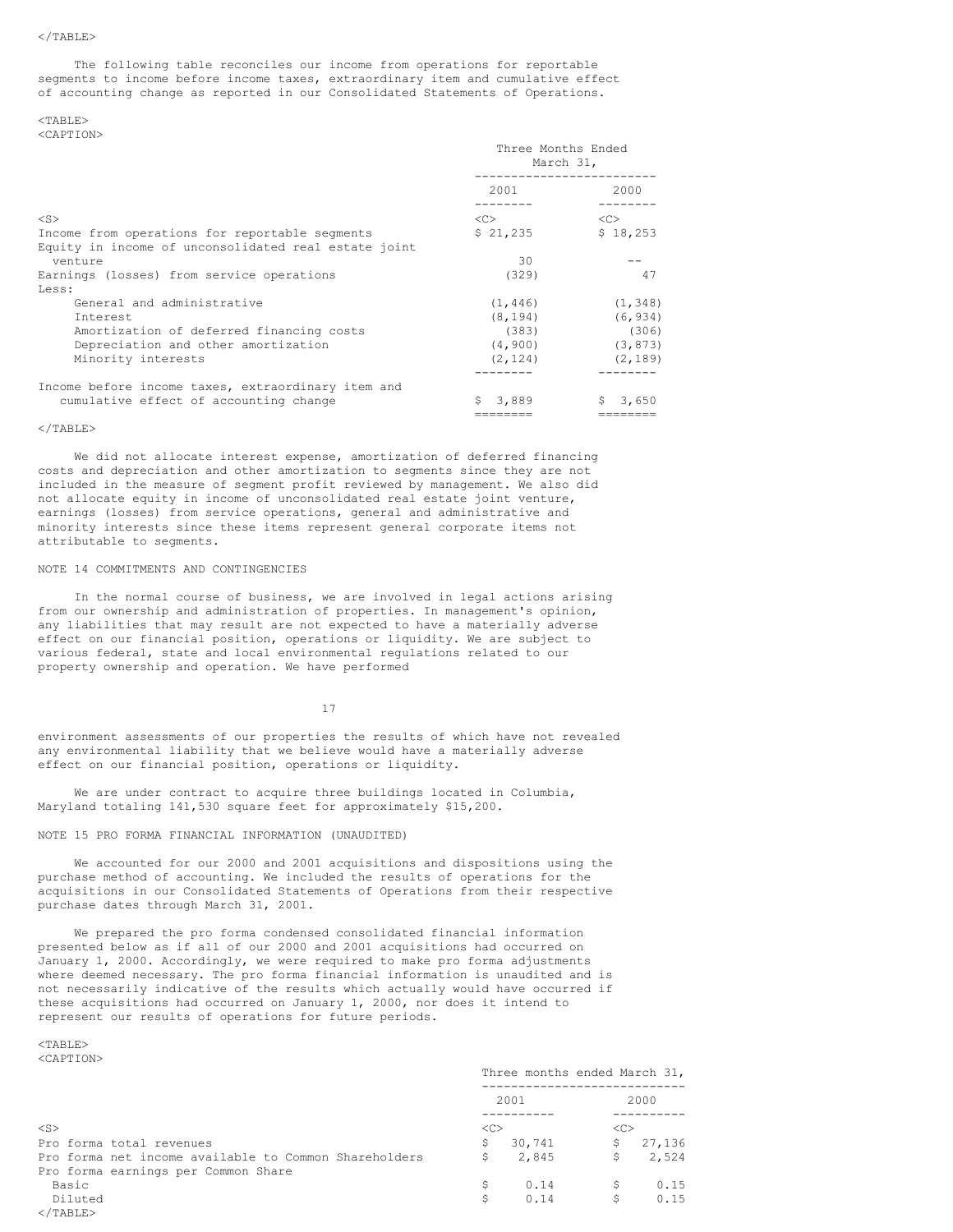#### $<$ /TABLE>

The following table reconciles our income from operations for reportable segments to income before income taxes, extraordinary item and cumulative effect of accounting change as reported in our Consolidated Statements of Operations.

## $<$ TABLE> <CAPTION>

|                                                      | Three Months Ended<br>March 31, |               |
|------------------------------------------------------|---------------------------------|---------------|
|                                                      | 2001                            | 2000          |
| $<$ S $>$                                            | < <sub></sub>                   | < <sub></sub> |
| Income from operations for reportable segments       | \$21,235                        | \$18,253      |
| Equity in income of unconsolidated real estate joint |                                 |               |
| venture                                              | 30                              |               |
| Earnings (losses) from service operations            | (329)                           | 47            |
| Less:                                                |                                 |               |
| General and administrative                           | (1, 446)                        | (1, 348)      |
| Interest                                             | (8, 194)                        | (6, 934)      |
| Amortization of deferred financing costs             | (383)                           | (306)         |
| Depreciation and other amortization                  | (4, 900)                        | (3, 873)      |
| Minority interests                                   | (2, 124)                        | (2, 189)      |
|                                                      |                                 |               |
| Income before income taxes, extraordinary item and   |                                 |               |
| cumulative effect of accounting change               | Ŝ.<br>3,889                     | 3,650<br>S.   |
|                                                      | ========                        | ========      |

#### $\langle$ /TABLE>

We did not allocate interest expense, amortization of deferred financing costs and depreciation and other amortization to segments since they are not included in the measure of segment profit reviewed by management. We also did not allocate equity in income of unconsolidated real estate joint venture, earnings (losses) from service operations, general and administrative and minority interests since these items represent general corporate items not attributable to segments.

#### NOTE 14 COMMITMENTS AND CONTINGENCIES

In the normal course of business, we are involved in legal actions arising from our ownership and administration of properties. In management's opinion, any liabilities that may result are not expected to have a materially adverse effect on our financial position, operations or liquidity. We are subject to various federal, state and local environmental regulations related to our property ownership and operation. We have performed

17

environment assessments of our properties the results of which have not revealed any environmental liability that we believe would have a materially adverse effect on our financial position, operations or liquidity.

We are under contract to acquire three buildings located in Columbia, Maryland totaling 141,530 square feet for approximately \$15,200.

## NOTE 15 PRO FORMA FINANCIAL INFORMATION (UNAUDITED)

We accounted for our 2000 and 2001 acquisitions and dispositions using the purchase method of accounting. We included the results of operations for the acquisitions in our Consolidated Statements of Operations from their respective purchase dates through March 31, 2001.

We prepared the pro forma condensed consolidated financial information presented below as if all of our 2000 and 2001 acquisitions had occurred on January 1, 2000. Accordingly, we were required to make pro forma adjustments where deemed necessary. The pro forma financial information is unaudited and is not necessarily indicative of the results which actually would have occurred if these acquisitions had occurred on January 1, 2000, nor does it intend to represent our results of operations for future periods.

|                                                       |    | Three months ended March 31, |               |          |
|-------------------------------------------------------|----|------------------------------|---------------|----------|
|                                                       |    | 2001                         |               | 2000     |
| $<$ S>                                                | << |                              | < <sub></sub> |          |
| Pro forma total revenues                              | \$ | 30,741                       |               | \$27,136 |
| Pro forma net income available to Common Shareholders | S  | 2,845                        | \$            | 2,524    |
| Pro forma earnings per Common Share                   |    |                              |               |          |
| Basic                                                 | S  | 0.14                         | \$.           | 0.15     |
| Diluted                                               | Ŝ  | 0.14                         | \$            | 0.15     |
|                                                       |    |                              |               |          |

  |  |  |  |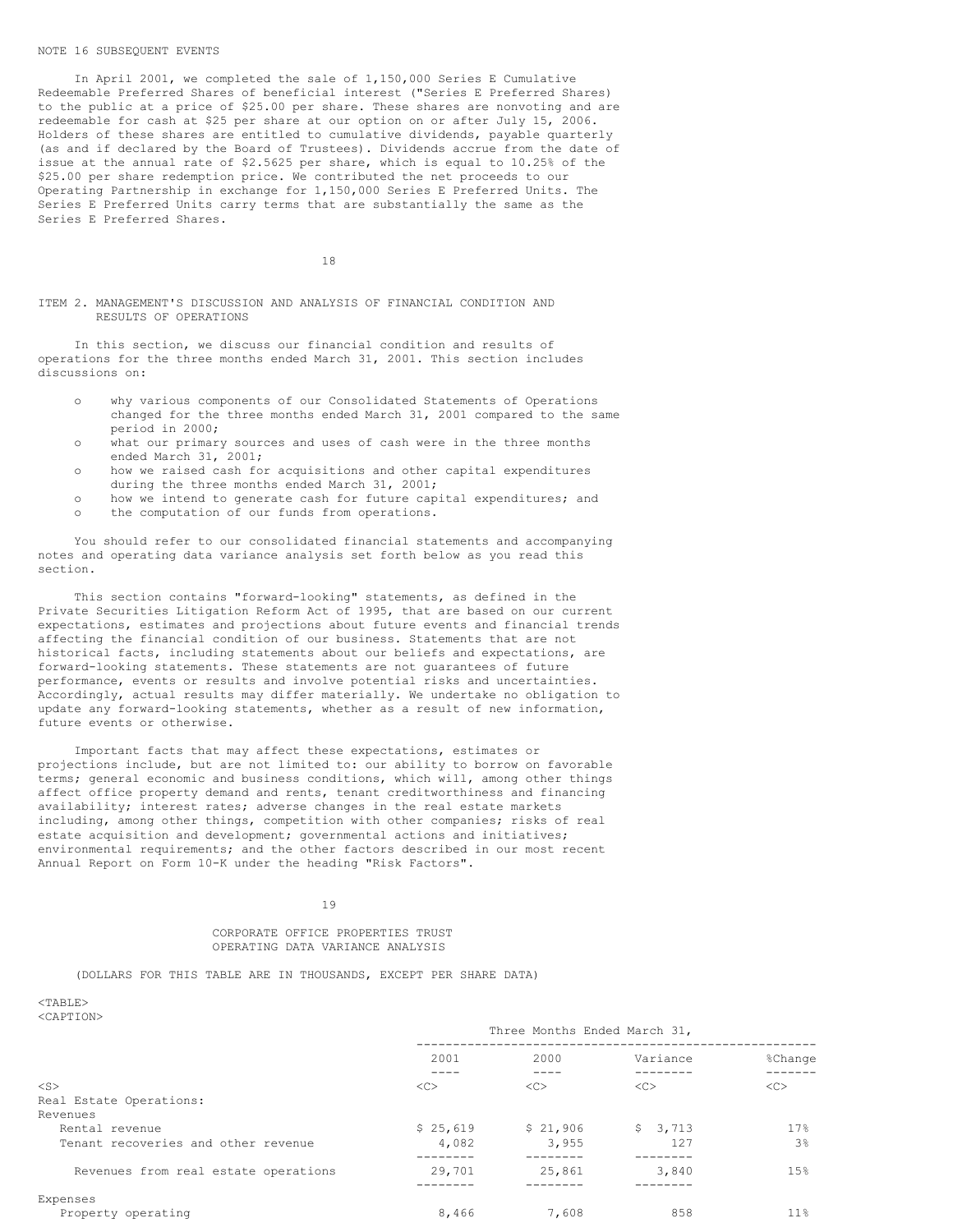#### NOTE 16 SUBSEQUENT EVENTS

In April 2001, we completed the sale of 1,150,000 Series E Cumulative Redeemable Preferred Shares of beneficial interest ("Series E Preferred Shares) to the public at a price of \$25.00 per share. These shares are nonvoting and are redeemable for cash at \$25 per share at our option on or after July 15, 2006. Holders of these shares are entitled to cumulative dividends, payable quarterly (as and if declared by the Board of Trustees). Dividends accrue from the date of issue at the annual rate of \$2.5625 per share, which is equal to 10.25% of the \$25.00 per share redemption price. We contributed the net proceeds to our Operating Partnership in exchange for 1,150,000 Series E Preferred Units. The Series E Preferred Units carry terms that are substantially the same as the Series E Preferred Shares.

18

#### ITEM 2. MANAGEMENT'S DISCUSSION AND ANALYSIS OF FINANCIAL CONDITION AND RESULTS OF OPERATIONS

In this section, we discuss our financial condition and results of operations for the three months ended March 31, 2001. This section includes discussions on:

- o why various components of our Consolidated Statements of Operations changed for the three months ended March 31, 2001 compared to the same period in 2000;
- o what our primary sources and uses of cash were in the three months ended March 31, 2001;
- o how we raised cash for acquisitions and other capital expenditures during the three months ended March 31, 2001;
- o how we intend to generate cash for future capital expenditures; and
- o the computation of our funds from operations.

You should refer to our consolidated financial statements and accompanying notes and operating data variance analysis set forth below as you read this section.

This section contains "forward-looking" statements, as defined in the Private Securities Litigation Reform Act of 1995, that are based on our current expectations, estimates and projections about future events and financial trends affecting the financial condition of our business. Statements that are not historical facts, including statements about our beliefs and expectations, are forward-looking statements. These statements are not guarantees of future performance, events or results and involve potential risks and uncertainties. Accordingly, actual results may differ materially. We undertake no obligation to update any forward-looking statements, whether as a result of new information, future events or otherwise.

Important facts that may affect these expectations, estimates or projections include, but are not limited to: our ability to borrow on favorable terms; general economic and business conditions, which will, among other things affect office property demand and rents, tenant creditworthiness and financing availability; interest rates; adverse changes in the real estate markets including, among other things, competition with other companies; risks of real estate acquisition and development; governmental actions and initiatives; environmental requirements; and the other factors described in our most recent Annual Report on Form 10-K under the heading "Risk Factors".

#### 19

## CORPORATE OFFICE PROPERTIES TRUST OPERATING DATA VARIANCE ANALYSIS

(DOLLARS FOR THIS TABLE ARE IN THOUSANDS, EXCEPT PER SHARE DATA)

|                                      | Three Months Ended March 31, |               |          |                       |
|--------------------------------------|------------------------------|---------------|----------|-----------------------|
|                                      | 2001                         | 2000          | Variance | <i><b>%Change</b></i> |
| $<$ S>                               | <<                           | < <sub></sub> | <<       | < <sub></sub>         |
| Real Estate Operations:              |                              |               |          |                       |
| Revenues                             |                              |               |          |                       |
| Rental revenue                       | \$25,619                     | \$21,906      | \$3,713  | 17%                   |
| Tenant recoveries and other revenue  | 4,082                        | 3,955         | 127      | 3 <sup>°</sup>        |
|                                      |                              |               |          |                       |
| Revenues from real estate operations | 29,701                       | 25,861        | 3,840    | 15%                   |
|                                      |                              |               |          |                       |
| Expenses                             |                              |               |          |                       |
| Property operating                   | 8,466                        | 7,608         | 858      | $11\%$                |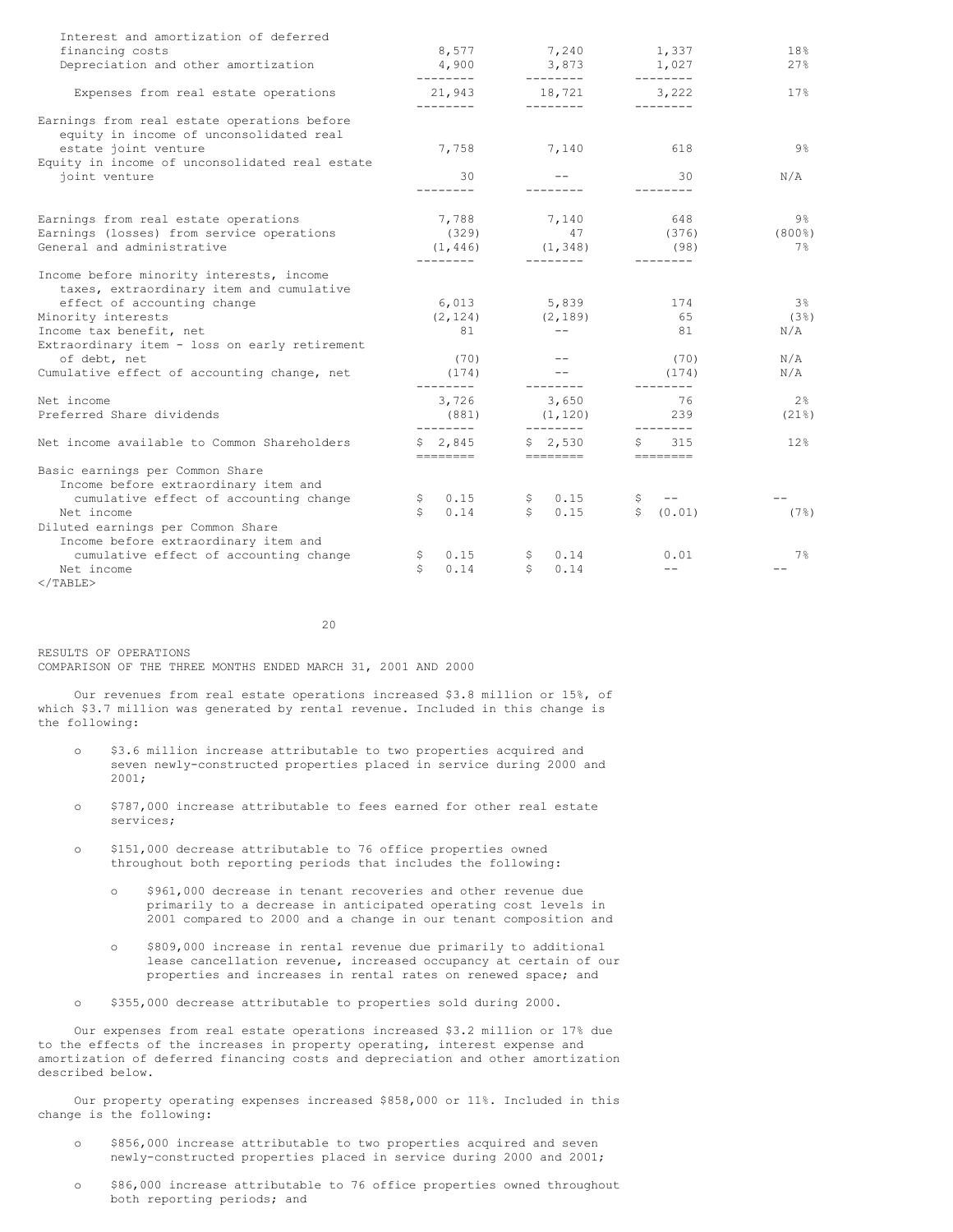| Interest and amortization of deferred<br>financing costs<br>Depreciation and other amortization                                                                  | 8,577<br>4,900<br>--------  | 7,240<br>3,873<br>---------                    | 1,337<br>1,027<br>-------- | 18%<br>27%                         |
|------------------------------------------------------------------------------------------------------------------------------------------------------------------|-----------------------------|------------------------------------------------|----------------------------|------------------------------------|
| Expenses from real estate operations                                                                                                                             | 21,943<br>---------         | 18,721<br>---------                            | 3,222                      | 17%                                |
| Earnings from real estate operations before<br>equity in income of unconsolidated real<br>estate joint venture<br>Equity in income of unconsolidated real estate | 7,758                       | 7,140                                          | 618                        | 9%                                 |
| joint venture                                                                                                                                                    | 30<br>--------              |                                                | 30<br>--------             | N/A                                |
| Earnings from real estate operations<br>Earnings (losses) from service operations<br>General and administrative                                                  | 7,788<br>(329)<br>(1, 446)  | 7,140<br>47<br>(1, 348)                        | 648<br>(376)<br>(98)       | $9\frac{6}{6}$<br>$(800\$<br>$7\%$ |
| Income before minority interests, income<br>taxes, extraordinary item and cumulative<br>effect of accounting change                                              | 6,013                       | 5,839                                          | 174                        | 3%                                 |
| Minority interests<br>Income tax benefit, net<br>Extraordinary item - loss on early retirement                                                                   | (2, 124)<br>81              | (2, 189)<br>$\qquad \qquad -$                  | 65<br>81                   | (3)<br>N/A                         |
| of debt, net<br>Cumulative effect of accounting change, net                                                                                                      | (70)<br>(174)<br>---------  | ---------                                      | (70)<br>(174)<br>--------- | N/A<br>N/A                         |
| Net income<br>Preferred Share dividends                                                                                                                          | 3,726<br>(881)<br>--------- | 3,650<br>(1, 120)<br>$- - - - - - - -$         | 76<br>239<br>---------     | 2%<br>$(21$ <sup>8</sup> )         |
| Net income available to Common Shareholders                                                                                                                      | \$2,845<br>========         | \$2,530<br>========                            | 315<br>S.                  | 12 <sup>8</sup>                    |
| Basic earnings per Common Share<br>Income before extraordinary item and<br>cumulative effect of accounting change<br>Net income                                  | 0.15<br>\$<br>\$<br>0.14    | 0.15<br>$\mathsf{S}$<br>$\mathsf{S}^-$<br>0.15 | $- - -$<br>\$ (0.01)       | (7)                                |
| Diluted earnings per Common Share<br>Income before extraordinary item and<br>cumulative effect of accounting change<br>Net income<br>$\langle$ /TABLE>           | 0.15<br>Ş.<br>\$<br>0.14    | 0.14<br>Ş.<br>0.14<br>S.                       | 0.01<br>$\qquad \qquad -$  | 7%                                 |

 $20$ 

RESULTS OF OPERATIONS COMPARISON OF THE THREE MONTHS ENDED MARCH 31, 2001 AND 2000

Our revenues from real estate operations increased \$3.8 million or 15%, of which \$3.7 million was generated by rental revenue. Included in this change is the following:

- o \$3.6 million increase attributable to two properties acquired and seven newly-constructed properties placed in service during 2000 and 2001;
- o \$787,000 increase attributable to fees earned for other real estate services;
- o \$151,000 decrease attributable to 76 office properties owned throughout both reporting periods that includes the following:
	- o \$961,000 decrease in tenant recoveries and other revenue due primarily to a decrease in anticipated operating cost levels in 2001 compared to 2000 and a change in our tenant composition and
	- o \$809,000 increase in rental revenue due primarily to additional lease cancellation revenue, increased occupancy at certain of our properties and increases in rental rates on renewed space; and
- o \$355,000 decrease attributable to properties sold during 2000.

Our expenses from real estate operations increased \$3.2 million or 17% due to the effects of the increases in property operating, interest expense and amortization of deferred financing costs and depreciation and other amortization described below.

Our property operating expenses increased \$858,000 or 11%. Included in this change is the following:

- o \$856,000 increase attributable to two properties acquired and seven newly-constructed properties placed in service during 2000 and 2001;
- o \$86,000 increase attributable to 76 office properties owned throughout both reporting periods; and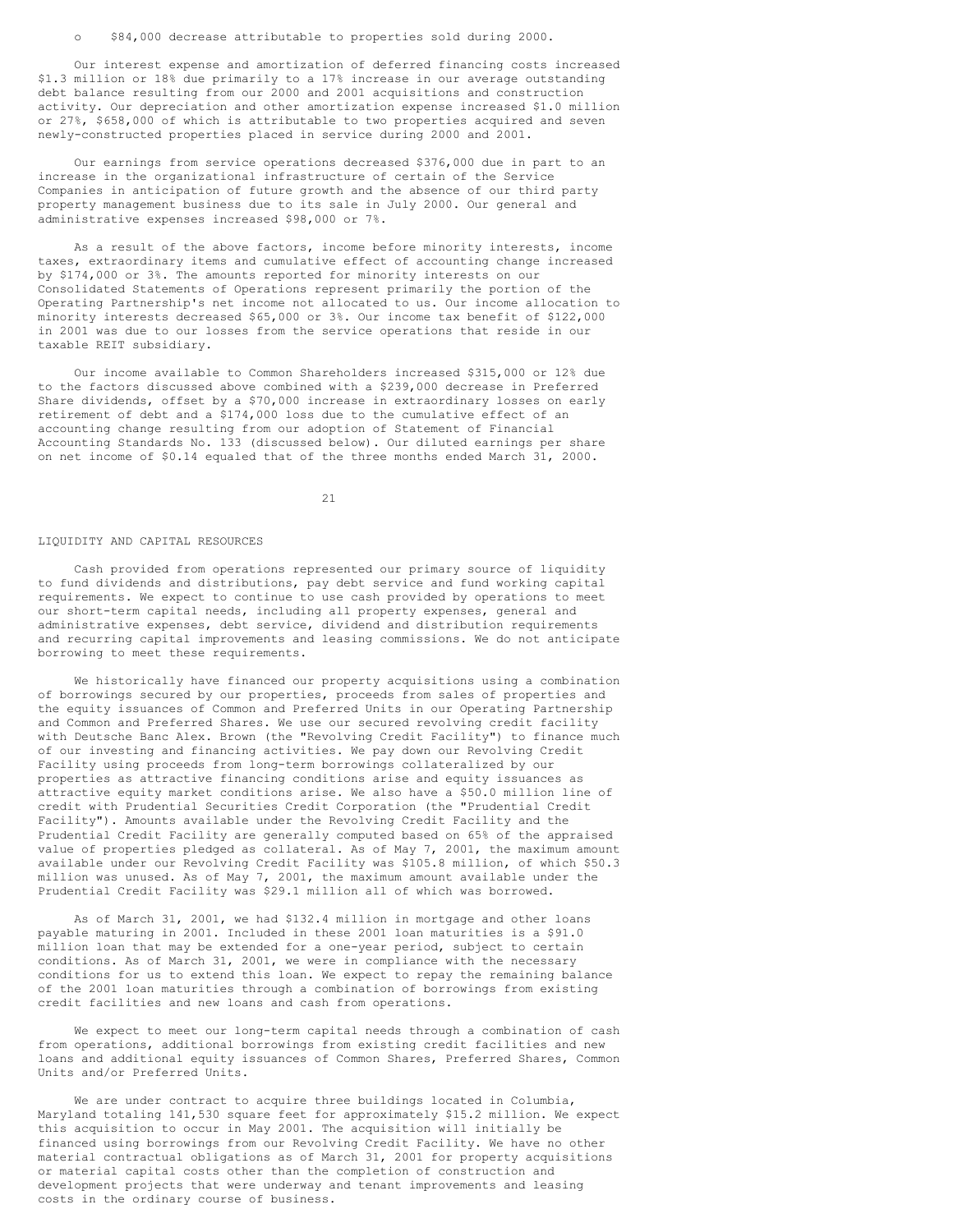o \$84,000 decrease attributable to properties sold during 2000.

Our interest expense and amortization of deferred financing costs increased \$1.3 million or 18% due primarily to a 17% increase in our average outstanding debt balance resulting from our 2000 and 2001 acquisitions and construction activity. Our depreciation and other amortization expense increased \$1.0 million or 27%, \$658,000 of which is attributable to two properties acquired and seven newly-constructed properties placed in service during 2000 and 2001.

Our earnings from service operations decreased \$376,000 due in part to an increase in the organizational infrastructure of certain of the Service Companies in anticipation of future growth and the absence of our third party property management business due to its sale in July 2000. Our general and administrative expenses increased \$98,000 or 7%.

As a result of the above factors, income before minority interests, income taxes, extraordinary items and cumulative effect of accounting change increased by \$174,000 or 3%. The amounts reported for minority interests on our Consolidated Statements of Operations represent primarily the portion of the Operating Partnership's net income not allocated to us. Our income allocation to minority interests decreased \$65,000 or 3%. Our income tax benefit of \$122,000 in 2001 was due to our losses from the service operations that reside in our taxable REIT subsidiary.

Our income available to Common Shareholders increased \$315,000 or 12% due to the factors discussed above combined with a \$239,000 decrease in Preferred Share dividends, offset by a \$70,000 increase in extraordinary losses on early retirement of debt and a \$174,000 loss due to the cumulative effect of an accounting change resulting from our adoption of Statement of Financial Accounting Standards No. 133 (discussed below). Our diluted earnings per share on net income of \$0.14 equaled that of the three months ended March 31, 2000.

21

#### LIQUIDITY AND CAPITAL RESOURCES

Cash provided from operations represented our primary source of liquidity to fund dividends and distributions, pay debt service and fund working capital requirements. We expect to continue to use cash provided by operations to meet our short-term capital needs, including all property expenses, general and administrative expenses, debt service, dividend and distribution requirements and recurring capital improvements and leasing commissions. We do not anticipate borrowing to meet these requirements.

We historically have financed our property acquisitions using a combination of borrowings secured by our properties, proceeds from sales of properties and the equity issuances of Common and Preferred Units in our Operating Partnership and Common and Preferred Shares. We use our secured revolving credit facility with Deutsche Banc Alex. Brown (the "Revolving Credit Facility") to finance much of our investing and financing activities. We pay down our Revolving Credit Facility using proceeds from long-term borrowings collateralized by our properties as attractive financing conditions arise and equity issuances as attractive equity market conditions arise. We also have a \$50.0 million line of credit with Prudential Securities Credit Corporation (the "Prudential Credit Facility"). Amounts available under the Revolving Credit Facility and the Prudential Credit Facility are generally computed based on 65% of the appraised value of properties pledged as collateral. As of May 7, 2001, the maximum amount available under our Revolving Credit Facility was \$105.8 million, of which \$50.3 million was unused. As of May 7, 2001, the maximum amount available under the Prudential Credit Facility was \$29.1 million all of which was borrowed.

As of March 31, 2001, we had \$132.4 million in mortgage and other loans payable maturing in 2001. Included in these 2001 loan maturities is a \$91.0 million loan that may be extended for a one-year period, subject to certain conditions. As of March 31, 2001, we were in compliance with the necessary conditions for us to extend this loan. We expect to repay the remaining balance of the 2001 loan maturities through a combination of borrowings from existing credit facilities and new loans and cash from operations.

We expect to meet our long-term capital needs through a combination of cash from operations, additional borrowings from existing credit facilities and new loans and additional equity issuances of Common Shares, Preferred Shares, Common Units and/or Preferred Units.

We are under contract to acquire three buildings located in Columbia, Maryland totaling 141,530 square feet for approximately \$15.2 million. We expect this acquisition to occur in May 2001. The acquisition will initially be financed using borrowings from our Revolving Credit Facility. We have no other material contractual obligations as of March 31, 2001 for property acquisitions or material capital costs other than the completion of construction and development projects that were underway and tenant improvements and leasing costs in the ordinary course of business.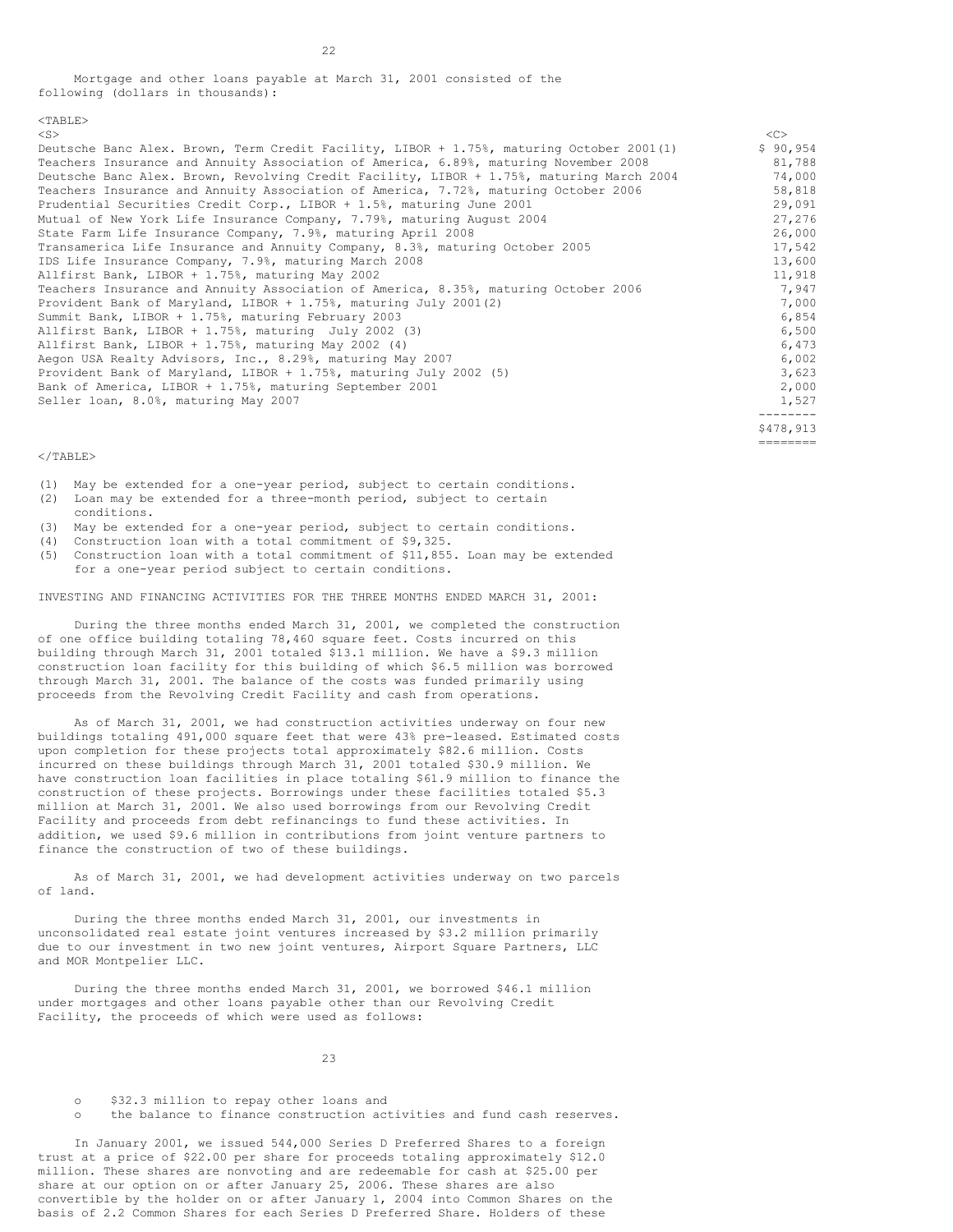Mortgage and other loans payable at March 31, 2001 consisted of the following (dollars in thousands):

| $<$ S $>$                                                                                | <<                |
|------------------------------------------------------------------------------------------|-------------------|
| Deutsche Banc Alex. Brown, Term Credit Facility, LIBOR + 1.75%, maturing October 2001(1) | \$90,954          |
| Teachers Insurance and Annuity Association of America, 6.89%, maturing November 2008     | 81,788            |
| Deutsche Banc Alex. Brown, Revolving Credit Facility, LIBOR + 1.75%, maturing March 2004 | 74,000            |
| Teachers Insurance and Annuity Association of America, 7.72%, maturing October 2006      | 58,818            |
| Prudential Securities Credit Corp., LIBOR + 1.5%, maturing June 2001                     | 29,091            |
| Mutual of New York Life Insurance Company, 7.79%, maturing August 2004                   | 27,276            |
| State Farm Life Insurance Company, 7.9%, maturing April 2008                             | 26,000            |
| Transamerica Life Insurance and Annuity Company, 8.3%, maturing October 2005             | 17,542            |
| IDS Life Insurance Company, 7.9%, maturing March 2008                                    | 13,600            |
| Allfirst Bank, LIBOR + 1.75%, maturing May 2002                                          | 11,918            |
| Teachers Insurance and Annuity Association of America, 8.35%, maturing October 2006      | 7,947             |
| Provident Bank of Maryland, LIBOR + 1.75%, maturing July 2001(2)                         | 7,000             |
| Summit Bank, LIBOR + 1.75%, maturing February 2003                                       | 6,854             |
| Allfirst Bank, LIBOR + 1.75%, maturing July 2002 (3)                                     | 6,500             |
| Allfirst Bank, LIBOR + 1.75%, maturing May 2002 (4)                                      | 6,473             |
| Aegon USA Realty Advisors, Inc., 8.29%, maturing May 2007                                | 6,002             |
| Provident Bank of Maryland, LIBOR + 1.75%, maturing July 2002 (5)                        | 3,623             |
| Bank of America, LIBOR + 1.75%, maturing September 2001                                  | 2,000             |
| Seller loan, 8.0%, maturing May 2007                                                     | 1,527<br>-------- |
|                                                                                          | \$478,913         |

========

#### $<$ /TABLE>

(1) May be extended for a one-year period, subject to certain conditions. (2) Loan may be extended for a three-month period, subject to certain

- conditions.
- (3) May be extended for a one-year period, subject to certain conditions.
- (4) Construction loan with a total commitment of \$9,325.
- (5) Construction loan with a total commitment of \$11,855. Loan may be extended for a one-year period subject to certain conditions.

INVESTING AND FINANCING ACTIVITIES FOR THE THREE MONTHS ENDED MARCH 31, 2001:

During the three months ended March 31, 2001, we completed the construction of one office building totaling 78,460 square feet. Costs incurred on this building through March 31, 2001 totaled \$13.1 million. We have a \$9.3 million construction loan facility for this building of which \$6.5 million was borrowed through March 31, 2001. The balance of the costs was funded primarily using proceeds from the Revolving Credit Facility and cash from operations.

As of March 31, 2001, we had construction activities underway on four new buildings totaling 491,000 square feet that were 43% pre-leased. Estimated costs upon completion for these projects total approximately \$82.6 million. Costs incurred on these buildings through March 31, 2001 totaled \$30.9 million. We have construction loan facilities in place totaling \$61.9 million to finance the construction of these projects. Borrowings under these facilities totaled \$5.3 million at March 31, 2001. We also used borrowings from our Revolving Credit Facility and proceeds from debt refinancings to fund these activities. In addition, we used \$9.6 million in contributions from joint venture partners to finance the construction of two of these buildings.

As of March 31, 2001, we had development activities underway on two parcels of land.

During the three months ended March 31, 2001, our investments in unconsolidated real estate joint ventures increased by \$3.2 million primarily due to our investment in two new joint ventures, Airport Square Partners, LLC and MOR Montpelier LLC.

During the three months ended March 31, 2001, we borrowed \$46.1 million under mortgages and other loans payable other than our Revolving Credit Facility, the proceeds of which were used as follows:

23

- o \$32.3 million to repay other loans and
- o the balance to finance construction activities and fund cash reserves.

In January 2001, we issued 544,000 Series D Preferred Shares to a foreign trust at a price of \$22.00 per share for proceeds totaling approximately \$12.0 million. These shares are nonvoting and are redeemable for cash at \$25.00 per share at our option on or after January 25, 2006. These shares are also convertible by the holder on or after January 1, 2004 into Common Shares on the basis of 2.2 Common Shares for each Series D Preferred Share. Holders of these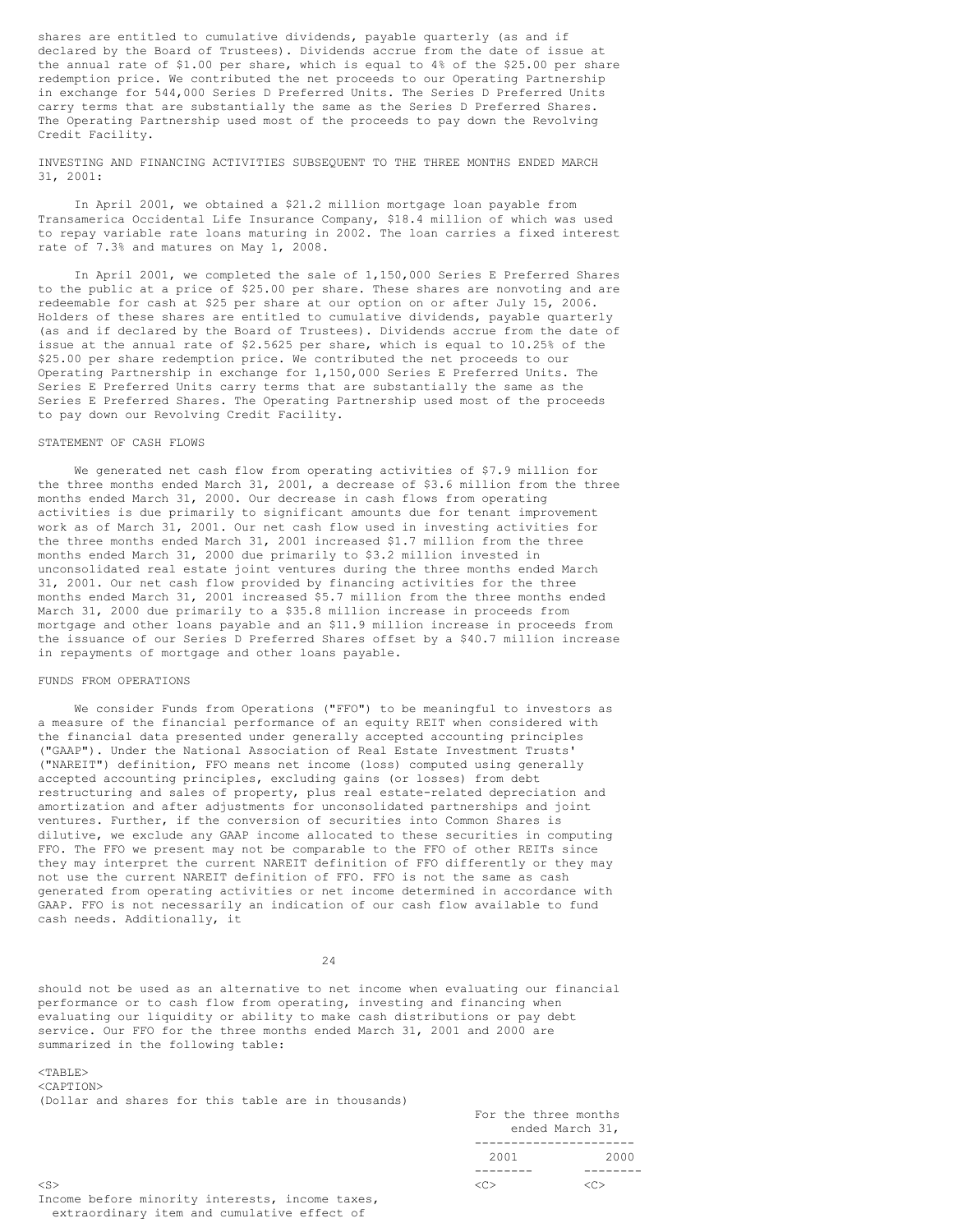shares are entitled to cumulative dividends, payable quarterly (as and if declared by the Board of Trustees). Dividends accrue from the date of issue at the annual rate of \$1.00 per share, which is equal to 4% of the \$25.00 per share redemption price. We contributed the net proceeds to our Operating Partnership in exchange for 544,000 Series D Preferred Units. The Series D Preferred Units carry terms that are substantially the same as the Series D Preferred Shares. The Operating Partnership used most of the proceeds to pay down the Revolving Credit Facility.

INVESTING AND FINANCING ACTIVITIES SUBSEQUENT TO THE THREE MONTHS ENDED MARCH 31, 2001:

In April 2001, we obtained a \$21.2 million mortgage loan payable from Transamerica Occidental Life Insurance Company, \$18.4 million of which was used to repay variable rate loans maturing in 2002. The loan carries a fixed interest rate of 7.3% and matures on May 1, 2008.

In April 2001, we completed the sale of 1,150,000 Series E Preferred Shares to the public at a price of \$25.00 per share. These shares are nonvoting and are redeemable for cash at \$25 per share at our option on or after July 15, 2006. Holders of these shares are entitled to cumulative dividends, payable quarterly (as and if declared by the Board of Trustees). Dividends accrue from the date of issue at the annual rate of \$2.5625 per share, which is equal to 10.25% of the \$25.00 per share redemption price. We contributed the net proceeds to our Operating Partnership in exchange for 1,150,000 Series E Preferred Units. The Series E Preferred Units carry terms that are substantially the same as the Series E Preferred Shares. The Operating Partnership used most of the proceeds to pay down our Revolving Credit Facility.

## STATEMENT OF CASH FLOWS

We generated net cash flow from operating activities of \$7.9 million for the three months ended March 31, 2001, a decrease of \$3.6 million from the three months ended March 31, 2000. Our decrease in cash flows from operating activities is due primarily to significant amounts due for tenant improvement work as of March 31, 2001. Our net cash flow used in investing activities for the three months ended March 31, 2001 increased \$1.7 million from the three months ended March 31, 2000 due primarily to \$3.2 million invested in unconsolidated real estate joint ventures during the three months ended March 31, 2001. Our net cash flow provided by financing activities for the three months ended March 31, 2001 increased \$5.7 million from the three months ended March 31, 2000 due primarily to a \$35.8 million increase in proceeds from mortgage and other loans payable and an \$11.9 million increase in proceeds from the issuance of our Series D Preferred Shares offset by a \$40.7 million increase in repayments of mortgage and other loans payable.

#### FUNDS FROM OPERATIONS

We consider Funds from Operations ("FFO") to be meaningful to investors as a measure of the financial performance of an equity REIT when considered with the financial data presented under generally accepted accounting principles ("GAAP"). Under the National Association of Real Estate Investment Trusts' ("NAREIT") definition, FFO means net income (loss) computed using generally accepted accounting principles, excluding gains (or losses) from debt restructuring and sales of property, plus real estate-related depreciation and amortization and after adjustments for unconsolidated partnerships and joint ventures. Further, if the conversion of securities into Common Shares is dilutive, we exclude any GAAP income allocated to these securities in computing FFO. The FFO we present may not be comparable to the FFO of other REITs since they may interpret the current NAREIT definition of FFO differently or they may not use the current NAREIT definition of FFO. FFO is not the same as cash generated from operating activities or net income determined in accordance with GAAP. FFO is not necessarily an indication of our cash flow available to fund cash needs. Additionally, it

24

should not be used as an alternative to net income when evaluating our financial performance or to cash flow from operating, investing and financing when evaluating our liquidity or ability to make cash distributions or pay debt service. Our FFO for the three months ended March 31, 2001 and 2000 are summarized in the following table:

## <TABLE>

<CAPTION> (Dollar and shares for this table are in thousands)

|           |          | For the three months<br>ended March 31, |  |  |
|-----------|----------|-----------------------------------------|--|--|
|           |          |                                         |  |  |
|           | 2001     | 2000                                    |  |  |
|           | -------- |                                         |  |  |
| $<$ S $>$ | くどう      |                                         |  |  |

Income before minority interests, income taxes, extraordinary item and cumulative effect of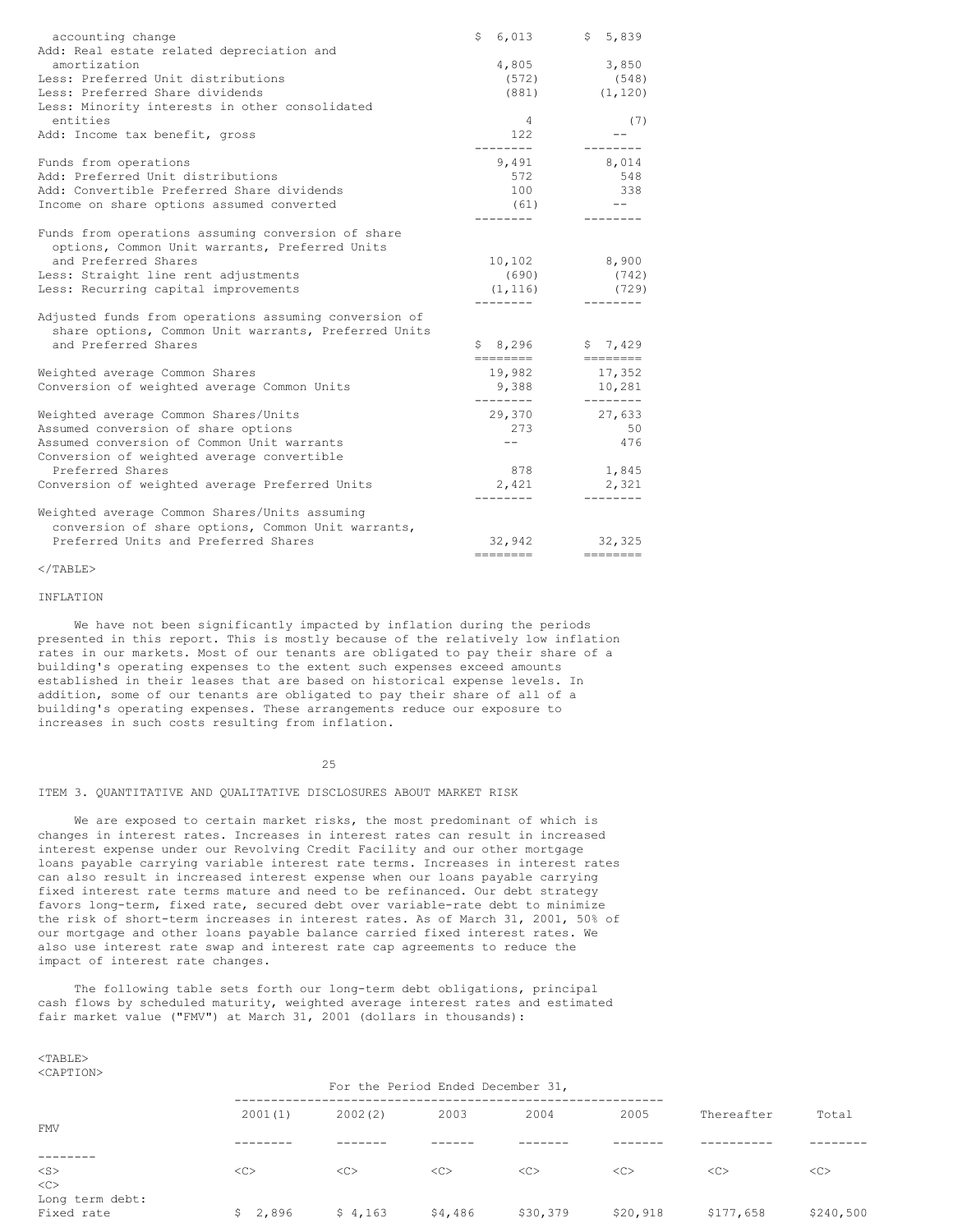| accounting change                                                                                                                     | \$6,013         | \$5,839            |
|---------------------------------------------------------------------------------------------------------------------------------------|-----------------|--------------------|
| Add: Real estate related depreciation and                                                                                             |                 |                    |
| amortization                                                                                                                          | 4,805           | 3,850              |
| Less: Preferred Unit distributions                                                                                                    | (572)           | (548)              |
| Less: Preferred Share dividends                                                                                                       | (881)           | (1, 120)           |
| Less: Minority interests in other consolidated                                                                                        |                 |                    |
| entities                                                                                                                              | 4               | (7)                |
| Add: Income tax benefit, gross                                                                                                        | 122<br>-------- | --------           |
| Funds from operations                                                                                                                 | 9,491           | 8,014              |
| Add: Preferred Unit distributions                                                                                                     | 572             | 548                |
| Add: Convertible Preferred Share dividends                                                                                            | 100             | 338                |
| Income on share options assumed converted                                                                                             | (61)            |                    |
| Funds from operations assuming conversion of share<br>options, Common Unit warrants, Preferred Units                                  |                 |                    |
| and Preferred Shares                                                                                                                  | 10,102          | 8,900              |
| Less: Straight line rent adjustments                                                                                                  | (690)           | (742)              |
| Less: Recurring capital improvements                                                                                                  | (1, 116)        | (729)              |
| Adjusted funds from operations assuming conversion of<br>share options, Common Unit warrants, Preferred Units<br>and Preferred Shares | \$8,296         | \$7,429            |
|                                                                                                                                       | ========        |                    |
| Weighted average Common Shares                                                                                                        | 19,982          | 17,352             |
| Conversion of weighted average Common Units                                                                                           | 9,388           | 10,281<br>-------- |
| Weighted average Common Shares/Units                                                                                                  | 29,370          | 27,633             |
| Assumed conversion of share options                                                                                                   | 273             | 50                 |
| Assumed conversion of Common Unit warrants                                                                                            | $- -$           | 476                |
| Conversion of weighted average convertible                                                                                            |                 |                    |
| Preferred Shares                                                                                                                      | 878             | 1,845              |
| Conversion of weighted average Preferred Units                                                                                        | 2,421           | 2,321              |
| Weighted average Common Shares/Units assuming                                                                                         |                 |                    |
| conversion of share options, Common Unit warrants,                                                                                    |                 |                    |
| Preferred Units and Preferred Shares                                                                                                  | 32,942          | 32,325             |
|                                                                                                                                       | ========        |                    |

 $\langle$ /TABLE>

## INFLATION

We have not been significantly impacted by inflation during the periods presented in this report. This is mostly because of the relatively low inflation rates in our markets. Most of our tenants are obligated to pay their share of a building's operating expenses to the extent such expenses exceed amounts established in their leases that are based on historical expense levels. In addition, some of our tenants are obligated to pay their share of all of a building's operating expenses. These arrangements reduce our exposure to increases in such costs resulting from inflation.

#### 25

## ITEM 3. QUANTITATIVE AND QUALITATIVE DISCLOSURES ABOUT MARKET RISK

We are exposed to certain market risks, the most predominant of which is changes in interest rates. Increases in interest rates can result in increased interest expense under our Revolving Credit Facility and our other mortgage loans payable carrying variable interest rate terms. Increases in interest rates can also result in increased interest expense when our loans payable carrying fixed interest rate terms mature and need to be refinanced. Our debt strategy favors long-term, fixed rate, secured debt over variable-rate debt to minimize the risk of short-term increases in interest rates. As of March 31, 2001, 50% of our mortgage and other loans payable balance carried fixed interest rates. We also use interest rate swap and interest rate cap agreements to reduce the impact of interest rate changes.

The following table sets forth our long-term debt obligations, principal cash flows by scheduled maturity, weighted average interest rates and estimated fair market value ("FMV") at March 31, 2001 (dollars in thousands):

| <caption></caption>           |                                   |         |         |          |          |            |           |
|-------------------------------|-----------------------------------|---------|---------|----------|----------|------------|-----------|
|                               | For the Period Ended December 31, |         |         |          |          |            |           |
| <b>FMV</b>                    | 2001(1)                           | 2002(2) | 2003    | 2004     | 2005     | Thereafter | Total     |
|                               |                                   |         |         |          |          |            |           |
| $<$ S $>$<br>$<\infty$        | <<                                | <<      | <<      | <<       | <<       | <<         | <<        |
| Long term debt:<br>Fixed rate | \$2,896                           | \$4,163 | \$4,486 | \$30,379 | \$20,918 | \$177,658  | \$240,500 |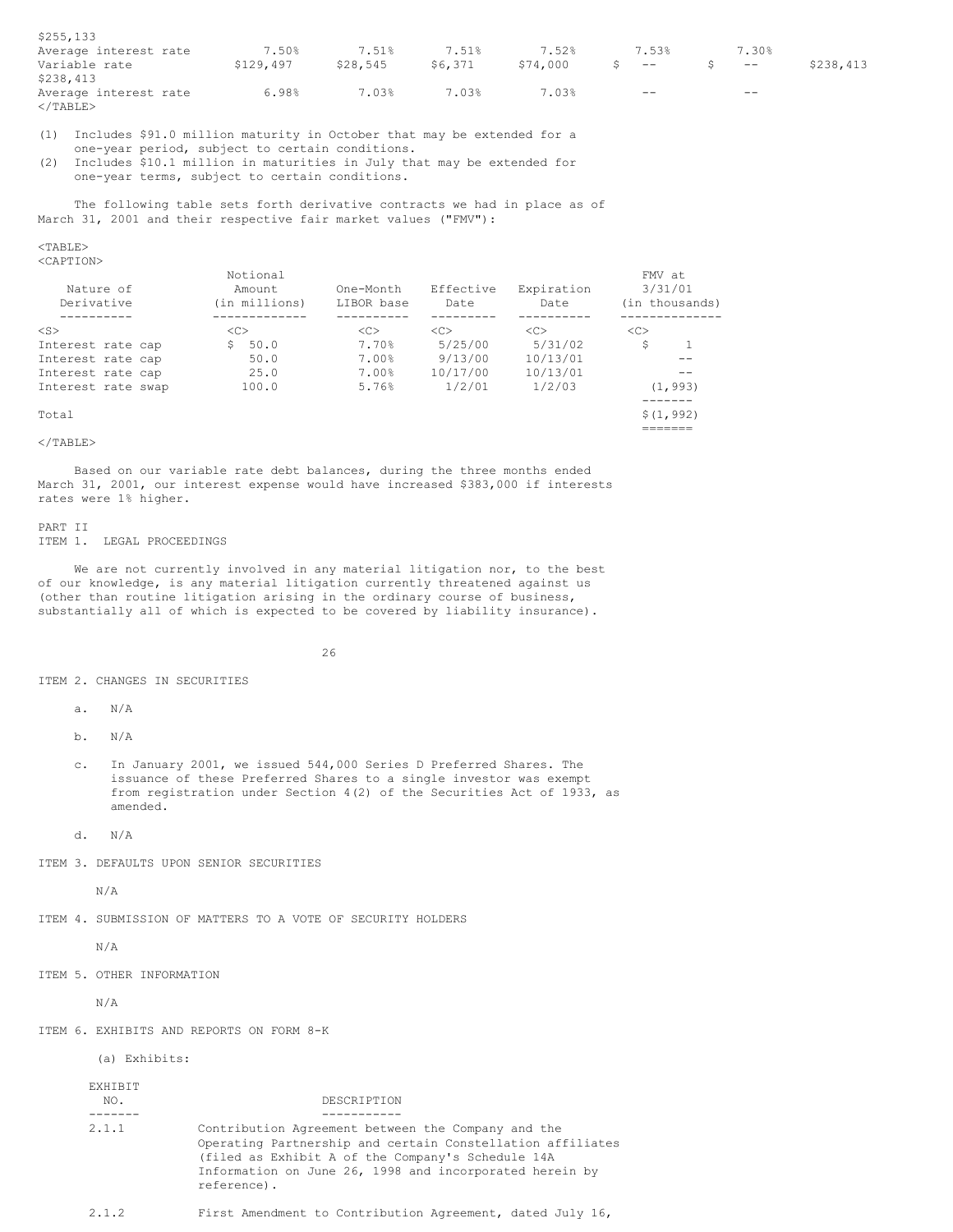| \$255,133                                  |           |          |         |          |                                                |       |           |
|--------------------------------------------|-----------|----------|---------|----------|------------------------------------------------|-------|-----------|
| Average interest rate                      | 7.50%     | 7.51%    | 7.51%   | 7.52%    | 7.53%                                          | 7.30% |           |
| Variable rate<br>\$238,413                 | \$129,497 | \$28,545 | \$6,371 | \$74,000 | $S$ . Similarly, $S$ . The set of $S$<br>$- -$ | $- -$ | \$238,413 |
| Average interest rate<br>$\langle$ /TABLE> | 6.98%     | 7.03%    | 7.03%   | 7.03%    | $- -$                                          | $- -$ |           |

(1) Includes \$91.0 million maturity in October that may be extended for a one-year period, subject to certain conditions.

(2) Includes \$10.1 million in maturities in July that may be extended for one-year terms, subject to certain conditions.

The following table sets forth derivative contracts we had in place as of March 31, 2001 and their respective fair market values ("FMV"):

## <TABLE>

<CAPTION>

|                    | Notional      |            |               |               | FMV at         |
|--------------------|---------------|------------|---------------|---------------|----------------|
| Nature of          | Amount        | One-Month  | Effective     | Expiration    | 3/31/01        |
| Derivative         | (in millions) | LIBOR base | Date          | Date          | (in thousands) |
|                    |               |            |               |               |                |
| $<$ S $>$          | < <sub></sub> | <<         | < <sub></sub> | < <sub></sub> | < <sub></sub>  |
| Interest rate cap  | 50.0<br>S.    | 7.70%      | 5/25/00       | 5/31/02       | S              |
| Interest rate cap  | 50.0          | 7.00%      | 9/13/00       | 10/13/01      |                |
| Interest rate cap  | 25.0          | 7.00%      | 10/17/00      | 10/13/01      |                |
| Interest rate swap | 100.0         | 5.76%      | 1/2/01        | 1/2/03        | (1, 993)       |
|                    |               |            |               |               |                |
| Total              |               |            |               |               | \$(1, 992)     |
|                    |               |            |               |               |                |

## $<$ /TABLE>

Based on our variable rate debt balances, during the three months ended March 31, 2001, our interest expense would have increased \$383,000 if interests rates were 1% higher.

#### PART II

ITEM 1. LEGAL PROCEEDINGS

We are not currently involved in any material litigation nor, to the best of our knowledge, is any material litigation currently threatened against us (other than routine litigation arising in the ordinary course of business, substantially all of which is expected to be covered by liability insurance).

#### 26

ITEM 2. CHANGES IN SECURITIES

a. N/A

b. N/A

c. In January 2001, we issued 544,000 Series D Preferred Shares. The issuance of these Preferred Shares to a single investor was exempt from registration under Section 4(2) of the Securities Act of 1933, as amended.

d. N/A

ITEM 3. DEFAULTS UPON SENIOR SECURITIES

N/A

ITEM 4. SUBMISSION OF MATTERS TO A VOTE OF SECURITY HOLDERS

N/A

ITEM 5. OTHER INFORMATION

N/A

ITEM 6. EXHIBITS AND REPORTS ON FORM 8-K

(a) Exhibits:

| EXHIBIT<br>NO. | DESCRIPTION                                                                                                                                                                                                                                     |
|----------------|-------------------------------------------------------------------------------------------------------------------------------------------------------------------------------------------------------------------------------------------------|
|                |                                                                                                                                                                                                                                                 |
| 2.1.1          | Contribution Agreement between the Company and the<br>Operating Partnership and certain Constellation affiliates<br>(filed as Exhibit A of the Company's Schedule 14A<br>Information on June 26, 1998 and incorporated herein by<br>reference). |

2.1.2 First Amendment to Contribution Agreement, dated July 16,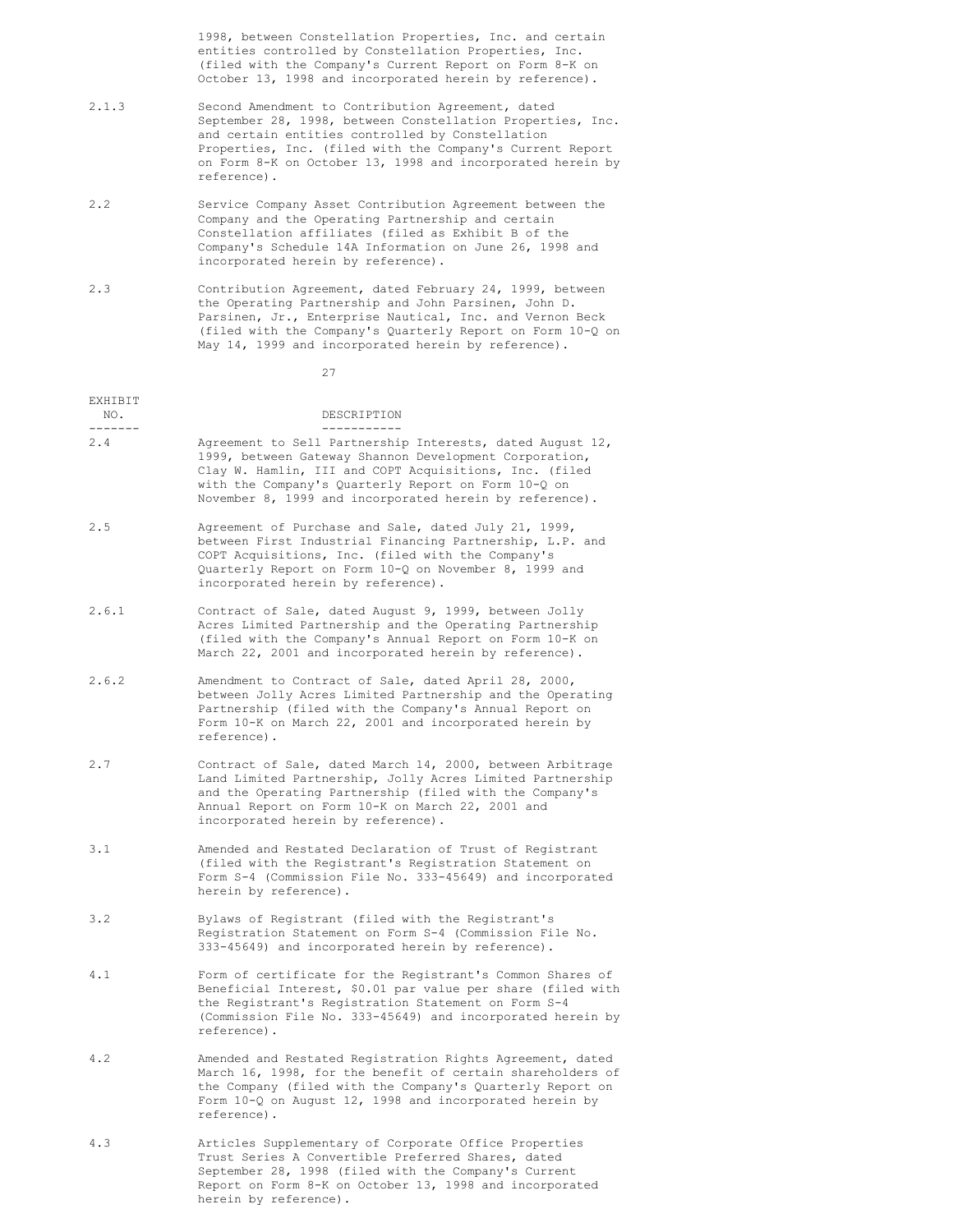1998, between Constellation Properties, Inc. and certain entities controlled by Constellation Properties, Inc. (filed with the Company's Current Report on Form 8-K on October 13, 1998 and incorporated herein by reference).

- 2.1.3 Second Amendment to Contribution Agreement, dated September 28, 1998, between Constellation Properties, Inc. and certain entities controlled by Constellation Properties, Inc. (filed with the Company's Current Report on Form 8-K on October 13, 1998 and incorporated herein by reference).
- 2.2 Service Company Asset Contribution Agreement between the Company and the Operating Partnership and certain Constellation affiliates (filed as Exhibit B of the Company's Schedule 14A Information on June 26, 1998 and incorporated herein by reference).
- 2.3 Contribution Agreement, dated February 24, 1999, between the Operating Partnership and John Parsinen, John D. Parsinen, Jr., Enterprise Nautical, Inc. and Vernon Beck (filed with the Company's Quarterly Report on Form 10-Q on May 14, 1999 and incorporated herein by reference).

27

| EXHIBIT<br>NO.<br>------- | DESCRIPTION                                                                                                                                                                                                                                                                                     |
|---------------------------|-------------------------------------------------------------------------------------------------------------------------------------------------------------------------------------------------------------------------------------------------------------------------------------------------|
| 2.4                       | Agreement to Sell Partnership Interests, dated August 12,<br>1999, between Gateway Shannon Development Corporation,<br>Clay W. Hamlin, III and COPT Acquisitions, Inc. (filed<br>with the Company's Quarterly Report on Form 10-Q on<br>November 8, 1999 and incorporated herein by reference). |
| 2.5                       | Agreement of Purchase and Sale, dated July 21, 1999,<br>between First Industrial Financing Partnership, L.P. and<br>COPT Acquisitions, Inc. (filed with the Company's<br>Quarterly Report on Form 10-Q on November 8, 1999 and<br>incorporated herein by reference).                            |
| 2.6.1                     | Contract of Sale, dated August 9, 1999, between Jolly<br>Acres Limited Partnership and the Operating Partnership<br>(filed with the Company's Annual Report on Form 10-K on<br>March 22, 2001 and incorporated herein by reference).                                                            |
| 2.6.2                     | Amendment to Contract of Sale, dated April 28, 2000,<br>between Jolly Acres Limited Partnership and the Operating<br>Partnership (filed with the Company's Annual Report on<br>Form 10-K on March 22, 2001 and incorporated herein by<br>reference).                                            |
| 2.7                       | Contract of Sale, dated March 14, 2000, between Arbitrage<br>Land Limited Partnership, Jolly Acres Limited Partnership<br>and the Operating Partnership (filed with the Company's<br>Annual Report on Form 10-K on March 22, 2001 and<br>incorporated herein by reference).                     |
| 3.1                       | Amended and Restated Declaration of Trust of Registrant<br>(filed with the Registrant's Registration Statement on<br>Form S-4 (Commission File No. 333-45649) and incorporated<br>herein by reference).                                                                                         |
| 3.2                       | Bylaws of Registrant (filed with the Registrant's<br>Registration Statement on Form S-4 (Commission File No.<br>333-45649) and incorporated herein by reference).                                                                                                                               |
| 4.1                       | Form of certificate for the Registrant's Common Shares of<br>Beneficial Interest, \$0.01 par value per share (filed with<br>the Registrant's Registration Statement on Form S-4<br>(Commission File No. 333-45649) and incorporated herein by<br>reference).                                    |
| 4.2                       | Amended and Restated Registration Rights Agreement, dated<br>March 16, 1998, for the benefit of certain shareholders of<br>the Company (filed with the Company's Quarterly Report on<br>Form $10-Q$ on August 12, 1998 and incorporated herein by<br>reference).                                |

4.3 Articles Supplementary of Corporate Office Properties Trust Series A Convertible Preferred Shares, dated September 28, 1998 (filed with the Company's Current Report on Form 8-K on October 13, 1998 and incorporated herein by reference).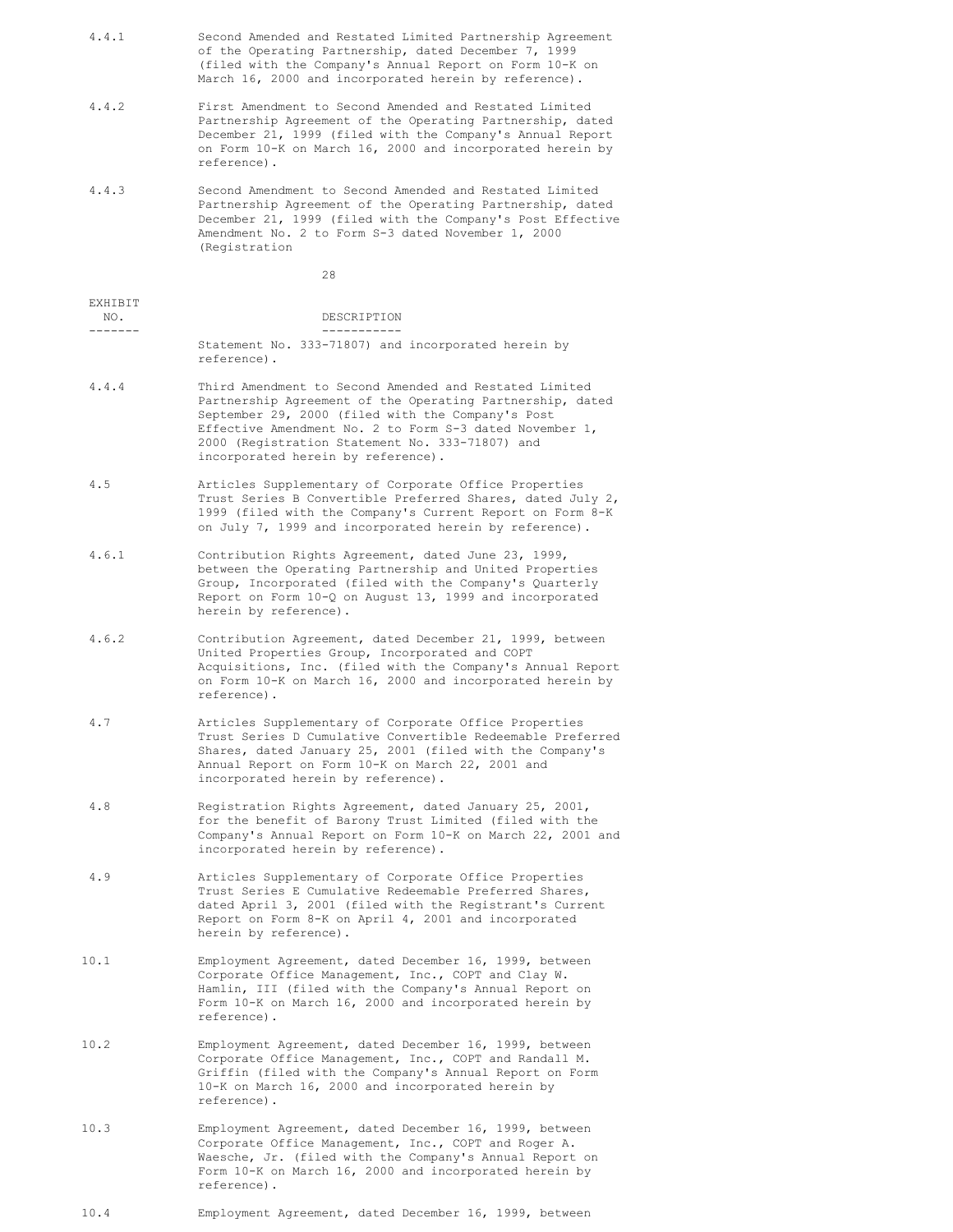| 4.4.1          | Second Amended and Restated Limited Partnership Agreement<br>of the Operating Partnership, dated December 7, 1999<br>(filed with the Company's Annual Report on Form 10-K on<br>March 16, 2000 and incorporated herein by reference).                                                                                        |
|----------------|------------------------------------------------------------------------------------------------------------------------------------------------------------------------------------------------------------------------------------------------------------------------------------------------------------------------------|
| 4.4.2          | First Amendment to Second Amended and Restated Limited<br>Partnership Agreement of the Operating Partnership, dated<br>December 21, 1999 (filed with the Company's Annual Report<br>on Form 10-K on March 16, 2000 and incorporated herein by<br>reference).                                                                 |
| 4.4.3          | Second Amendment to Second Amended and Restated Limited<br>Partnership Agreement of the Operating Partnership, dated<br>December 21, 1999 (filed with the Company's Post Effective<br>Amendment No. 2 to Form S-3 dated November 1, 2000<br>(Registration                                                                    |
|                | 28                                                                                                                                                                                                                                                                                                                           |
| EXHIBIT<br>NO. | DESCRIPTION                                                                                                                                                                                                                                                                                                                  |
| -------        | ___________<br>Statement No. 333-71807) and incorporated herein by                                                                                                                                                                                                                                                           |
|                | reference).                                                                                                                                                                                                                                                                                                                  |
| 4.4.4          | Third Amendment to Second Amended and Restated Limited<br>Partnership Agreement of the Operating Partnership, dated<br>September 29, 2000 (filed with the Company's Post<br>Effective Amendment No. 2 to Form S-3 dated November 1,<br>2000 (Registration Statement No. 333-71807) and<br>incorporated herein by reference). |
| 4.5            | Articles Supplementary of Corporate Office Properties<br>Trust Series B Convertible Preferred Shares, dated July 2,<br>1999 (filed with the Company's Current Report on Form 8-K<br>on July 7, 1999 and incorporated herein by reference).                                                                                   |
| 4.6.1          | Contribution Rights Agreement, dated June 23, 1999,<br>between the Operating Partnership and United Properties<br>Group, Incorporated (filed with the Company's Quarterly<br>Report on Form 10-Q on August 13, 1999 and incorporated<br>herein by reference).                                                                |
| 4.6.2          | Contribution Agreement, dated December 21, 1999, between<br>United Properties Group, Incorporated and COPT<br>Acquisitions, Inc. (filed with the Company's Annual Report<br>on Form 10-K on March 16, 2000 and incorporated herein by<br>reference).                                                                         |
| 4.7            | Articles Supplementary of Corporate Office Properties<br>Trust Series D Cumulative Convertible Redeemable Preferred<br>Shares, dated January 25, 2001 (filed with the Company's<br>Annual Report on Form 10-K on March 22, 2001 and<br>incorporated herein by reference).                                                    |
| 4.8            | Registration Rights Agreement, dated January 25, 2001,<br>for the benefit of Barony Trust Limited (filed with the<br>Company's Annual Report on Form 10-K on March 22, 2001 and<br>incorporated herein by reference).                                                                                                        |
| 4.9            | Articles Supplementary of Corporate Office Properties<br>Trust Series E Cumulative Redeemable Preferred Shares,<br>dated April 3, 2001 (filed with the Registrant's Current<br>Report on Form 8-K on April 4, 2001 and incorporated<br>herein by reference).                                                                 |
| 10.1           | Employment Agreement, dated December 16, 1999, between<br>Corporate Office Management, Inc., COPT and Clay W.<br>Hamlin, III (filed with the Company's Annual Report on<br>Form 10-K on March 16, 2000 and incorporated herein by<br>reference).                                                                             |
| 10.2           | Employment Agreement, dated December 16, 1999, between<br>Corporate Office Management, Inc., COPT and Randall M.<br>Griffin (filed with the Company's Annual Report on Form<br>10-K on March 16, 2000 and incorporated herein by<br>reference).                                                                              |
| 10.3           | Employment Agreement, dated December 16, 1999, between<br>Corporate Office Management, Inc., COPT and Roger A.<br>Waesche, Jr. (filed with the Company's Annual Report on<br>Form 10-K on March 16, 2000 and incorporated herein by<br>reference).                                                                           |
| 10.4           | Employment Agreement, dated December 16, 1999, between                                                                                                                                                                                                                                                                       |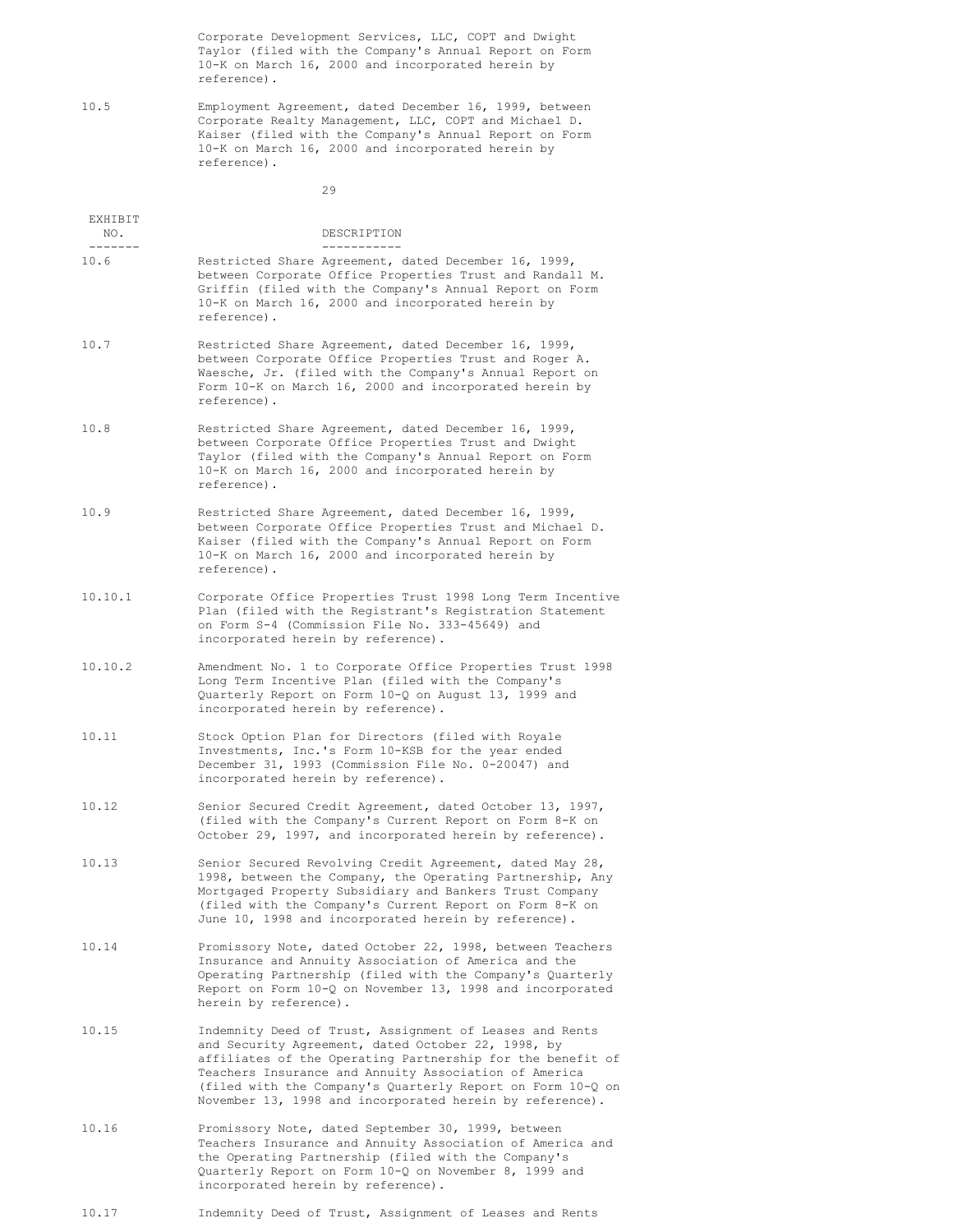Corporate Development Services, LLC, COPT and Dwight Taylor (filed with the Company's Annual Report on Form 10-K on March 16, 2000 and incorporated herein by reference).

10.5 Employment Agreement, dated December 16, 1999, between Corporate Realty Management, LLC, COPT and Michael D. Kaiser (filed with the Company's Annual Report on Form 10-K on March 16, 2000 and incorporated herein by reference).

29

| EXHIBIT<br>NO.<br>$- - - - - - -$ | DESCRIPTION<br>-----------                                                                                                                                                                                                                                                                                                                                     |
|-----------------------------------|----------------------------------------------------------------------------------------------------------------------------------------------------------------------------------------------------------------------------------------------------------------------------------------------------------------------------------------------------------------|
| 10.6                              | Restricted Share Agreement, dated December 16, 1999,<br>between Corporate Office Properties Trust and Randall M.<br>Griffin (filed with the Company's Annual Report on Form<br>10-K on March 16, 2000 and incorporated herein by<br>reference).                                                                                                                |
| 10.7                              | Restricted Share Agreement, dated December 16, 1999,<br>between Corporate Office Properties Trust and Roger A.<br>Waesche, Jr. (filed with the Company's Annual Report on<br>Form 10-K on March 16, 2000 and incorporated herein by<br>reference).                                                                                                             |
| 10.8                              | Restricted Share Agreement, dated December 16, 1999,<br>between Corporate Office Properties Trust and Dwight<br>Taylor (filed with the Company's Annual Report on Form<br>10-K on March 16, 2000 and incorporated herein by<br>reference).                                                                                                                     |
| 10.9                              | Restricted Share Agreement, dated December 16, 1999,<br>between Corporate Office Properties Trust and Michael D.<br>Kaiser (filed with the Company's Annual Report on Form<br>10-K on March 16, 2000 and incorporated herein by<br>reference).                                                                                                                 |
| 10.10.1                           | Corporate Office Properties Trust 1998 Long Term Incentive<br>Plan (filed with the Registrant's Registration Statement<br>on Form S-4 (Commission File No. 333-45649) and<br>incorporated herein by reference).                                                                                                                                                |
| 10.10.2                           | Amendment No. 1 to Corporate Office Properties Trust 1998<br>Long Term Incentive Plan (filed with the Company's<br>Quarterly Report on Form 10-Q on August 13, 1999 and<br>incorporated herein by reference).                                                                                                                                                  |
| 10.11                             | Stock Option Plan for Directors (filed with Royale<br>Investments, Inc.'s Form 10-KSB for the year ended<br>December 31, 1993 (Commission File No. 0-20047) and<br>incorporated herein by reference).                                                                                                                                                          |
| 10.12                             | Senior Secured Credit Agreement, dated October 13, 1997,<br>(filed with the Company's Current Report on Form 8-K on<br>October 29, 1997, and incorporated herein by reference).                                                                                                                                                                                |
| 10.13                             | Senior Secured Revolving Credit Agreement, dated May 28,<br>1998, between the Company, the Operating Partnership, Any<br>Mortgaged Property Subsidiary and Bankers Trust Company<br>(filed with the Company's Current Report on Form 8-K on<br>June 10, 1998 and incorporated herein by reference).                                                            |
| 10.14                             | Promissory Note, dated October 22, 1998, between Teachers<br>Insurance and Annuity Association of America and the<br>Operating Partnership (filed with the Company's Quarterly<br>Report on Form 10-Q on November 13, 1998 and incorporated<br>herein by reference).                                                                                           |
| 10.15                             | Indemnity Deed of Trust, Assignment of Leases and Rents<br>and Security Agreement, dated October 22, 1998, by<br>affiliates of the Operating Partnership for the benefit of<br>Teachers Insurance and Annuity Association of America<br>(filed with the Company's Quarterly Report on Form 10-Q on<br>November 13, 1998 and incorporated herein by reference). |
| 10.16                             | Promissory Note, dated September 30, 1999, between<br>Teachers Insurance and Annuity Association of America and<br>the Operating Partnership (filed with the Company's<br>Quarterly Report on Form 10-Q on November 8, 1999 and<br>incorporated herein by reference).                                                                                          |

10.17 Indemnity Deed of Trust, Assignment of Leases and Rents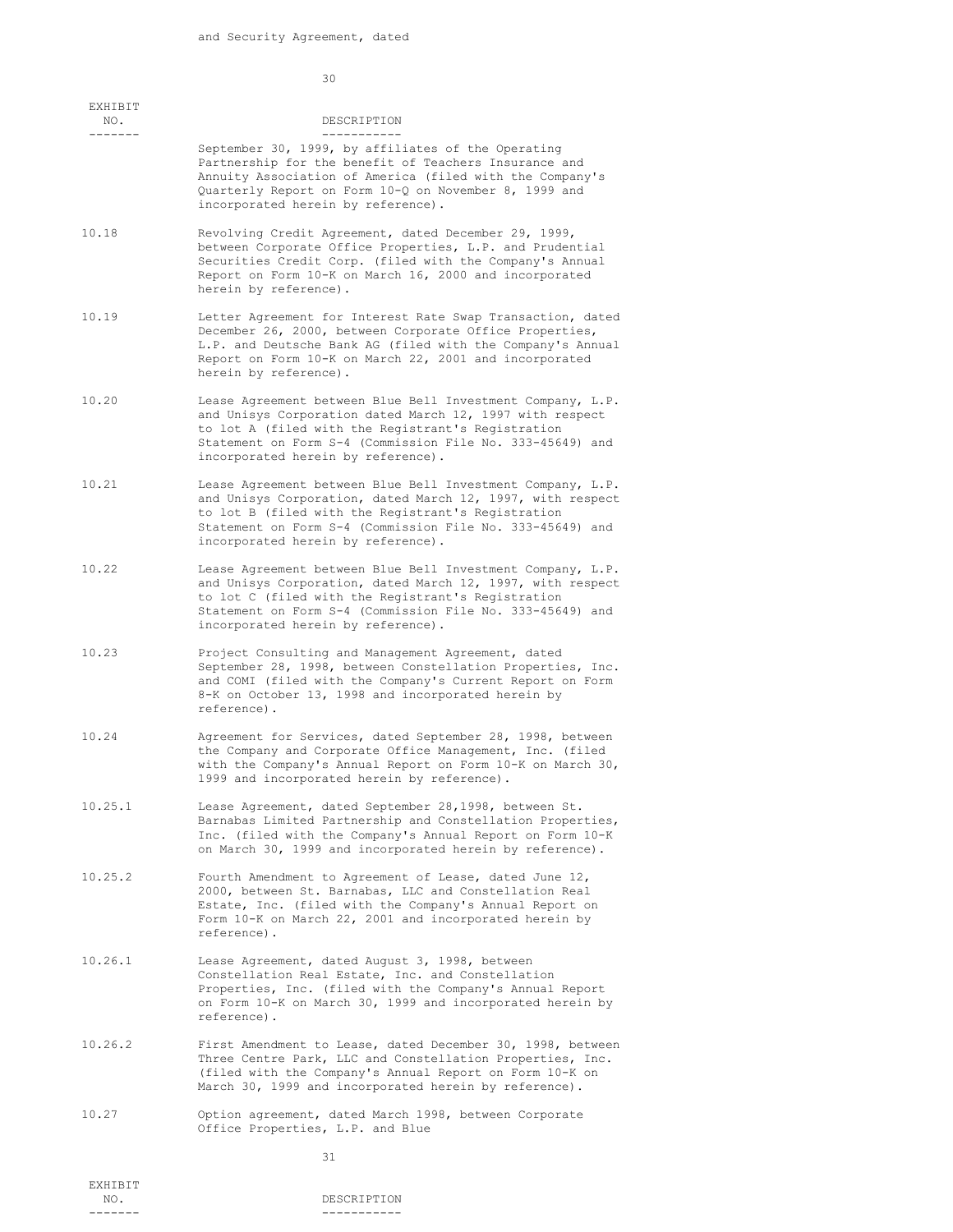30

| EXHIBIT<br>NO. | DESCRIPTION                                                                                                                                                                                                                                                                         |
|----------------|-------------------------------------------------------------------------------------------------------------------------------------------------------------------------------------------------------------------------------------------------------------------------------------|
| .              | ---------<br>September 30, 1999, by affiliates of the Operating<br>Partnership for the benefit of Teachers Insurance and<br>Annuity Association of America (filed with the Company's<br>Quarterly Report on Form 10-Q on November 8, 1999 and<br>incorporated herein by reference). |
| 10.18          | Revolving Credit Agreement, dated December 29, 1999,<br>between Corporate Office Properties, L.P. and Prudential<br>Securities Credit Corp. (filed with the Company's Annual<br>Report on Form 10-K on March 16, 2000 and incorporated<br>herein by reference).                     |
| 10.19          | Letter Agreement for Interest Rate Swap Transaction, dated<br>December 26, 2000, between Corporate Office Properties,<br>L.P. and Deutsche Bank AG (filed with the Company's Annual<br>Report on Form 10-K on March 22, 2001 and incorporated<br>herein by reference).              |
| 10.20          | Lease Agreement between Blue Bell Investment Company, L.P.<br>and Unisys Corporation dated March 12, 1997 with respect<br>to lot A (filed with the Registrant's Registration<br>Statement on Form S-4 (Commission File No. 333-45649) and<br>incorporated herein by reference).     |
| 10.21          | Lease Agreement between Blue Bell Investment Company, L.P.<br>and Unisys Corporation, dated March 12, 1997, with respect<br>to lot B (filed with the Registrant's Registration<br>Statement on Form S-4 (Commission File No. 333-45649) and<br>incorporated herein by reference).   |
| 10.22          | Lease Agreement between Blue Bell Investment Company, L.P.<br>and Unisys Corporation, dated March 12, 1997, with respect<br>to lot C (filed with the Registrant's Registration<br>Statement on Form S-4 (Commission File No. 333-45649) and<br>incorporated herein by reference).   |
| 10.23          | Project Consulting and Management Agreement, dated<br>September 28, 1998, between Constellation Properties, Inc.<br>and COMI (filed with the Company's Current Report on Form<br>8-K on October 13, 1998 and incorporated herein by<br>reference).                                  |
| 10.24          | Agreement for Services, dated September 28, 1998, between<br>the Company and Corporate Office Management, Inc. (filed<br>with the Company's Annual Report on Form 10-K on March 30,<br>1999 and incorporated herein by reference).                                                  |
| 10.25.1        | Lease Agreement, dated September 28,1998, between St.<br>Barnabas Limited Partnership and Constellation Properties,<br>Inc. (filed with the Company's Annual Report on Form 10-K<br>on March 30, 1999 and incorporated herein by reference).                                        |
| 10.25.2        | Fourth Amendment to Agreement of Lease, dated June 12,<br>2000, between St. Barnabas, LLC and Constellation Real<br>Estate, Inc. (filed with the Company's Annual Report on<br>Form 10-K on March 22, 2001 and incorporated herein by<br>reference).                                |
| 10.26.1        | Lease Agreement, dated August 3, 1998, between<br>Constellation Real Estate, Inc. and Constellation<br>Properties, Inc. (filed with the Company's Annual Report<br>on Form 10-K on March 30, 1999 and incorporated herein by<br>reference).                                         |
| 10.26.2        | First Amendment to Lease, dated December 30, 1998, between<br>Three Centre Park, LLC and Constellation Properties, Inc.<br>(filed with the Company's Annual Report on Form 10-K on<br>March 30, 1999 and incorporated herein by reference).                                         |
| 10.27          | Option agreement, dated March 1998, between Corporate<br>Office Properties, L.P. and Blue                                                                                                                                                                                           |
|                | 31                                                                                                                                                                                                                                                                                  |
| EXHIBIT        |                                                                                                                                                                                                                                                                                     |
| NO.<br>------- | DESCRIPTION<br>-----------                                                                                                                                                                                                                                                          |
|                |                                                                                                                                                                                                                                                                                     |